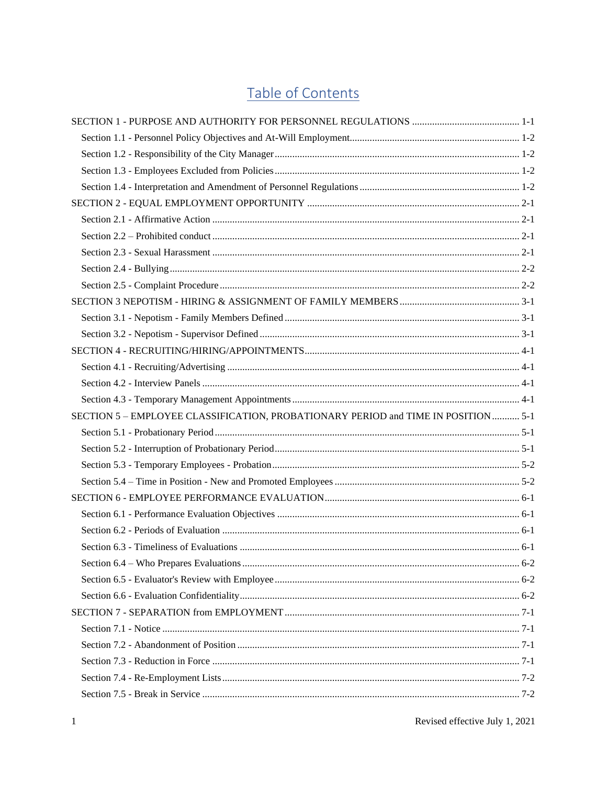# Table of Contents

| SECTION 5 - EMPLOYEE CLASSIFICATION, PROBATIONARY PERIOD and TIME IN POSITION  5-1 |  |
|------------------------------------------------------------------------------------|--|
|                                                                                    |  |
|                                                                                    |  |
|                                                                                    |  |
|                                                                                    |  |
|                                                                                    |  |
|                                                                                    |  |
|                                                                                    |  |
|                                                                                    |  |
|                                                                                    |  |
|                                                                                    |  |
|                                                                                    |  |
|                                                                                    |  |
|                                                                                    |  |
|                                                                                    |  |
|                                                                                    |  |
|                                                                                    |  |
|                                                                                    |  |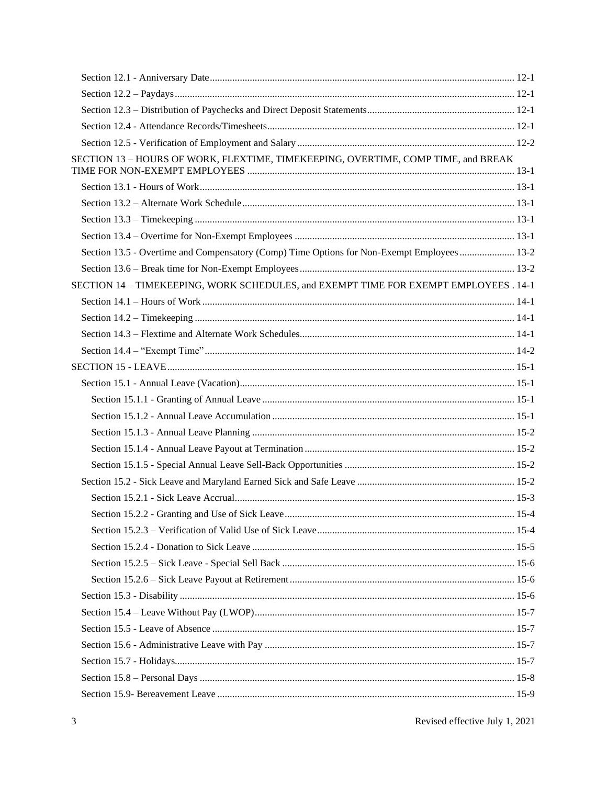| SECTION 13 - HOURS OF WORK, FLEXTIME, TIMEKEEPING, OVERTIME, COMP TIME, and BREAK           |  |
|---------------------------------------------------------------------------------------------|--|
|                                                                                             |  |
|                                                                                             |  |
|                                                                                             |  |
|                                                                                             |  |
| Section 13.5 - Overtime and Compensatory (Comp) Time Options for Non-Exempt Employees  13-2 |  |
|                                                                                             |  |
| SECTION 14 - TIMEKEEPING, WORK SCHEDULES, and EXEMPT TIME FOR EXEMPT EMPLOYEES . 14-1       |  |
|                                                                                             |  |
|                                                                                             |  |
|                                                                                             |  |
|                                                                                             |  |
|                                                                                             |  |
|                                                                                             |  |
|                                                                                             |  |
|                                                                                             |  |
|                                                                                             |  |
|                                                                                             |  |
|                                                                                             |  |
|                                                                                             |  |
|                                                                                             |  |
|                                                                                             |  |
|                                                                                             |  |
|                                                                                             |  |
|                                                                                             |  |
|                                                                                             |  |
|                                                                                             |  |
|                                                                                             |  |
|                                                                                             |  |
|                                                                                             |  |
|                                                                                             |  |
|                                                                                             |  |
|                                                                                             |  |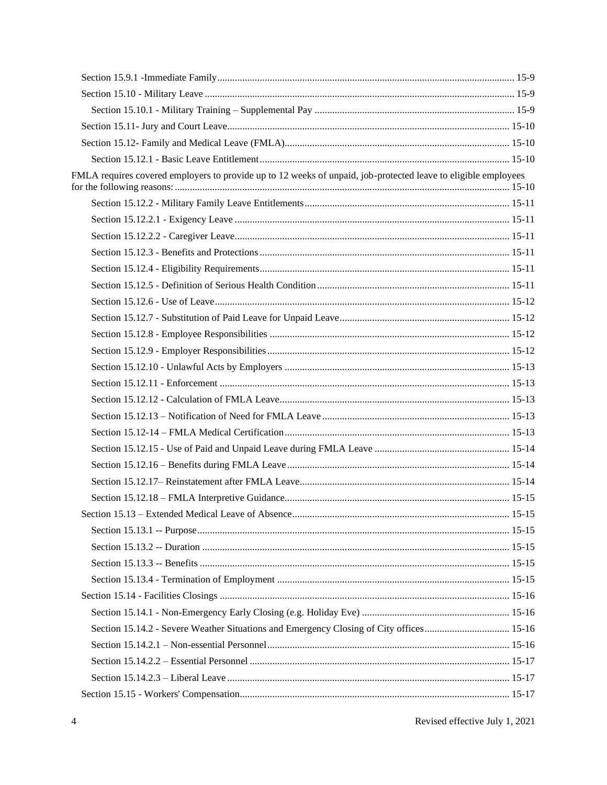| FMLA requires covered employers to provide up to 12 weeks of unpaid, job-protected leave to eligible employees |  |
|----------------------------------------------------------------------------------------------------------------|--|
|                                                                                                                |  |
|                                                                                                                |  |
|                                                                                                                |  |
|                                                                                                                |  |
|                                                                                                                |  |
|                                                                                                                |  |
|                                                                                                                |  |
|                                                                                                                |  |
|                                                                                                                |  |
|                                                                                                                |  |
|                                                                                                                |  |
|                                                                                                                |  |
|                                                                                                                |  |
|                                                                                                                |  |
|                                                                                                                |  |
|                                                                                                                |  |
|                                                                                                                |  |
|                                                                                                                |  |
|                                                                                                                |  |
|                                                                                                                |  |
|                                                                                                                |  |
|                                                                                                                |  |
|                                                                                                                |  |
|                                                                                                                |  |
|                                                                                                                |  |
|                                                                                                                |  |
| Section 15.14.2 - Severe Weather Situations and Emergency Closing of City offices 15-16                        |  |
|                                                                                                                |  |
|                                                                                                                |  |
|                                                                                                                |  |
|                                                                                                                |  |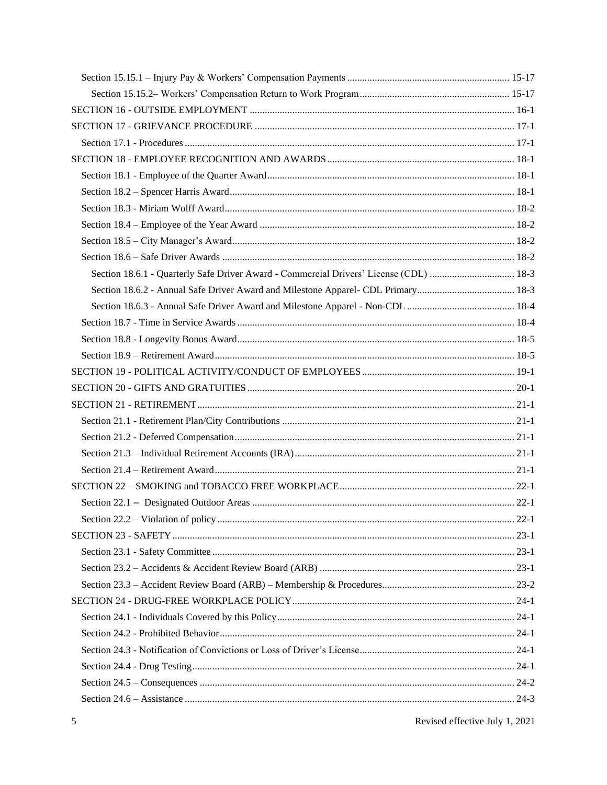| Section 18.6.1 - Quarterly Safe Driver Award - Commercial Drivers' License (CDL)  18-3 |  |
|----------------------------------------------------------------------------------------|--|
|                                                                                        |  |
|                                                                                        |  |
|                                                                                        |  |
|                                                                                        |  |
|                                                                                        |  |
|                                                                                        |  |
|                                                                                        |  |
|                                                                                        |  |
|                                                                                        |  |
|                                                                                        |  |
|                                                                                        |  |
|                                                                                        |  |
|                                                                                        |  |
|                                                                                        |  |
|                                                                                        |  |
|                                                                                        |  |
|                                                                                        |  |
|                                                                                        |  |
|                                                                                        |  |
|                                                                                        |  |
|                                                                                        |  |
|                                                                                        |  |
|                                                                                        |  |
|                                                                                        |  |
|                                                                                        |  |
|                                                                                        |  |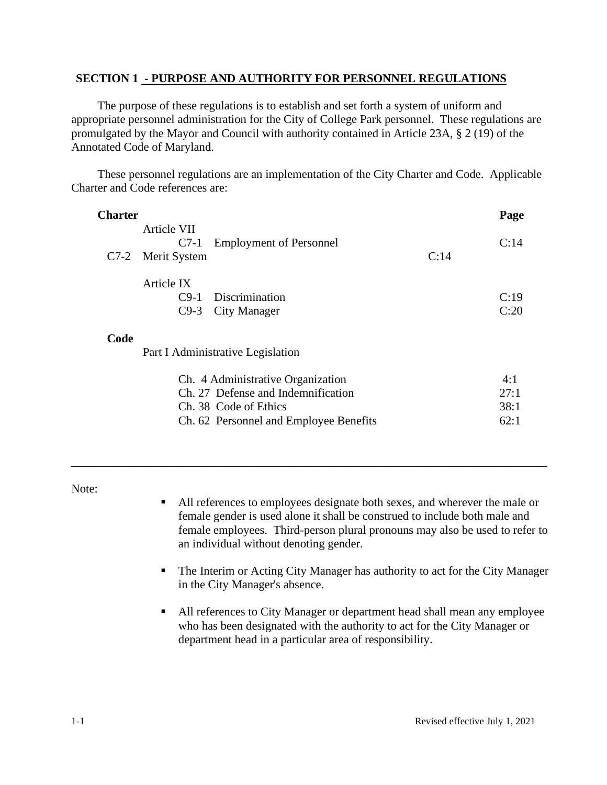#### <span id="page-7-0"></span>**SECTION 1 - PURPOSE AND AUTHORITY FOR PERSONNEL REGULATIONS**

The purpose of these regulations is to establish and set forth a system of uniform and appropriate personnel administration for the City of College Park personnel. These regulations are promulgated by the Mayor and Council with authority contained in Article 23A, § 2 (19) of the Annotated Code of Maryland.

These personnel regulations are an implementation of the City Charter and Code. Applicable Charter and Code references are:

| <b>Charter</b> |                                       |                                                                                                                                            |      | Page                        |
|----------------|---------------------------------------|--------------------------------------------------------------------------------------------------------------------------------------------|------|-----------------------------|
| $C7-2$         | Article VII<br>$C7-1$<br>Merit System | <b>Employment of Personnel</b>                                                                                                             | C:14 | C:14                        |
|                | Article IX<br>$C9-3$                  | C9-1 Discrimination<br>City Manager                                                                                                        |      | C:19<br>C:20                |
| Code           |                                       | Part I Administrative Legislation                                                                                                          |      |                             |
|                |                                       | Ch. 4 Administrative Organization<br>Ch. 27 Defense and Indemnification<br>Ch. 38 Code of Ethics<br>Ch. 62 Personnel and Employee Benefits |      | 4:1<br>27:1<br>38:1<br>62:1 |

\_\_\_\_\_\_\_\_\_\_\_\_\_\_\_\_\_\_\_\_\_\_\_\_\_\_\_\_\_\_\_\_\_\_\_\_\_\_\_\_\_\_\_\_\_\_\_\_\_\_\_\_\_\_\_\_\_\_\_\_\_\_\_\_\_\_\_\_\_\_\_\_\_\_\_\_\_\_\_\_

Note:

- All references to employees designate both sexes, and wherever the male or female gender is used alone it shall be construed to include both male and female employees. Third-person plural pronouns may also be used to refer to an individual without denoting gender.
- The Interim or Acting City Manager has authority to act for the City Manager in the City Manager's absence.
- All references to City Manager or department head shall mean any employee who has been designated with the authority to act for the City Manager or department head in a particular area of responsibility.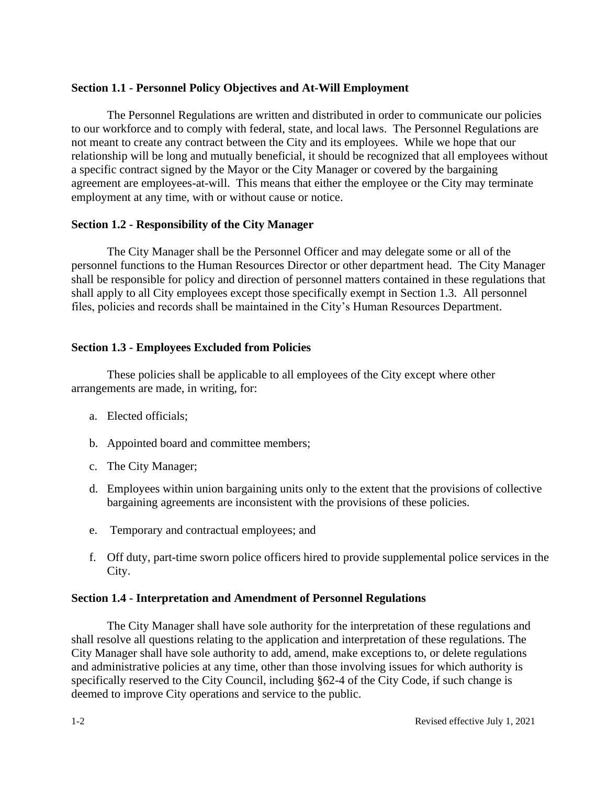#### <span id="page-8-0"></span>**Section 1.1 - Personnel Policy Objectives and At-Will Employment**

The Personnel Regulations are written and distributed in order to communicate our policies to our workforce and to comply with federal, state, and local laws. The Personnel Regulations are not meant to create any contract between the City and its employees. While we hope that our relationship will be long and mutually beneficial, it should be recognized that all employees without a specific contract signed by the Mayor or the City Manager or covered by the bargaining agreement are employees-at-will. This means that either the employee or the City may terminate employment at any time, with or without cause or notice.

#### <span id="page-8-1"></span>**Section 1.2 - Responsibility of the City Manager**

The City Manager shall be the Personnel Officer and may delegate some or all of the personnel functions to the Human Resources Director or other department head. The City Manager shall be responsible for policy and direction of personnel matters contained in these regulations that shall apply to all City employees except those specifically exempt in Section 1.3. All personnel files, policies and records shall be maintained in the City's Human Resources Department.

#### <span id="page-8-2"></span>**Section 1.3 - Employees Excluded from Policies**

These policies shall be applicable to all employees of the City except where other arrangements are made, in writing, for:

- a. Elected officials;
- b. Appointed board and committee members;
- c. The City Manager;
- d. Employees within union bargaining units only to the extent that the provisions of collective bargaining agreements are inconsistent with the provisions of these policies.
- e. Temporary and contractual employees; and
- f. Off duty, part-time sworn police officers hired to provide supplemental police services in the City.

#### <span id="page-8-3"></span>**Section 1.4 - Interpretation and Amendment of Personnel Regulations**

The City Manager shall have sole authority for the interpretation of these regulations and shall resolve all questions relating to the application and interpretation of these regulations. The City Manager shall have sole authority to add, amend, make exceptions to, or delete regulations and administrative policies at any time, other than those involving issues for which authority is specifically reserved to the City Council, including §62-4 of the City Code, if such change is deemed to improve City operations and service to the public.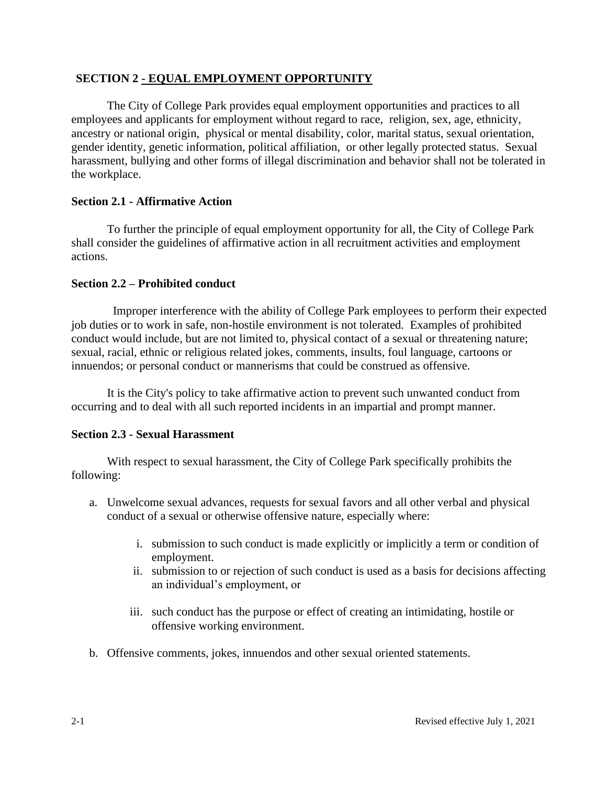# <span id="page-9-0"></span>**SECTION 2 - EQUAL EMPLOYMENT OPPORTUNITY**

The City of College Park provides equal employment opportunities and practices to all employees and applicants for employment without regard to race, religion, sex, age, ethnicity, ancestry or national origin, physical or mental disability, color, marital status, sexual orientation, gender identity, genetic information, political affiliation, or other legally protected status. Sexual harassment, bullying and other forms of illegal discrimination and behavior shall not be tolerated in the workplace.

# <span id="page-9-1"></span>**Section 2.1 - Affirmative Action**

To further the principle of equal employment opportunity for all, the City of College Park shall consider the guidelines of affirmative action in all recruitment activities and employment actions.

# <span id="page-9-2"></span>**Section 2.2 – Prohibited conduct**

 Improper interference with the ability of College Park employees to perform their expected job duties or to work in safe, non-hostile environment is not tolerated. Examples of prohibited conduct would include, but are not limited to, physical contact of a sexual or threatening nature; sexual, racial, ethnic or religious related jokes, comments, insults, foul language, cartoons or innuendos; or personal conduct or mannerisms that could be construed as offensive.

It is the City's policy to take affirmative action to prevent such unwanted conduct from occurring and to deal with all such reported incidents in an impartial and prompt manner.

#### <span id="page-9-3"></span>**Section 2.3 - Sexual Harassment**

With respect to sexual harassment, the City of College Park specifically prohibits the following:

- a. Unwelcome sexual advances, requests for sexual favors and all other verbal and physical conduct of a sexual or otherwise offensive nature, especially where:
	- i. submission to such conduct is made explicitly or implicitly a term or condition of employment.
	- ii. submission to or rejection of such conduct is used as a basis for decisions affecting an individual's employment, or
	- iii. such conduct has the purpose or effect of creating an intimidating, hostile or offensive working environment.
- b. Offensive comments, jokes, innuendos and other sexual oriented statements.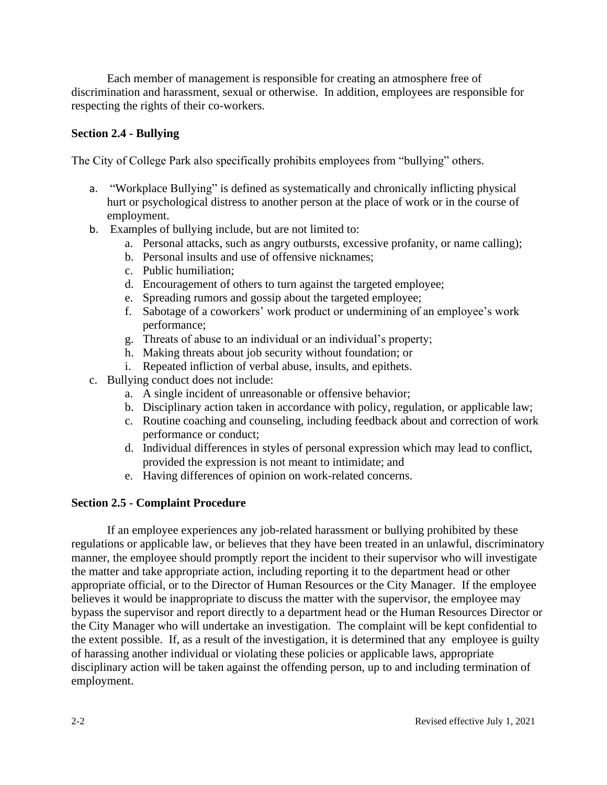Each member of management is responsible for creating an atmosphere free of discrimination and harassment, sexual or otherwise. In addition, employees are responsible for respecting the rights of their co-workers.

# <span id="page-10-0"></span>**Section 2.4 - Bullying**

The City of College Park also specifically prohibits employees from "bullying" others.

- a. "Workplace Bullying" is defined as systematically and chronically inflicting physical hurt or psychological distress to another person at the place of work or in the course of employment.
- b. Examples of bullying include, but are not limited to:
	- a. Personal attacks, such as angry outbursts, excessive profanity, or name calling);
	- b. Personal insults and use of offensive nicknames;
	- c. Public humiliation;
	- d. Encouragement of others to turn against the targeted employee;
	- e. Spreading rumors and gossip about the targeted employee;
	- f. Sabotage of a coworkers' work product or undermining of an employee's work performance;
	- g. Threats of abuse to an individual or an individual's property;
	- h. Making threats about job security without foundation; or
	- i. Repeated infliction of verbal abuse, insults, and epithets.
- c. Bullying conduct does not include:
	- a. A single incident of unreasonable or offensive behavior;
	- b. Disciplinary action taken in accordance with policy, regulation, or applicable law;
	- c. Routine coaching and counseling, including feedback about and correction of work performance or conduct;
	- d. Individual differences in styles of personal expression which may lead to conflict, provided the expression is not meant to intimidate; and
	- e. Having differences of opinion on work-related concerns.

#### <span id="page-10-1"></span>**Section 2.5 - Complaint Procedure**

If an employee experiences any job-related harassment or bullying prohibited by these regulations or applicable law, or believes that they have been treated in an unlawful, discriminatory manner, the employee should promptly report the incident to their supervisor who will investigate the matter and take appropriate action, including reporting it to the department head or other appropriate official, or to the Director of Human Resources or the City Manager. If the employee believes it would be inappropriate to discuss the matter with the supervisor, the employee may bypass the supervisor and report directly to a department head or the Human Resources Director or the City Manager who will undertake an investigation. The complaint will be kept confidential to the extent possible. If, as a result of the investigation, it is determined that any employee is guilty of harassing another individual or violating these policies or applicable laws, appropriate disciplinary action will be taken against the offending person, up to and including termination of employment.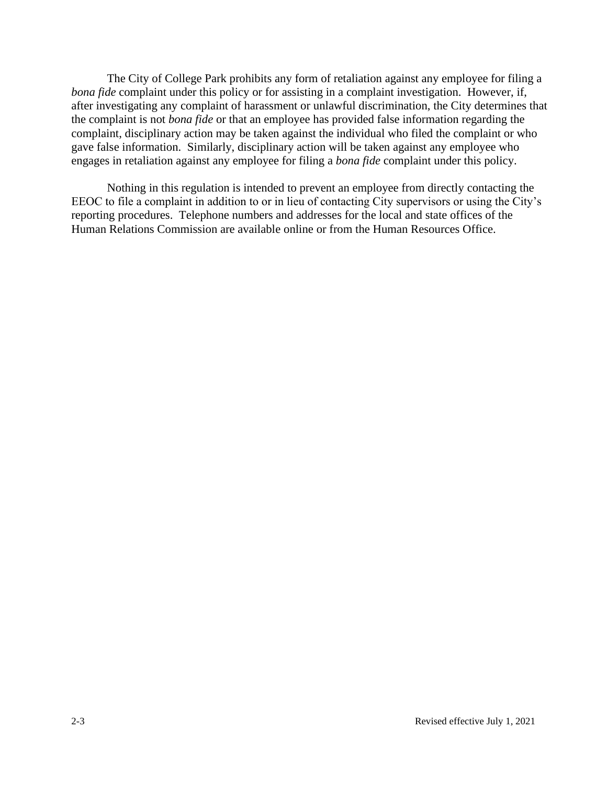The City of College Park prohibits any form of retaliation against any employee for filing a *bona fide* complaint under this policy or for assisting in a complaint investigation. However, if, after investigating any complaint of harassment or unlawful discrimination, the City determines that the complaint is not *bona fide* or that an employee has provided false information regarding the complaint, disciplinary action may be taken against the individual who filed the complaint or who gave false information. Similarly, disciplinary action will be taken against any employee who engages in retaliation against any employee for filing a *bona fide* complaint under this policy.

Nothing in this regulation is intended to prevent an employee from directly contacting the EEOC to file a complaint in addition to or in lieu of contacting City supervisors or using the City's reporting procedures. Telephone numbers and addresses for the local and state offices of the Human Relations Commission are available online or from the Human Resources Office.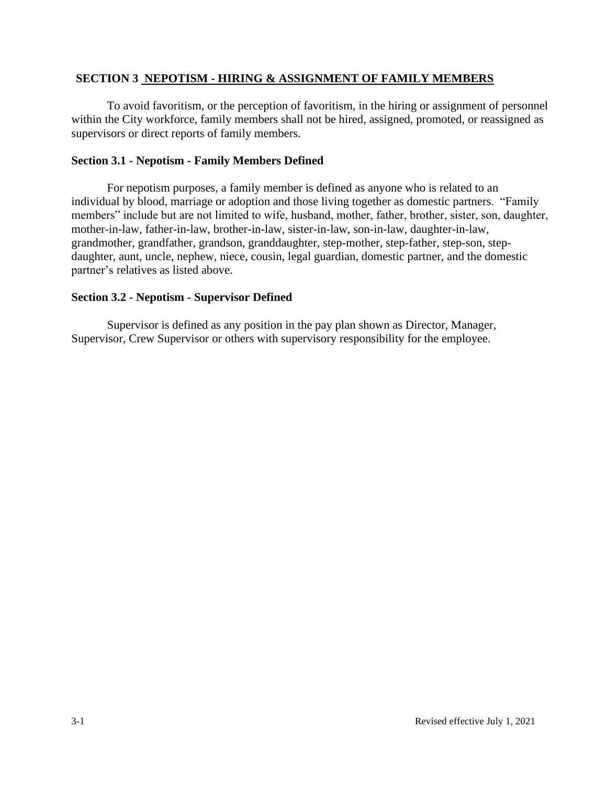#### <span id="page-12-0"></span>**SECTION 3 NEPOTISM - HIRING & ASSIGNMENT OF FAMILY MEMBERS**

To avoid favoritism, or the perception of favoritism, in the hiring or assignment of personnel within the City workforce, family members shall not be hired, assigned, promoted, or reassigned as supervisors or direct reports of family members.

#### <span id="page-12-1"></span>**Section 3.1 - Nepotism - Family Members Defined**

For nepotism purposes, a family member is defined as anyone who is related to an individual by blood, marriage or adoption and those living together as domestic partners. "Family members" include but are not limited to wife, husband, mother, father, brother, sister, son, daughter, mother-in-law, father-in-law, brother-in-law, sister-in-law, son-in-law, daughter-in-law, grandmother, grandfather, grandson, granddaughter, step-mother, step-father, step-son, stepdaughter, aunt, uncle, nephew, niece, cousin, legal guardian, domestic partner, and the domestic partner's relatives as listed above.

#### <span id="page-12-2"></span>**Section 3.2 - Nepotism - Supervisor Defined**

Supervisor is defined as any position in the pay plan shown as Director, Manager, Supervisor, Crew Supervisor or others with supervisory responsibility for the employee.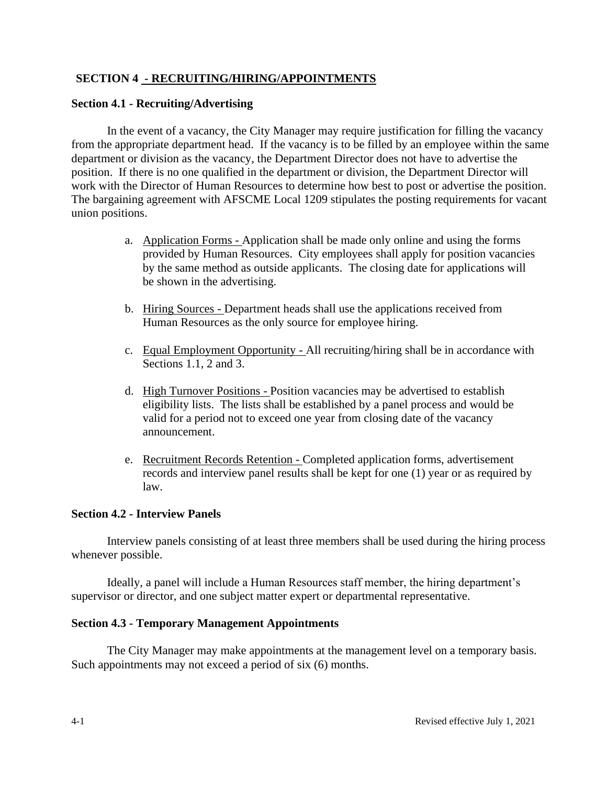# <span id="page-13-0"></span>**SECTION 4 - RECRUITING/HIRING/APPOINTMENTS**

#### <span id="page-13-1"></span>**Section 4.1 - Recruiting/Advertising**

In the event of a vacancy, the City Manager may require justification for filling the vacancy from the appropriate department head. If the vacancy is to be filled by an employee within the same department or division as the vacancy, the Department Director does not have to advertise the position. If there is no one qualified in the department or division, the Department Director will work with the Director of Human Resources to determine how best to post or advertise the position. The bargaining agreement with AFSCME Local 1209 stipulates the posting requirements for vacant union positions.

- a. Application Forms Application shall be made only online and using the forms provided by Human Resources. City employees shall apply for position vacancies by the same method as outside applicants. The closing date for applications will be shown in the advertising.
- b. Hiring Sources Department heads shall use the applications received from Human Resources as the only source for employee hiring.
- c. Equal Employment Opportunity All recruiting/hiring shall be in accordance with Sections 1.1, 2 and 3.
- d. High Turnover Positions Position vacancies may be advertised to establish eligibility lists. The lists shall be established by a panel process and would be valid for a period not to exceed one year from closing date of the vacancy announcement.
- e. Recruitment Records Retention Completed application forms, advertisement records and interview panel results shall be kept for one (1) year or as required by law.

#### <span id="page-13-2"></span>**Section 4.2 - Interview Panels**

Interview panels consisting of at least three members shall be used during the hiring process whenever possible.

Ideally, a panel will include a Human Resources staff member, the hiring department's supervisor or director, and one subject matter expert or departmental representative.

#### <span id="page-13-3"></span>**Section 4.3 - Temporary Management Appointments**

The City Manager may make appointments at the management level on a temporary basis. Such appointments may not exceed a period of six (6) months.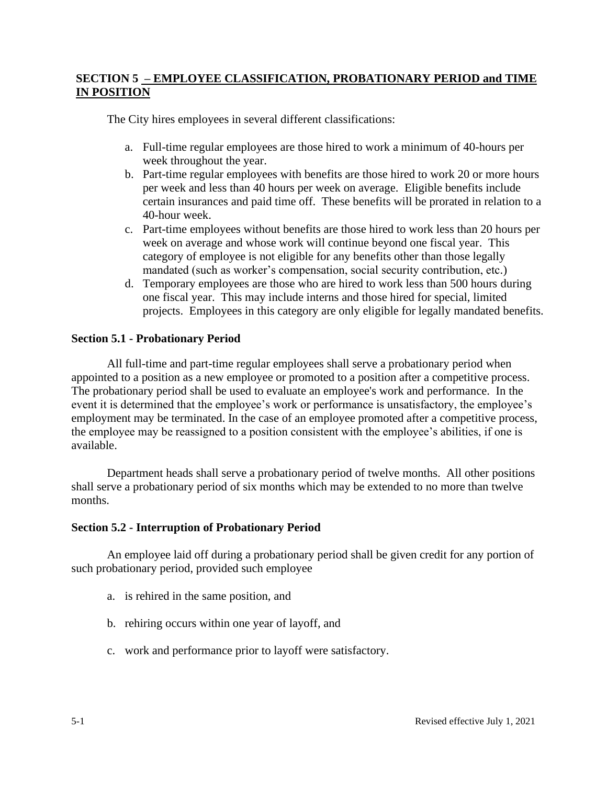# **SECTION 5 – EMPLOYEE CLASSIFICATION, PROBATIONARY PERIOD and TIME IN POSITION**

<span id="page-14-0"></span>The City hires employees in several different classifications:

- a. Full-time regular employees are those hired to work a minimum of 40-hours per week throughout the year.
- b. Part-time regular employees with benefits are those hired to work 20 or more hours per week and less than 40 hours per week on average. Eligible benefits include certain insurances and paid time off. These benefits will be prorated in relation to a 40-hour week.
- c. Part-time employees without benefits are those hired to work less than 20 hours per week on average and whose work will continue beyond one fiscal year. This category of employee is not eligible for any benefits other than those legally mandated (such as worker's compensation, social security contribution, etc.)
- d. Temporary employees are those who are hired to work less than 500 hours during one fiscal year. This may include interns and those hired for special, limited projects. Employees in this category are only eligible for legally mandated benefits.

# <span id="page-14-1"></span>**Section 5.1 - Probationary Period**

All full-time and part-time regular employees shall serve a probationary period when appointed to a position as a new employee or promoted to a position after a competitive process. The probationary period shall be used to evaluate an employee's work and performance. In the event it is determined that the employee's work or performance is unsatisfactory, the employee's employment may be terminated. In the case of an employee promoted after a competitive process, the employee may be reassigned to a position consistent with the employee's abilities, if one is available.

Department heads shall serve a probationary period of twelve months. All other positions shall serve a probationary period of six months which may be extended to no more than twelve months.

#### <span id="page-14-2"></span>**Section 5.2 - Interruption of Probationary Period**

An employee laid off during a probationary period shall be given credit for any portion of such probationary period, provided such employee

- a. is rehired in the same position, and
- b. rehiring occurs within one year of layoff, and
- c. work and performance prior to layoff were satisfactory.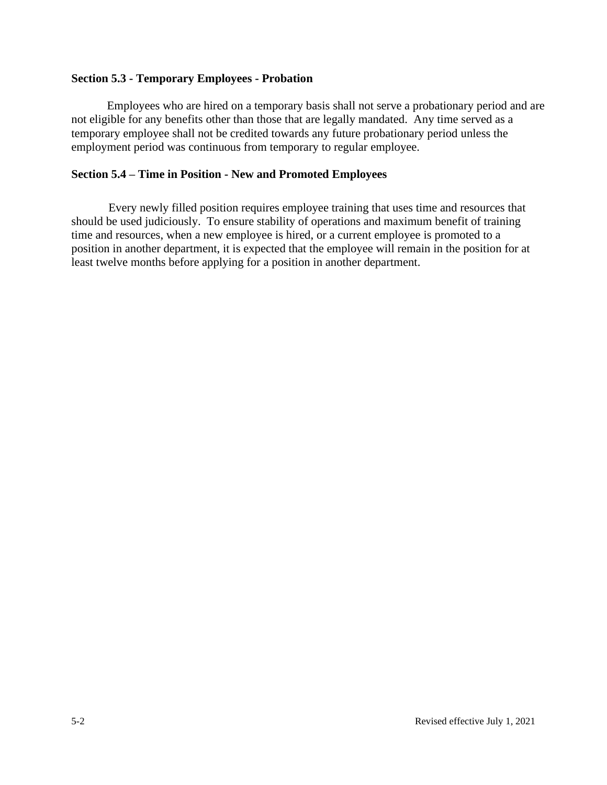#### <span id="page-15-0"></span>**Section 5.3 - Temporary Employees - Probation**

Employees who are hired on a temporary basis shall not serve a probationary period and are not eligible for any benefits other than those that are legally mandated. Any time served as a temporary employee shall not be credited towards any future probationary period unless the employment period was continuous from temporary to regular employee.

#### <span id="page-15-1"></span>**Section 5.4 – Time in Position - New and Promoted Employees**

Every newly filled position requires employee training that uses time and resources that should be used judiciously. To ensure stability of operations and maximum benefit of training time and resources, when a new employee is hired, or a current employee is promoted to a position in another department, it is expected that the employee will remain in the position for at least twelve months before applying for a position in another department.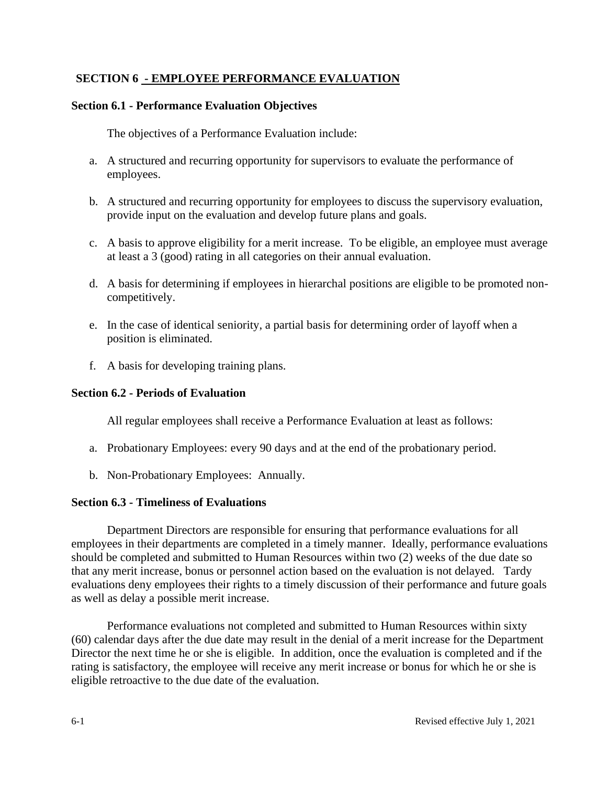# <span id="page-16-0"></span>**SECTION 6 - EMPLOYEE PERFORMANCE EVALUATION**

#### <span id="page-16-1"></span>**Section 6.1 - Performance Evaluation Objectives**

The objectives of a Performance Evaluation include:

- a. A structured and recurring opportunity for supervisors to evaluate the performance of employees.
- b. A structured and recurring opportunity for employees to discuss the supervisory evaluation, provide input on the evaluation and develop future plans and goals.
- c. A basis to approve eligibility for a merit increase. To be eligible, an employee must average at least a 3 (good) rating in all categories on their annual evaluation.
- d. A basis for determining if employees in hierarchal positions are eligible to be promoted noncompetitively.
- e. In the case of identical seniority, a partial basis for determining order of layoff when a position is eliminated.
- f. A basis for developing training plans.

#### <span id="page-16-2"></span>**Section 6.2 - Periods of Evaluation**

All regular employees shall receive a Performance Evaluation at least as follows:

- a. Probationary Employees: every 90 days and at the end of the probationary period.
- b. Non-Probationary Employees: Annually.

#### <span id="page-16-3"></span>**Section 6.3 - Timeliness of Evaluations**

Department Directors are responsible for ensuring that performance evaluations for all employees in their departments are completed in a timely manner. Ideally, performance evaluations should be completed and submitted to Human Resources within two (2) weeks of the due date so that any merit increase, bonus or personnel action based on the evaluation is not delayed. Tardy evaluations deny employees their rights to a timely discussion of their performance and future goals as well as delay a possible merit increase.

Performance evaluations not completed and submitted to Human Resources within sixty (60) calendar days after the due date may result in the denial of a merit increase for the Department Director the next time he or she is eligible. In addition, once the evaluation is completed and if the rating is satisfactory, the employee will receive any merit increase or bonus for which he or she is eligible retroactive to the due date of the evaluation.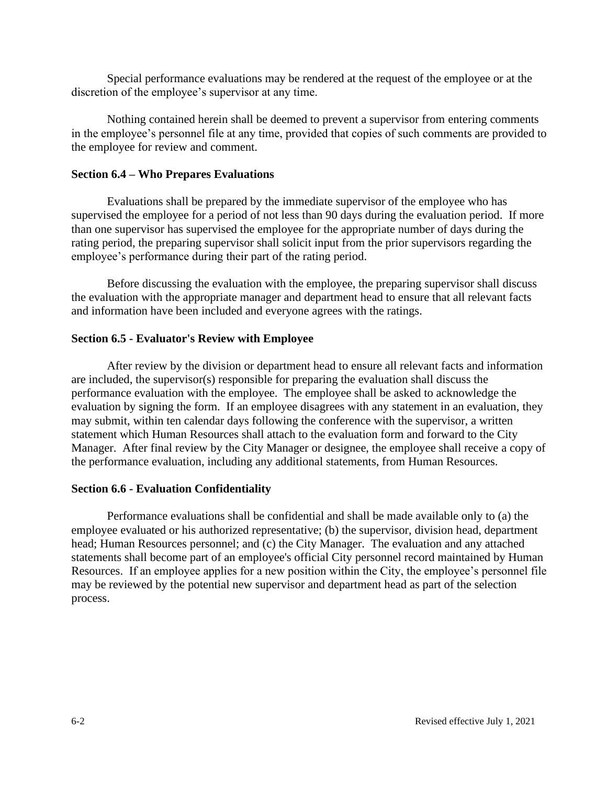Special performance evaluations may be rendered at the request of the employee or at the discretion of the employee's supervisor at any time.

Nothing contained herein shall be deemed to prevent a supervisor from entering comments in the employee's personnel file at any time, provided that copies of such comments are provided to the employee for review and comment.

#### <span id="page-17-0"></span>**Section 6.4 – Who Prepares Evaluations**

Evaluations shall be prepared by the immediate supervisor of the employee who has supervised the employee for a period of not less than 90 days during the evaluation period. If more than one supervisor has supervised the employee for the appropriate number of days during the rating period, the preparing supervisor shall solicit input from the prior supervisors regarding the employee's performance during their part of the rating period.

Before discussing the evaluation with the employee, the preparing supervisor shall discuss the evaluation with the appropriate manager and department head to ensure that all relevant facts and information have been included and everyone agrees with the ratings.

# <span id="page-17-1"></span>**Section 6.5 - Evaluator's Review with Employee**

After review by the division or department head to ensure all relevant facts and information are included, the supervisor(s) responsible for preparing the evaluation shall discuss the performance evaluation with the employee. The employee shall be asked to acknowledge the evaluation by signing the form. If an employee disagrees with any statement in an evaluation, they may submit, within ten calendar days following the conference with the supervisor, a written statement which Human Resources shall attach to the evaluation form and forward to the City Manager. After final review by the City Manager or designee, the employee shall receive a copy of the performance evaluation, including any additional statements, from Human Resources.

#### <span id="page-17-2"></span>**Section 6.6 - Evaluation Confidentiality**

Performance evaluations shall be confidential and shall be made available only to (a) the employee evaluated or his authorized representative; (b) the supervisor, division head, department head; Human Resources personnel; and (c) the City Manager. The evaluation and any attached statements shall become part of an employee's official City personnel record maintained by Human Resources. If an employee applies for a new position within the City, the employee's personnel file may be reviewed by the potential new supervisor and department head as part of the selection process.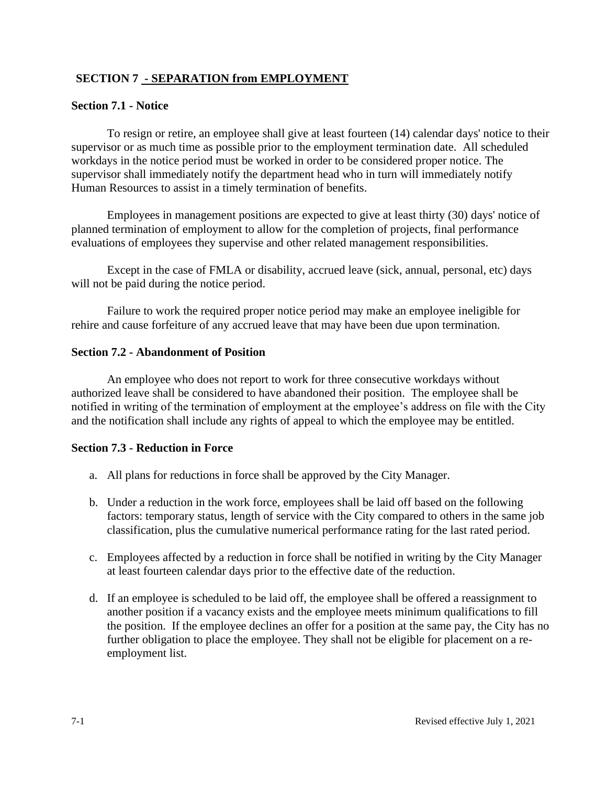# <span id="page-18-0"></span>**SECTION 7 - SEPARATION from EMPLOYMENT**

# <span id="page-18-1"></span>**Section 7.1 - Notice**

To resign or retire, an employee shall give at least fourteen (14) calendar days' notice to their supervisor or as much time as possible prior to the employment termination date. All scheduled workdays in the notice period must be worked in order to be considered proper notice. The supervisor shall immediately notify the department head who in turn will immediately notify Human Resources to assist in a timely termination of benefits.

Employees in management positions are expected to give at least thirty (30) days' notice of planned termination of employment to allow for the completion of projects, final performance evaluations of employees they supervise and other related management responsibilities.

Except in the case of FMLA or disability, accrued leave (sick, annual, personal, etc) days will not be paid during the notice period.

Failure to work the required proper notice period may make an employee ineligible for rehire and cause forfeiture of any accrued leave that may have been due upon termination.

# <span id="page-18-2"></span>**Section 7.2 - Abandonment of Position**

An employee who does not report to work for three consecutive workdays without authorized leave shall be considered to have abandoned their position. The employee shall be notified in writing of the termination of employment at the employee's address on file with the City and the notification shall include any rights of appeal to which the employee may be entitled.

# <span id="page-18-3"></span>**Section 7.3 - Reduction in Force**

- a. All plans for reductions in force shall be approved by the City Manager.
- b. Under a reduction in the work force, employees shall be laid off based on the following factors: temporary status, length of service with the City compared to others in the same job classification, plus the cumulative numerical performance rating for the last rated period.
- c. Employees affected by a reduction in force shall be notified in writing by the City Manager at least fourteen calendar days prior to the effective date of the reduction.
- d. If an employee is scheduled to be laid off, the employee shall be offered a reassignment to another position if a vacancy exists and the employee meets minimum qualifications to fill the position. If the employee declines an offer for a position at the same pay, the City has no further obligation to place the employee. They shall not be eligible for placement on a reemployment list.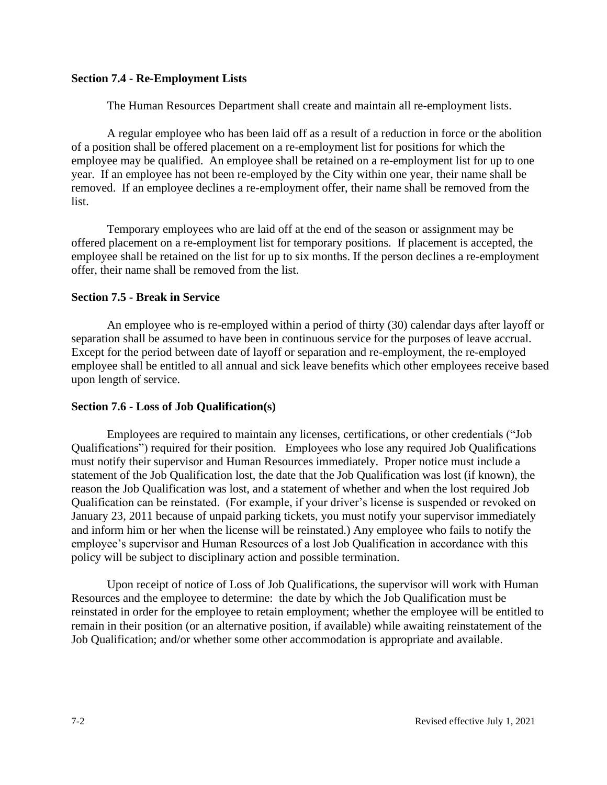#### <span id="page-19-0"></span>**Section 7.4 - Re-Employment Lists**

The Human Resources Department shall create and maintain all re-employment lists.

A regular employee who has been laid off as a result of a reduction in force or the abolition of a position shall be offered placement on a re-employment list for positions for which the employee may be qualified. An employee shall be retained on a re-employment list for up to one year. If an employee has not been re-employed by the City within one year, their name shall be removed. If an employee declines a re-employment offer, their name shall be removed from the list.

Temporary employees who are laid off at the end of the season or assignment may be offered placement on a re-employment list for temporary positions. If placement is accepted, the employee shall be retained on the list for up to six months. If the person declines a re-employment offer, their name shall be removed from the list.

#### <span id="page-19-1"></span>**Section 7.5 - Break in Service**

An employee who is re-employed within a period of thirty (30) calendar days after layoff or separation shall be assumed to have been in continuous service for the purposes of leave accrual. Except for the period between date of layoff or separation and re-employment, the re-employed employee shall be entitled to all annual and sick leave benefits which other employees receive based upon length of service.

#### <span id="page-19-2"></span>**Section 7.6 - Loss of Job Qualification(s)**

Employees are required to maintain any licenses, certifications, or other credentials ("Job Qualifications") required for their position. Employees who lose any required Job Qualifications must notify their supervisor and Human Resources immediately. Proper notice must include a statement of the Job Qualification lost, the date that the Job Qualification was lost (if known), the reason the Job Qualification was lost, and a statement of whether and when the lost required Job Qualification can be reinstated. (For example, if your driver's license is suspended or revoked on January 23, 2011 because of unpaid parking tickets, you must notify your supervisor immediately and inform him or her when the license will be reinstated.) Any employee who fails to notify the employee's supervisor and Human Resources of a lost Job Qualification in accordance with this policy will be subject to disciplinary action and possible termination.

Upon receipt of notice of Loss of Job Qualifications, the supervisor will work with Human Resources and the employee to determine: the date by which the Job Qualification must be reinstated in order for the employee to retain employment; whether the employee will be entitled to remain in their position (or an alternative position, if available) while awaiting reinstatement of the Job Qualification; and/or whether some other accommodation is appropriate and available.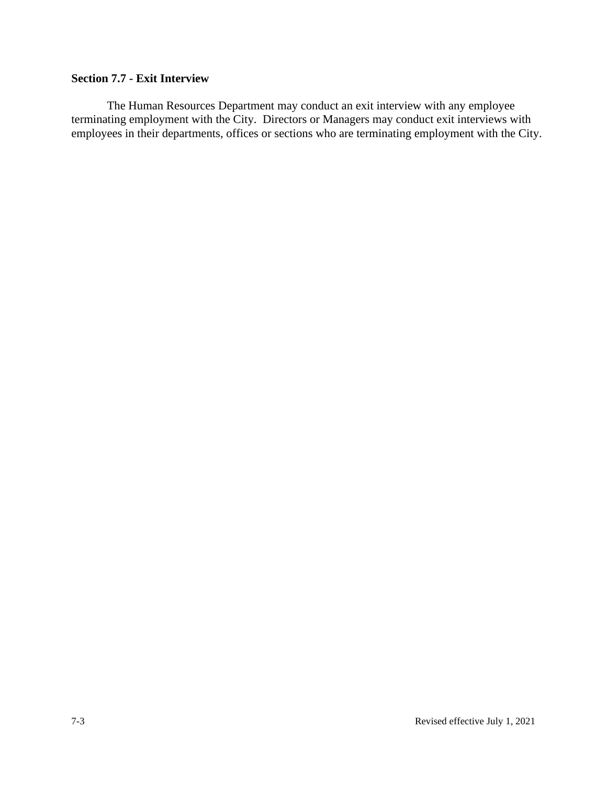# <span id="page-20-0"></span>**Section 7.7 - Exit Interview**

The Human Resources Department may conduct an exit interview with any employee terminating employment with the City. Directors or Managers may conduct exit interviews with employees in their departments, offices or sections who are terminating employment with the City.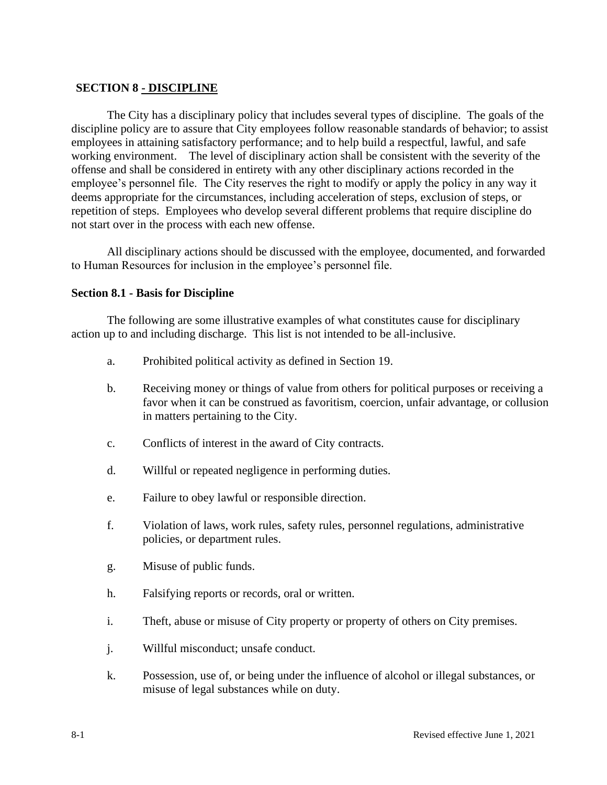# <span id="page-21-0"></span>**SECTION 8 - DISCIPLINE**

The City has a disciplinary policy that includes several types of discipline. The goals of the discipline policy are to assure that City employees follow reasonable standards of behavior; to assist employees in attaining satisfactory performance; and to help build a respectful, lawful, and safe working environment. The level of disciplinary action shall be consistent with the severity of the offense and shall be considered in entirety with any other disciplinary actions recorded in the employee's personnel file. The City reserves the right to modify or apply the policy in any way it deems appropriate for the circumstances, including acceleration of steps, exclusion of steps, or repetition of steps. Employees who develop several different problems that require discipline do not start over in the process with each new offense.

All disciplinary actions should be discussed with the employee, documented, and forwarded to Human Resources for inclusion in the employee's personnel file.

#### <span id="page-21-1"></span>**Section 8.1 - Basis for Discipline**

The following are some illustrative examples of what constitutes cause for disciplinary action up to and including discharge. This list is not intended to be all-inclusive.

- a. Prohibited political activity as defined in Section 19.
- b. Receiving money or things of value from others for political purposes or receiving a favor when it can be construed as favoritism, coercion, unfair advantage, or collusion in matters pertaining to the City.
- c. Conflicts of interest in the award of City contracts.
- d. Willful or repeated negligence in performing duties.
- e. Failure to obey lawful or responsible direction.
- f. Violation of laws, work rules, safety rules, personnel regulations, administrative policies, or department rules.
- g. Misuse of public funds.
- h. Falsifying reports or records, oral or written.
- i. Theft, abuse or misuse of City property or property of others on City premises.
- j. Willful misconduct; unsafe conduct.
- k. Possession, use of, or being under the influence of alcohol or illegal substances, or misuse of legal substances while on duty.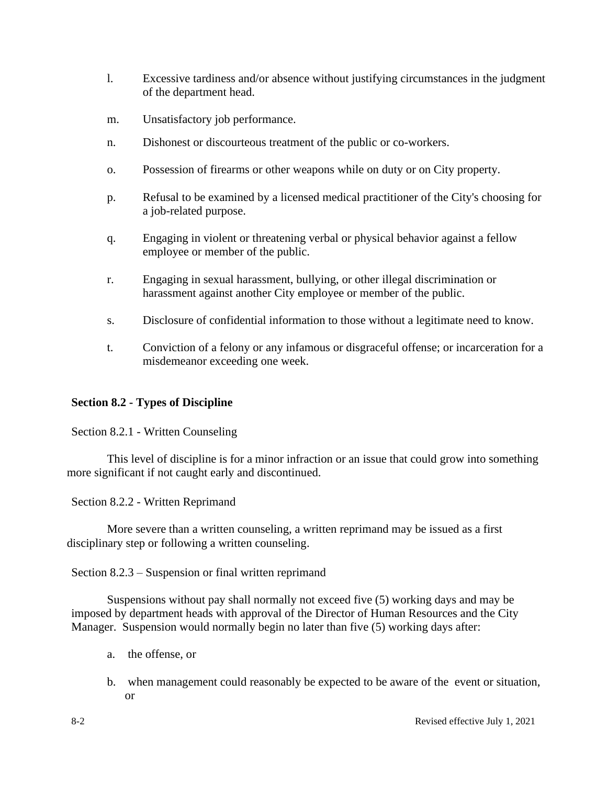- l. Excessive tardiness and/or absence without justifying circumstances in the judgment of the department head.
- m. Unsatisfactory job performance.
- n. Dishonest or discourteous treatment of the public or co-workers.
- o. Possession of firearms or other weapons while on duty or on City property.
- p. Refusal to be examined by a licensed medical practitioner of the City's choosing for a job-related purpose.
- q. Engaging in violent or threatening verbal or physical behavior against a fellow employee or member of the public.
- r. Engaging in sexual harassment, bullying, or other illegal discrimination or harassment against another City employee or member of the public.
- s. Disclosure of confidential information to those without a legitimate need to know.
- t. Conviction of a felony or any infamous or disgraceful offense; or incarceration for a misdemeanor exceeding one week.

#### <span id="page-22-0"></span>**Section 8.2 - Types of Discipline**

#### <span id="page-22-1"></span>Section 8.2.1 - Written Counseling

This level of discipline is for a minor infraction or an issue that could grow into something more significant if not caught early and discontinued.

#### <span id="page-22-2"></span>Section 8.2.2 - Written Reprimand

More severe than a written counseling, a written reprimand may be issued as a first disciplinary step or following a written counseling.

#### <span id="page-22-3"></span>Section 8.2.3 – Suspension or final written reprimand

Suspensions without pay shall normally not exceed five (5) working days and may be imposed by department heads with approval of the Director of Human Resources and the City Manager. Suspension would normally begin no later than five (5) working days after:

- a. the offense, or
- b. when management could reasonably be expected to be aware of the event or situation, or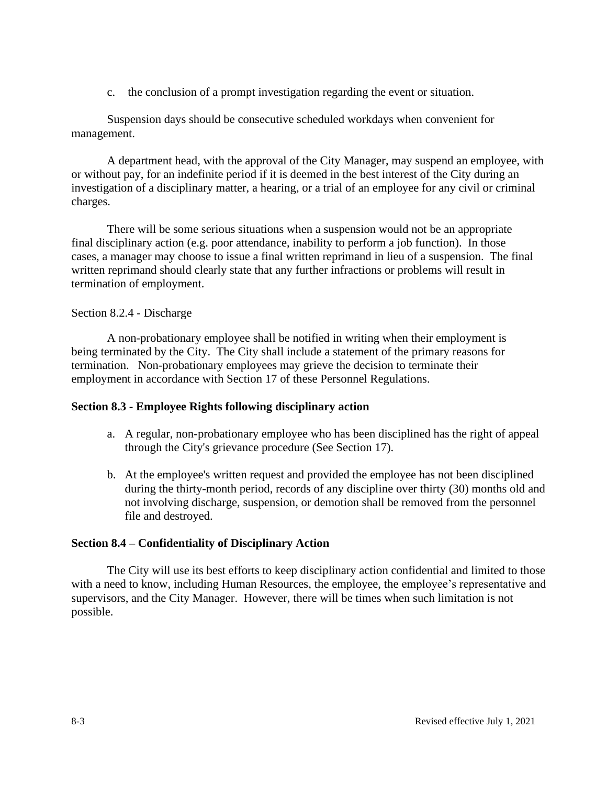c. the conclusion of a prompt investigation regarding the event or situation.

Suspension days should be consecutive scheduled workdays when convenient for management.

A department head, with the approval of the City Manager, may suspend an employee, with or without pay, for an indefinite period if it is deemed in the best interest of the City during an investigation of a disciplinary matter, a hearing, or a trial of an employee for any civil or criminal charges.

There will be some serious situations when a suspension would not be an appropriate final disciplinary action (e.g. poor attendance, inability to perform a job function). In those cases, a manager may choose to issue a final written reprimand in lieu of a suspension. The final written reprimand should clearly state that any further infractions or problems will result in termination of employment.

# <span id="page-23-0"></span>Section 8.2.4 - Discharge

A non-probationary employee shall be notified in writing when their employment is being terminated by the City. The City shall include a statement of the primary reasons for termination. Non-probationary employees may grieve the decision to terminate their employment in accordance with Section 17 of these Personnel Regulations.

#### <span id="page-23-1"></span>**Section 8.3 - Employee Rights following disciplinary action**

- a. A regular, non-probationary employee who has been disciplined has the right of appeal through the City's grievance procedure (See Section 17).
- b. At the employee's written request and provided the employee has not been disciplined during the thirty-month period, records of any discipline over thirty (30) months old and not involving discharge, suspension, or demotion shall be removed from the personnel file and destroyed.

# <span id="page-23-2"></span>**Section 8.4 – Confidentiality of Disciplinary Action**

The City will use its best efforts to keep disciplinary action confidential and limited to those with a need to know, including Human Resources, the employee, the employee's representative and supervisors, and the City Manager. However, there will be times when such limitation is not possible.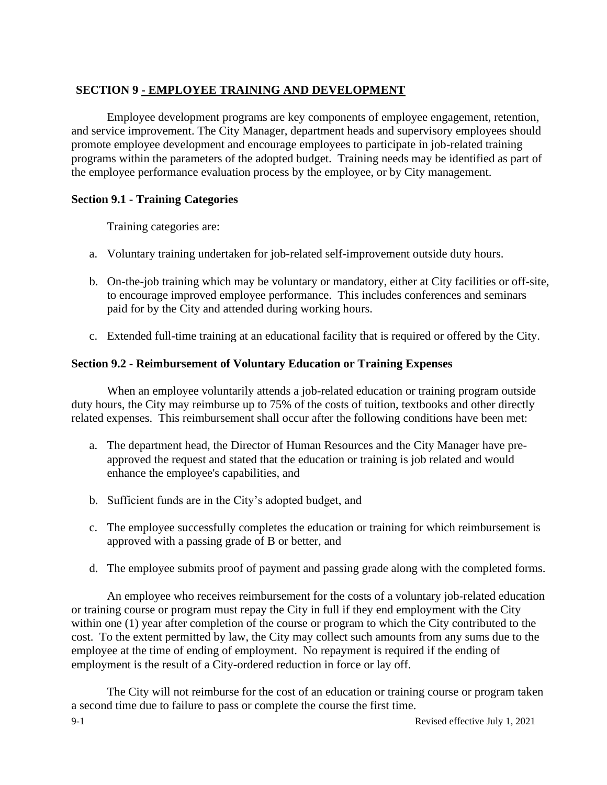# <span id="page-24-0"></span>**SECTION 9 - EMPLOYEE TRAINING AND DEVELOPMENT**

Employee development programs are key components of employee engagement, retention, and service improvement. The City Manager, department heads and supervisory employees should promote employee development and encourage employees to participate in job-related training programs within the parameters of the adopted budget. Training needs may be identified as part of the employee performance evaluation process by the employee, or by City management.

# <span id="page-24-1"></span>**Section 9.1 - Training Categories**

Training categories are:

- a. Voluntary training undertaken for job-related self-improvement outside duty hours.
- b. On-the-job training which may be voluntary or mandatory, either at City facilities or off-site, to encourage improved employee performance. This includes conferences and seminars paid for by the City and attended during working hours.
- c. Extended full-time training at an educational facility that is required or offered by the City.

# <span id="page-24-2"></span>**Section 9.2 - Reimbursement of Voluntary Education or Training Expenses**

When an employee voluntarily attends a job-related education or training program outside duty hours, the City may reimburse up to 75% of the costs of tuition, textbooks and other directly related expenses. This reimbursement shall occur after the following conditions have been met:

- a. The department head, the Director of Human Resources and the City Manager have preapproved the request and stated that the education or training is job related and would enhance the employee's capabilities, and
- b. Sufficient funds are in the City's adopted budget, and
- c. The employee successfully completes the education or training for which reimbursement is approved with a passing grade of B or better, and
- d. The employee submits proof of payment and passing grade along with the completed forms.

An employee who receives reimbursement for the costs of a voluntary job-related education or training course or program must repay the City in full if they end employment with the City within one (1) year after completion of the course or program to which the City contributed to the cost. To the extent permitted by law, the City may collect such amounts from any sums due to the employee at the time of ending of employment. No repayment is required if the ending of employment is the result of a City-ordered reduction in force or lay off.

The City will not reimburse for the cost of an education or training course or program taken a second time due to failure to pass or complete the course the first time.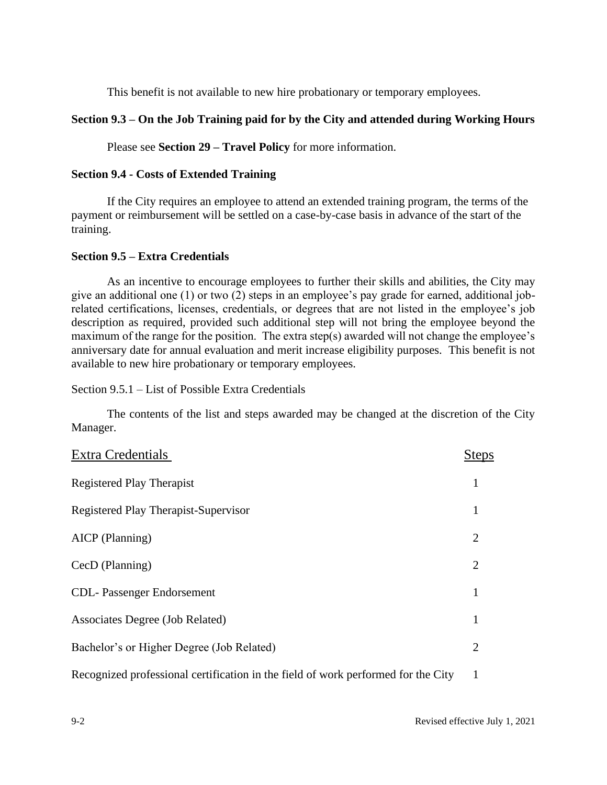This benefit is not available to new hire probationary or temporary employees.

# <span id="page-25-0"></span>**Section 9.3 – On the Job Training paid for by the City and attended during Working Hours**

Please see **Section 29 – Travel Policy** for more information.

#### <span id="page-25-1"></span>**Section 9.4 - Costs of Extended Training**

If the City requires an employee to attend an extended training program, the terms of the payment or reimbursement will be settled on a case-by-case basis in advance of the start of the training.

#### <span id="page-25-2"></span>**Section 9.5 – Extra Credentials**

As an incentive to encourage employees to further their skills and abilities, the City may give an additional one (1) or two (2) steps in an employee's pay grade for earned, additional jobrelated certifications, licenses, credentials, or degrees that are not listed in the employee's job description as required, provided such additional step will not bring the employee beyond the maximum of the range for the position. The extra step(s) awarded will not change the employee's anniversary date for annual evaluation and merit increase eligibility purposes. This benefit is not available to new hire probationary or temporary employees.

#### <span id="page-25-3"></span>Section 9.5.1 – List of Possible Extra Credentials

The contents of the list and steps awarded may be changed at the discretion of the City Manager.

| <b>Extra Credentials</b>                                                          | <b>Steps</b>          |
|-----------------------------------------------------------------------------------|-----------------------|
| Registered Play Therapist                                                         | 1                     |
| Registered Play Therapist-Supervisor                                              | 1                     |
| AICP (Planning)                                                                   | $\mathcal{D}_{\cdot}$ |
| CecD (Planning)                                                                   | $\overline{2}$        |
| <b>CDL-Passenger Endorsement</b>                                                  | 1                     |
| Associates Degree (Job Related)                                                   | 1                     |
| Bachelor's or Higher Degree (Job Related)                                         | $\mathcal{D}_{\cdot}$ |
| Recognized professional certification in the field of work performed for the City | 1                     |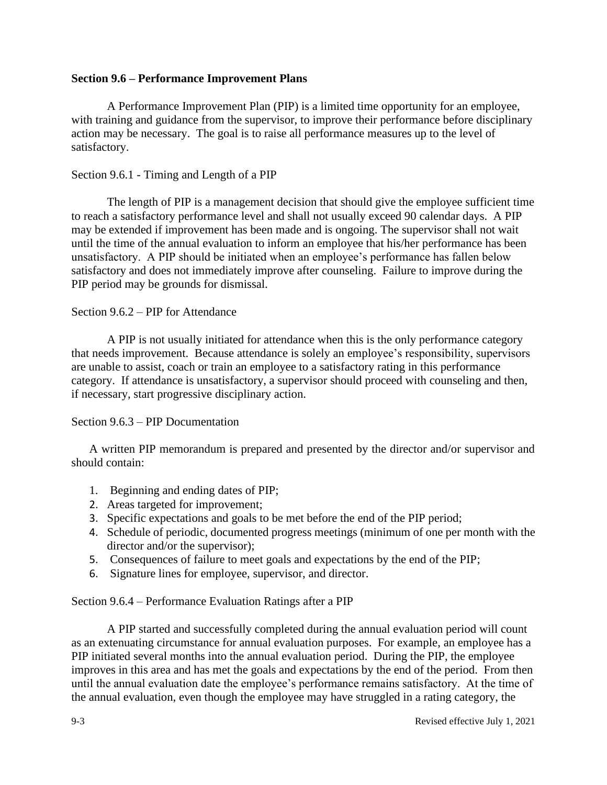#### <span id="page-26-0"></span>**Section 9.6 – Performance Improvement Plans**

A Performance Improvement Plan (PIP) is a limited time opportunity for an employee, with training and guidance from the supervisor, to improve their performance before disciplinary action may be necessary. The goal is to raise all performance measures up to the level of satisfactory.

#### <span id="page-26-1"></span>Section 9.6.1 - Timing and Length of a PIP

The length of PIP is a management decision that should give the employee sufficient time to reach a satisfactory performance level and shall not usually exceed 90 calendar days. A PIP may be extended if improvement has been made and is ongoing. The supervisor shall not wait until the time of the annual evaluation to inform an employee that his/her performance has been unsatisfactory. A PIP should be initiated when an employee's performance has fallen below satisfactory and does not immediately improve after counseling. Failure to improve during the PIP period may be grounds for dismissal.

#### <span id="page-26-2"></span>Section 9.6.2 – PIP for Attendance

A PIP is not usually initiated for attendance when this is the only performance category that needs improvement. Because attendance is solely an employee's responsibility, supervisors are unable to assist, coach or train an employee to a satisfactory rating in this performance category. If attendance is unsatisfactory, a supervisor should proceed with counseling and then, if necessary, start progressive disciplinary action.

#### <span id="page-26-3"></span>Section 9.6.3 – PIP Documentation

A written PIP memorandum is prepared and presented by the director and/or supervisor and should contain:

- 1. Beginning and ending dates of PIP;
- 2. Areas targeted for improvement;
- 3. Specific expectations and goals to be met before the end of the PIP period;
- 4. Schedule of periodic, documented progress meetings (minimum of one per month with the director and/or the supervisor);
- 5. Consequences of failure to meet goals and expectations by the end of the PIP;
- 6. Signature lines for employee, supervisor, and director.

<span id="page-26-4"></span>Section 9.6.4 – Performance Evaluation Ratings after a PIP

A PIP started and successfully completed during the annual evaluation period will count as an extenuating circumstance for annual evaluation purposes. For example, an employee has a PIP initiated several months into the annual evaluation period. During the PIP, the employee improves in this area and has met the goals and expectations by the end of the period. From then until the annual evaluation date the employee's performance remains satisfactory. At the time of the annual evaluation, even though the employee may have struggled in a rating category, the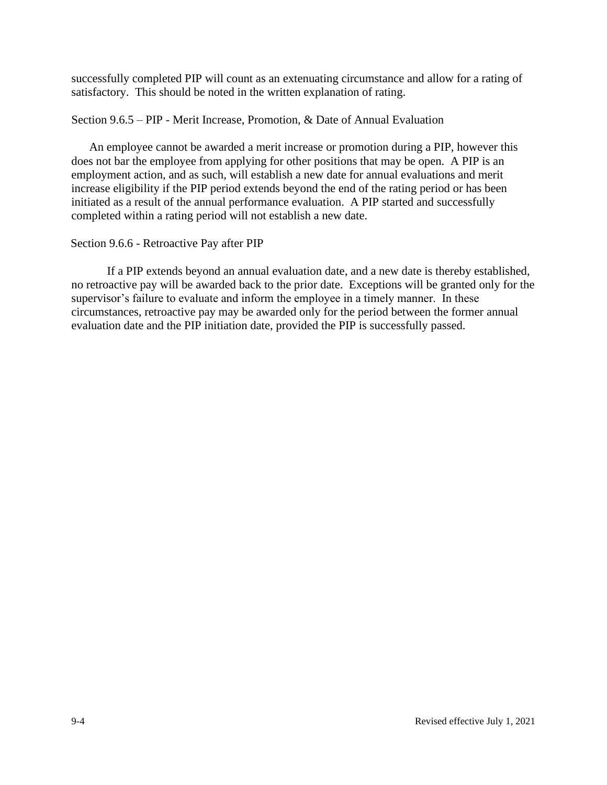successfully completed PIP will count as an extenuating circumstance and allow for a rating of satisfactory. This should be noted in the written explanation of rating.

#### <span id="page-27-0"></span>Section 9.6.5 – PIP - Merit Increase, Promotion, & Date of Annual Evaluation

An employee cannot be awarded a merit increase or promotion during a PIP, however this does not bar the employee from applying for other positions that may be open. A PIP is an employment action, and as such, will establish a new date for annual evaluations and merit increase eligibility if the PIP period extends beyond the end of the rating period or has been initiated as a result of the annual performance evaluation. A PIP started and successfully completed within a rating period will not establish a new date.

# <span id="page-27-1"></span>Section 9.6.6 - Retroactive Pay after PIP

If a PIP extends beyond an annual evaluation date, and a new date is thereby established, no retroactive pay will be awarded back to the prior date. Exceptions will be granted only for the supervisor's failure to evaluate and inform the employee in a timely manner. In these circumstances, retroactive pay may be awarded only for the period between the former annual evaluation date and the PIP initiation date, provided the PIP is successfully passed.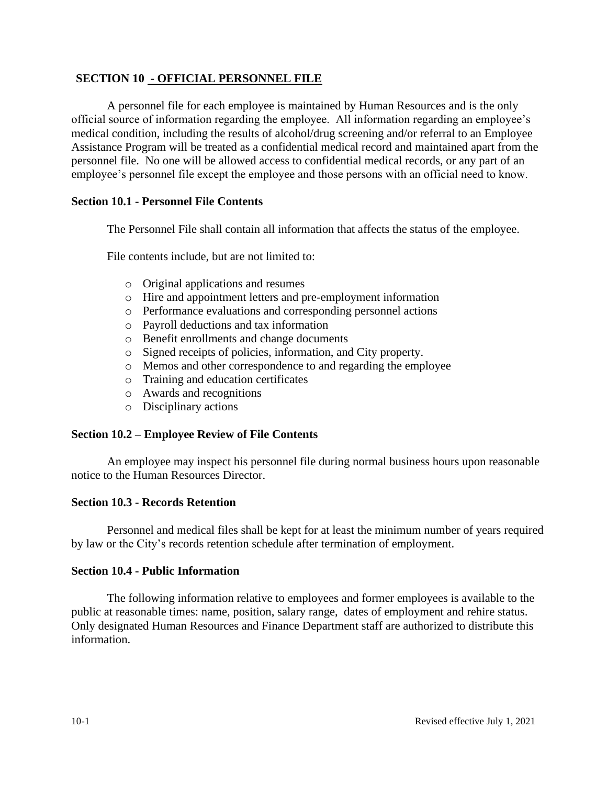#### <span id="page-28-0"></span>**SECTION 10 - OFFICIAL PERSONNEL FILE**

A personnel file for each employee is maintained by Human Resources and is the only official source of information regarding the employee. All information regarding an employee's medical condition, including the results of alcohol/drug screening and/or referral to an Employee Assistance Program will be treated as a confidential medical record and maintained apart from the personnel file. No one will be allowed access to confidential medical records, or any part of an employee's personnel file except the employee and those persons with an official need to know.

#### <span id="page-28-1"></span>**Section 10.1 - Personnel File Contents**

The Personnel File shall contain all information that affects the status of the employee.

File contents include, but are not limited to:

- o Original applications and resumes
- o Hire and appointment letters and pre-employment information
- o Performance evaluations and corresponding personnel actions
- o Payroll deductions and tax information
- o Benefit enrollments and change documents
- o Signed receipts of policies, information, and City property.
- o Memos and other correspondence to and regarding the employee
- o Training and education certificates
- o Awards and recognitions
- o Disciplinary actions

#### <span id="page-28-2"></span>**Section 10.2 – Employee Review of File Contents**

An employee may inspect his personnel file during normal business hours upon reasonable notice to the Human Resources Director.

#### <span id="page-28-3"></span>**Section 10.3 - Records Retention**

Personnel and medical files shall be kept for at least the minimum number of years required by law or the City's records retention schedule after termination of employment.

#### <span id="page-28-4"></span>**Section 10.4 - Public Information**

The following information relative to employees and former employees is available to the public at reasonable times: name, position, salary range, dates of employment and rehire status. Only designated Human Resources and Finance Department staff are authorized to distribute this information.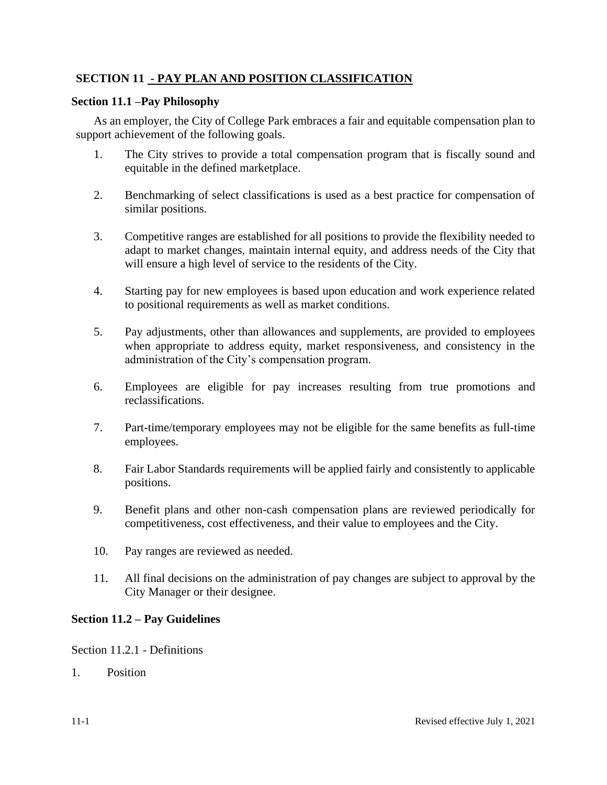# <span id="page-29-0"></span>**SECTION 11 - PAY PLAN AND POSITION CLASSIFICATION**

# <span id="page-29-1"></span>**Section 11.1 –Pay Philosophy**

As an employer, the City of College Park embraces a fair and equitable compensation plan to support achievement of the following goals.

- 1. The City strives to provide a total compensation program that is fiscally sound and equitable in the defined marketplace.
- 2. Benchmarking of select classifications is used as a best practice for compensation of similar positions.
- 3. Competitive ranges are established for all positions to provide the flexibility needed to adapt to market changes, maintain internal equity, and address needs of the City that will ensure a high level of service to the residents of the City.
- 4. Starting pay for new employees is based upon education and work experience related to positional requirements as well as market conditions.
- 5. Pay adjustments, other than allowances and supplements, are provided to employees when appropriate to address equity, market responsiveness, and consistency in the administration of the City's compensation program.
- 6. Employees are eligible for pay increases resulting from true promotions and reclassifications.
- 7. Part-time/temporary employees may not be eligible for the same benefits as full-time employees.
- 8. Fair Labor Standards requirements will be applied fairly and consistently to applicable positions.
- 9. Benefit plans and other non-cash compensation plans are reviewed periodically for competitiveness, cost effectiveness, and their value to employees and the City.
- 10. Pay ranges are reviewed as needed.
- 11. All final decisions on the administration of pay changes are subject to approval by the City Manager or their designee.

# <span id="page-29-2"></span>**Section 11.2 – Pay Guidelines**

<span id="page-29-3"></span>Section 11.2.1 - Definitions

1. Position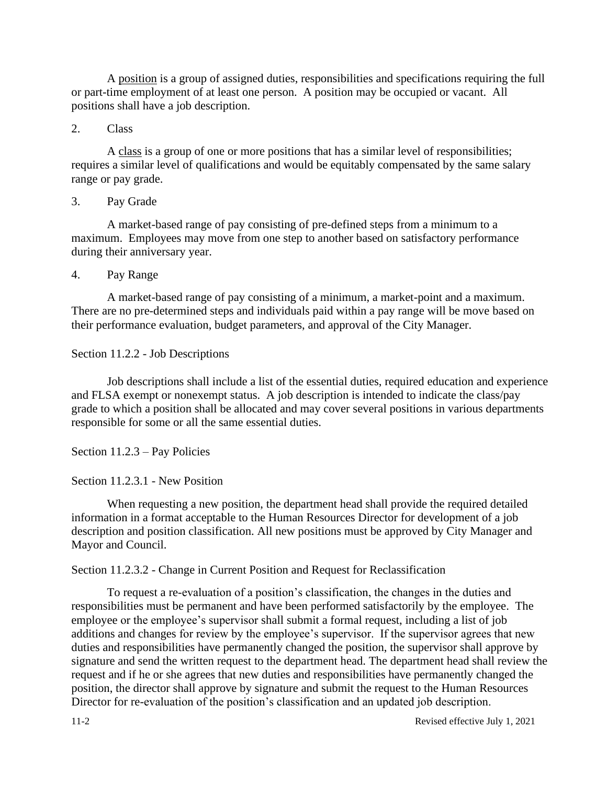A position is a group of assigned duties, responsibilities and specifications requiring the full or part-time employment of at least one person. A position may be occupied or vacant. All positions shall have a job description.

# 2. Class

A class is a group of one or more positions that has a similar level of responsibilities; requires a similar level of qualifications and would be equitably compensated by the same salary range or pay grade.

# 3. Pay Grade

A market-based range of pay consisting of pre-defined steps from a minimum to a maximum. Employees may move from one step to another based on satisfactory performance during their anniversary year.

# 4. Pay Range

A market-based range of pay consisting of a minimum, a market-point and a maximum. There are no pre-determined steps and individuals paid within a pay range will be move based on their performance evaluation, budget parameters, and approval of the City Manager.

# <span id="page-30-0"></span>Section 11.2.2 - Job Descriptions

Job descriptions shall include a list of the essential duties, required education and experience and FLSA exempt or nonexempt status. A job description is intended to indicate the class/pay grade to which a position shall be allocated and may cover several positions in various departments responsible for some or all the same essential duties.

<span id="page-30-1"></span>Section 11.2.3 – Pay Policies

# Section 11.2.3.1 - New Position

When requesting a new position, the department head shall provide the required detailed information in a format acceptable to the Human Resources Director for development of a job description and position classification. All new positions must be approved by City Manager and Mayor and Council.

# Section 11.2.3.2 - Change in Current Position and Request for Reclassification

To request a re-evaluation of a position's classification, the changes in the duties and responsibilities must be permanent and have been performed satisfactorily by the employee. The employee or the employee's supervisor shall submit a formal request, including a list of job additions and changes for review by the employee's supervisor. If the supervisor agrees that new duties and responsibilities have permanently changed the position, the supervisor shall approve by signature and send the written request to the department head. The department head shall review the request and if he or she agrees that new duties and responsibilities have permanently changed the position, the director shall approve by signature and submit the request to the Human Resources Director for re-evaluation of the position's classification and an updated job description.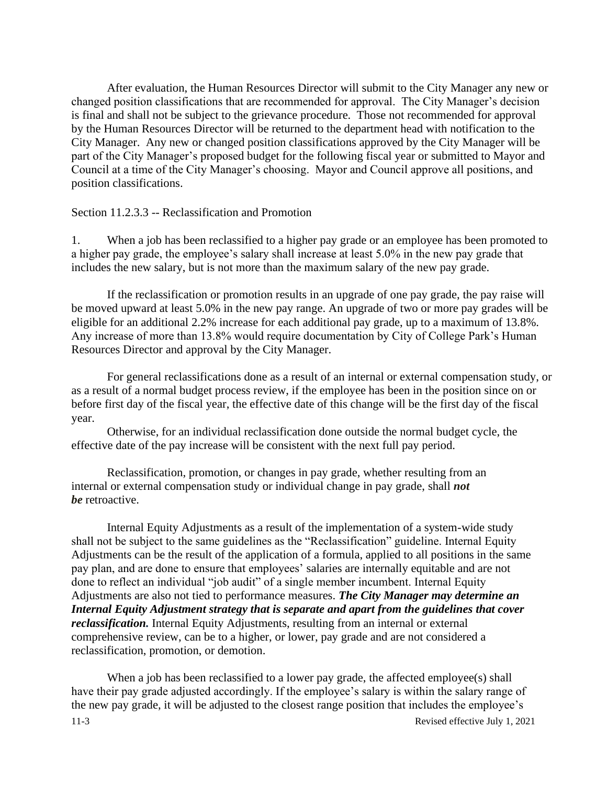After evaluation, the Human Resources Director will submit to the City Manager any new or changed position classifications that are recommended for approval. The City Manager's decision is final and shall not be subject to the grievance procedure. Those not recommended for approval by the Human Resources Director will be returned to the department head with notification to the City Manager. Any new or changed position classifications approved by the City Manager will be part of the City Manager's proposed budget for the following fiscal year or submitted to Mayor and Council at a time of the City Manager's choosing. Mayor and Council approve all positions, and position classifications.

Section 11.2.3.3 -- Reclassification and Promotion

1. When a job has been reclassified to a higher pay grade or an employee has been promoted to a higher pay grade, the employee's salary shall increase at least 5.0% in the new pay grade that includes the new salary, but is not more than the maximum salary of the new pay grade.

If the reclassification or promotion results in an upgrade of one pay grade, the pay raise will be moved upward at least 5.0% in the new pay range. An upgrade of two or more pay grades will be eligible for an additional 2.2% increase for each additional pay grade, up to a maximum of 13.8%. Any increase of more than 13.8% would require documentation by City of College Park's Human Resources Director and approval by the City Manager.

For general reclassifications done as a result of an internal or external compensation study, or as a result of a normal budget process review, if the employee has been in the position since on or before first day of the fiscal year, the effective date of this change will be the first day of the fiscal year.

Otherwise, for an individual reclassification done outside the normal budget cycle, the effective date of the pay increase will be consistent with the next full pay period.

Reclassification, promotion, or changes in pay grade, whether resulting from an internal or external compensation study or individual change in pay grade, shall *not be* retroactive.

Internal Equity Adjustments as a result of the implementation of a system-wide study shall not be subject to the same guidelines as the "Reclassification" guideline. Internal Equity Adjustments can be the result of the application of a formula, applied to all positions in the same pay plan, and are done to ensure that employees' salaries are internally equitable and are not done to reflect an individual "job audit" of a single member incumbent. Internal Equity Adjustments are also not tied to performance measures. *The City Manager may determine an Internal Equity Adjustment strategy that is separate and apart from the guidelines that cover reclassification.* Internal Equity Adjustments, resulting from an internal or external comprehensive review, can be to a higher, or lower, pay grade and are not considered a reclassification, promotion, or demotion.

11-3 Revised effective July 1, 2021 When a job has been reclassified to a lower pay grade, the affected employee(s) shall have their pay grade adjusted accordingly. If the employee's salary is within the salary range of the new pay grade, it will be adjusted to the closest range position that includes the employee's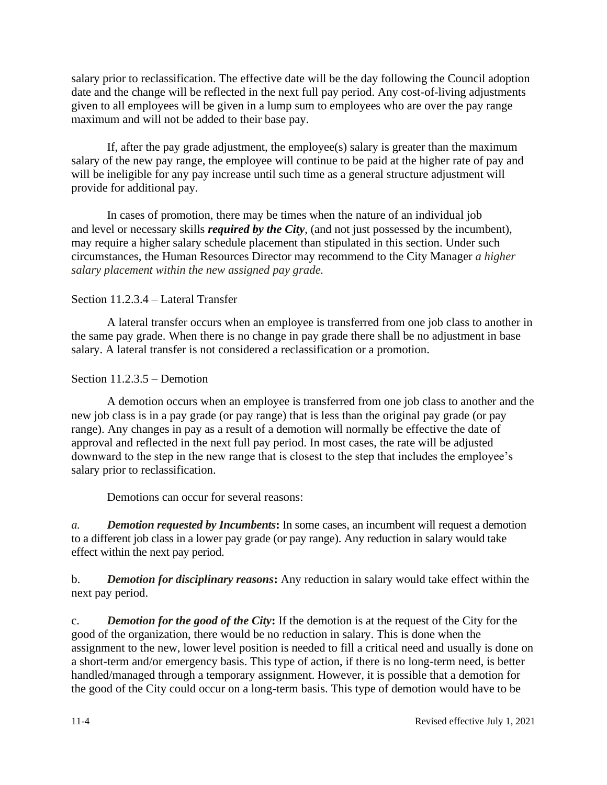salary prior to reclassification. The effective date will be the day following the Council adoption date and the change will be reflected in the next full pay period. Any cost-of-living adjustments given to all employees will be given in a lump sum to employees who are over the pay range maximum and will not be added to their base pay.

If, after the pay grade adjustment, the employee(s) salary is greater than the maximum salary of the new pay range, the employee will continue to be paid at the higher rate of pay and will be ineligible for any pay increase until such time as a general structure adjustment will provide for additional pay.

In cases of promotion, there may be times when the nature of an individual job and level or necessary skills *required by the City*, (and not just possessed by the incumbent), may require a higher salary schedule placement than stipulated in this section. Under such circumstances, the Human Resources Director may recommend to the City Manager *a higher salary placement within the new assigned pay grade.*

# Section 11.2.3.4 – Lateral Transfer

A lateral transfer occurs when an employee is transferred from one job class to another in the same pay grade. When there is no change in pay grade there shall be no adjustment in base salary. A lateral transfer is not considered a reclassification or a promotion.

# Section 11.2.3.5 – Demotion

A demotion occurs when an employee is transferred from one job class to another and the new job class is in a pay grade (or pay range) that is less than the original pay grade (or pay range). Any changes in pay as a result of a demotion will normally be effective the date of approval and reflected in the next full pay period. In most cases, the rate will be adjusted downward to the step in the new range that is closest to the step that includes the employee's salary prior to reclassification.

Demotions can occur for several reasons:

*a. Demotion requested by Incumbents***:** In some cases, an incumbent will request a demotion to a different job class in a lower pay grade (or pay range). Any reduction in salary would take effect within the next pay period.

b. *Demotion for disciplinary reasons***:** Any reduction in salary would take effect within the next pay period.

c. *Demotion for the good of the City***:** If the demotion is at the request of the City for the good of the organization, there would be no reduction in salary. This is done when the assignment to the new, lower level position is needed to fill a critical need and usually is done on a short-term and/or emergency basis. This type of action, if there is no long-term need, is better handled/managed through a temporary assignment. However, it is possible that a demotion for the good of the City could occur on a long-term basis. This type of demotion would have to be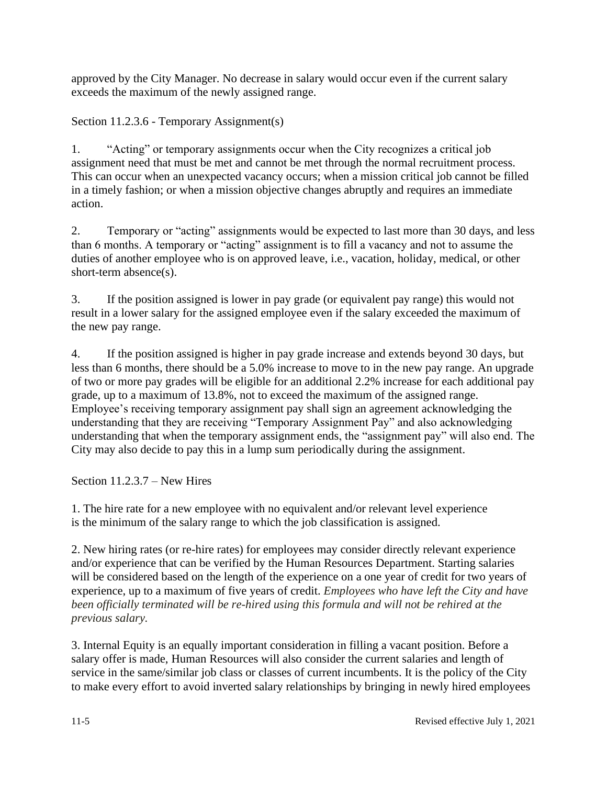approved by the City Manager. No decrease in salary would occur even if the current salary exceeds the maximum of the newly assigned range.

Section 11.2.3.6 - Temporary Assignment(s)

1. "Acting" or temporary assignments occur when the City recognizes a critical job assignment need that must be met and cannot be met through the normal recruitment process. This can occur when an unexpected vacancy occurs; when a mission critical job cannot be filled in a timely fashion; or when a mission objective changes abruptly and requires an immediate action.

2. Temporary or "acting" assignments would be expected to last more than 30 days, and less than 6 months. A temporary or "acting" assignment is to fill a vacancy and not to assume the duties of another employee who is on approved leave, i.e., vacation, holiday, medical, or other short-term absence(s).

3. If the position assigned is lower in pay grade (or equivalent pay range) this would not result in a lower salary for the assigned employee even if the salary exceeded the maximum of the new pay range.

4. If the position assigned is higher in pay grade increase and extends beyond 30 days, but less than 6 months, there should be a 5.0% increase to move to in the new pay range. An upgrade of two or more pay grades will be eligible for an additional 2.2% increase for each additional pay grade, up to a maximum of 13.8%, not to exceed the maximum of the assigned range. Employee's receiving temporary assignment pay shall sign an agreement acknowledging the understanding that they are receiving "Temporary Assignment Pay" and also acknowledging understanding that when the temporary assignment ends, the "assignment pay" will also end. The City may also decide to pay this in a lump sum periodically during the assignment.

Section 11.2.3.7 – New Hires

1. The hire rate for a new employee with no equivalent and/or relevant level experience is the minimum of the salary range to which the job classification is assigned.

2. New hiring rates (or re-hire rates) for employees may consider directly relevant experience and/or experience that can be verified by the Human Resources Department. Starting salaries will be considered based on the length of the experience on a one year of credit for two years of experience, up to a maximum of five years of credit. *Employees who have left the City and have been officially terminated will be re-hired using this formula and will not be rehired at the previous salary.* 

3. Internal Equity is an equally important consideration in filling a vacant position. Before a salary offer is made, Human Resources will also consider the current salaries and length of service in the same/similar job class or classes of current incumbents. It is the policy of the City to make every effort to avoid inverted salary relationships by bringing in newly hired employees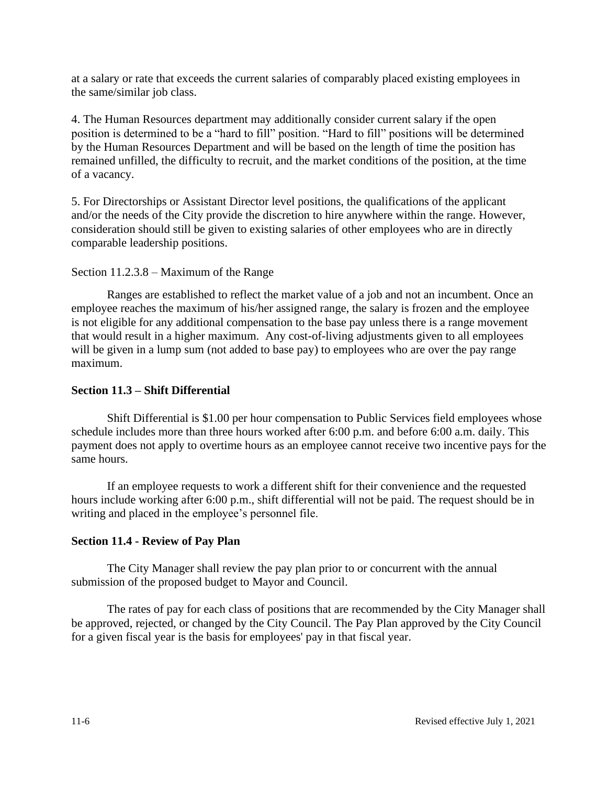at a salary or rate that exceeds the current salaries of comparably placed existing employees in the same/similar job class.

4. The Human Resources department may additionally consider current salary if the open position is determined to be a "hard to fill" position. "Hard to fill" positions will be determined by the Human Resources Department and will be based on the length of time the position has remained unfilled, the difficulty to recruit, and the market conditions of the position, at the time of a vacancy.

5. For Directorships or Assistant Director level positions, the qualifications of the applicant and/or the needs of the City provide the discretion to hire anywhere within the range. However, consideration should still be given to existing salaries of other employees who are in directly comparable leadership positions.

# Section 11.2.3.8 – Maximum of the Range

Ranges are established to reflect the market value of a job and not an incumbent. Once an employee reaches the maximum of his/her assigned range, the salary is frozen and the employee is not eligible for any additional compensation to the base pay unless there is a range movement that would result in a higher maximum. Any cost-of-living adjustments given to all employees will be given in a lump sum (not added to base pay) to employees who are over the pay range maximum.

# <span id="page-34-0"></span>**Section 11.3 – Shift Differential**

Shift Differential is \$1.00 per hour compensation to Public Services field employees whose schedule includes more than three hours worked after 6:00 p.m. and before 6:00 a.m. daily. This payment does not apply to overtime hours as an employee cannot receive two incentive pays for the same hours.

If an employee requests to work a different shift for their convenience and the requested hours include working after 6:00 p.m., shift differential will not be paid. The request should be in writing and placed in the employee's personnel file.

#### <span id="page-34-1"></span>**Section 11.4 - Review of Pay Plan**

The City Manager shall review the pay plan prior to or concurrent with the annual submission of the proposed budget to Mayor and Council.

The rates of pay for each class of positions that are recommended by the City Manager shall be approved, rejected, or changed by the City Council. The Pay Plan approved by the City Council for a given fiscal year is the basis for employees' pay in that fiscal year.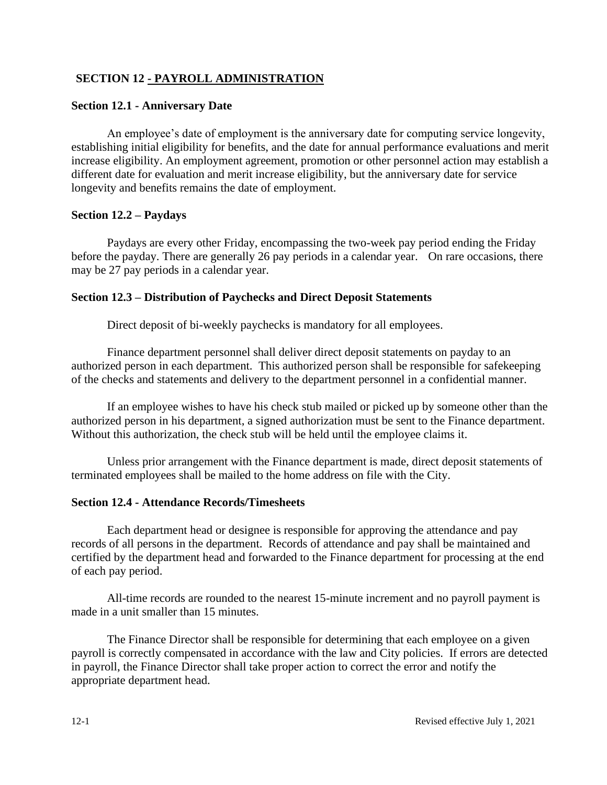# <span id="page-35-0"></span>**SECTION 12 - PAYROLL ADMINISTRATION**

#### <span id="page-35-1"></span>**Section 12.1 - Anniversary Date**

An employee's date of employment is the anniversary date for computing service longevity, establishing initial eligibility for benefits, and the date for annual performance evaluations and merit increase eligibility. An employment agreement, promotion or other personnel action may establish a different date for evaluation and merit increase eligibility, but the anniversary date for service longevity and benefits remains the date of employment.

# <span id="page-35-2"></span>**Section 12.2 – Paydays**

Paydays are every other Friday, encompassing the two-week pay period ending the Friday before the payday. There are generally 26 pay periods in a calendar year. On rare occasions, there may be 27 pay periods in a calendar year.

# <span id="page-35-3"></span>**Section 12.3 – Distribution of Paychecks and Direct Deposit Statements**

Direct deposit of bi-weekly paychecks is mandatory for all employees.

Finance department personnel shall deliver direct deposit statements on payday to an authorized person in each department. This authorized person shall be responsible for safekeeping of the checks and statements and delivery to the department personnel in a confidential manner.

If an employee wishes to have his check stub mailed or picked up by someone other than the authorized person in his department, a signed authorization must be sent to the Finance department. Without this authorization, the check stub will be held until the employee claims it.

Unless prior arrangement with the Finance department is made, direct deposit statements of terminated employees shall be mailed to the home address on file with the City.

#### <span id="page-35-4"></span>**Section 12.4 - Attendance Records/Timesheets**

Each department head or designee is responsible for approving the attendance and pay records of all persons in the department. Records of attendance and pay shall be maintained and certified by the department head and forwarded to the Finance department for processing at the end of each pay period.

All-time records are rounded to the nearest 15-minute increment and no payroll payment is made in a unit smaller than 15 minutes.

The Finance Director shall be responsible for determining that each employee on a given payroll is correctly compensated in accordance with the law and City policies. If errors are detected in payroll, the Finance Director shall take proper action to correct the error and notify the appropriate department head.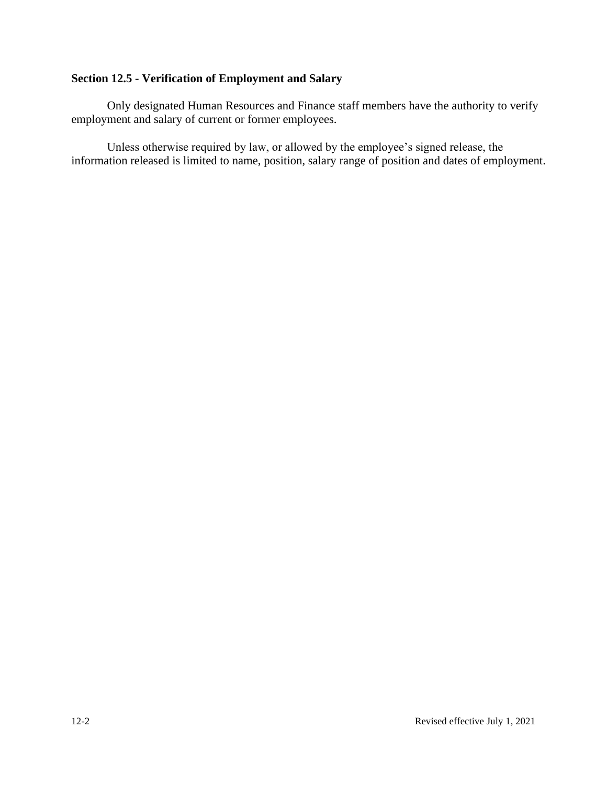# **Section 12.5 - Verification of Employment and Salary**

Only designated Human Resources and Finance staff members have the authority to verify employment and salary of current or former employees.

Unless otherwise required by law, or allowed by the employee's signed release, the information released is limited to name, position, salary range of position and dates of employment.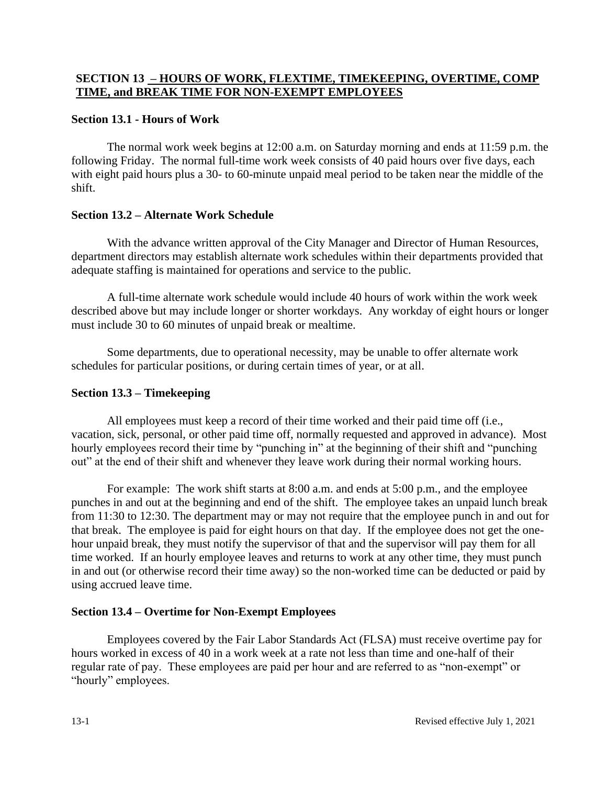# **SECTION 13 – HOURS OF WORK, FLEXTIME, TIMEKEEPING, OVERTIME, COMP TIME, and BREAK TIME FOR NON-EXEMPT EMPLOYEES**

# **Section 13.1 - Hours of Work**

The normal work week begins at 12:00 a.m. on Saturday morning and ends at 11:59 p.m. the following Friday. The normal full-time work week consists of 40 paid hours over five days, each with eight paid hours plus a 30- to 60-minute unpaid meal period to be taken near the middle of the shift.

# **Section 13.2 – Alternate Work Schedule**

With the advance written approval of the City Manager and Director of Human Resources, department directors may establish alternate work schedules within their departments provided that adequate staffing is maintained for operations and service to the public.

A full-time alternate work schedule would include 40 hours of work within the work week described above but may include longer or shorter workdays. Any workday of eight hours or longer must include 30 to 60 minutes of unpaid break or mealtime.

Some departments, due to operational necessity, may be unable to offer alternate work schedules for particular positions, or during certain times of year, or at all.

# **Section 13.3 – Timekeeping**

All employees must keep a record of their time worked and their paid time off (i.e., vacation, sick, personal, or other paid time off, normally requested and approved in advance). Most hourly employees record their time by "punching in" at the beginning of their shift and "punching out" at the end of their shift and whenever they leave work during their normal working hours.

For example: The work shift starts at 8:00 a.m. and ends at 5:00 p.m., and the employee punches in and out at the beginning and end of the shift. The employee takes an unpaid lunch break from 11:30 to 12:30. The department may or may not require that the employee punch in and out for that break. The employee is paid for eight hours on that day. If the employee does not get the onehour unpaid break, they must notify the supervisor of that and the supervisor will pay them for all time worked. If an hourly employee leaves and returns to work at any other time, they must punch in and out (or otherwise record their time away) so the non-worked time can be deducted or paid by using accrued leave time.

### **Section 13.4 – Overtime for Non-Exempt Employees**

Employees covered by the Fair Labor Standards Act (FLSA) must receive overtime pay for hours worked in excess of 40 in a work week at a rate not less than time and one-half of their regular rate of pay. These employees are paid per hour and are referred to as "non-exempt" or "hourly" employees.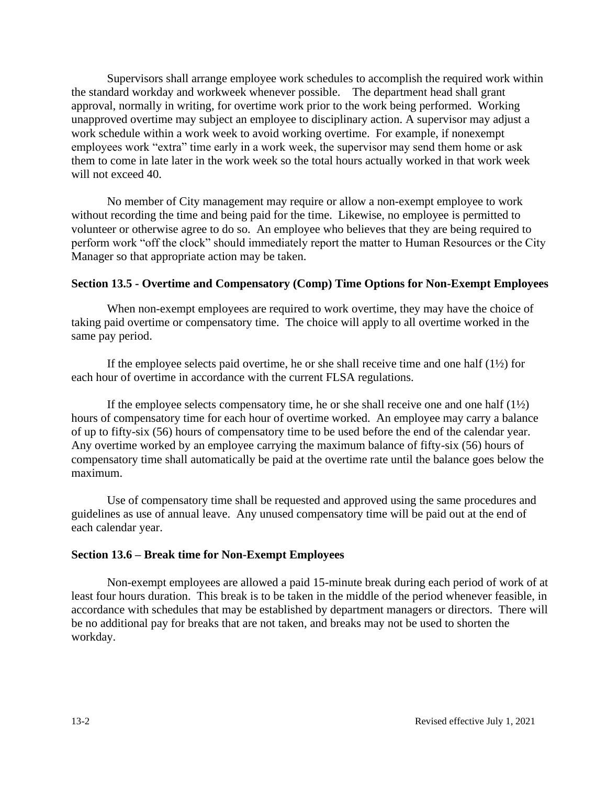Supervisors shall arrange employee work schedules to accomplish the required work within the standard workday and workweek whenever possible. The department head shall grant approval, normally in writing, for overtime work prior to the work being performed. Working unapproved overtime may subject an employee to disciplinary action. A supervisor may adjust a work schedule within a work week to avoid working overtime. For example, if nonexempt employees work "extra" time early in a work week, the supervisor may send them home or ask them to come in late later in the work week so the total hours actually worked in that work week will not exceed 40.

No member of City management may require or allow a non-exempt employee to work without recording the time and being paid for the time. Likewise, no employee is permitted to volunteer or otherwise agree to do so. An employee who believes that they are being required to perform work "off the clock" should immediately report the matter to Human Resources or the City Manager so that appropriate action may be taken.

#### **Section 13.5 - Overtime and Compensatory (Comp) Time Options for Non-Exempt Employees**

When non-exempt employees are required to work overtime, they may have the choice of taking paid overtime or compensatory time. The choice will apply to all overtime worked in the same pay period.

If the employee selects paid overtime, he or she shall receive time and one half  $(1\frac{1}{2})$  for each hour of overtime in accordance with the current FLSA regulations.

If the employee selects compensatory time, he or she shall receive one and one half  $(1/2)$ hours of compensatory time for each hour of overtime worked. An employee may carry a balance of up to fifty-six (56) hours of compensatory time to be used before the end of the calendar year. Any overtime worked by an employee carrying the maximum balance of fifty-six (56) hours of compensatory time shall automatically be paid at the overtime rate until the balance goes below the maximum.

Use of compensatory time shall be requested and approved using the same procedures and guidelines as use of annual leave. Any unused compensatory time will be paid out at the end of each calendar year.

#### **Section 13.6 – Break time for Non-Exempt Employees**

Non-exempt employees are allowed a paid 15-minute break during each period of work of at least four hours duration. This break is to be taken in the middle of the period whenever feasible, in accordance with schedules that may be established by department managers or directors. There will be no additional pay for breaks that are not taken, and breaks may not be used to shorten the workday.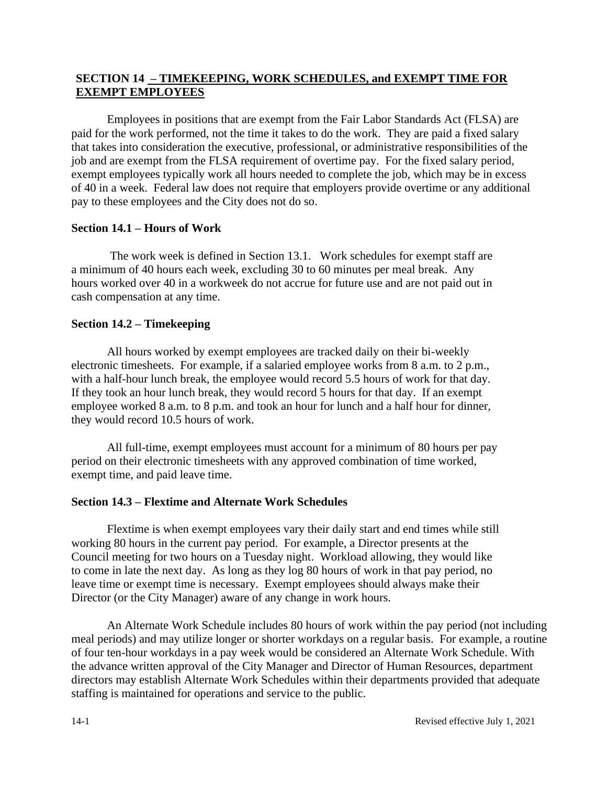# **SECTION 14 – TIMEKEEPING, WORK SCHEDULES, and EXEMPT TIME FOR EXEMPT EMPLOYEES**

Employees in positions that are exempt from the Fair Labor Standards Act (FLSA) are paid for the work performed, not the time it takes to do the work. They are paid a fixed salary that takes into consideration the executive, professional, or administrative responsibilities of the job and are exempt from the FLSA requirement of overtime pay. For the fixed salary period, exempt employees typically work all hours needed to complete the job, which may be in excess of 40 in a week. Federal law does not require that employers provide overtime or any additional pay to these employees and the City does not do so.

# **Section 14.1 – Hours of Work**

The work week is defined in Section 13.1. Work schedules for exempt staff are a minimum of 40 hours each week, excluding 30 to 60 minutes per meal break. Any hours worked over 40 in a workweek do not accrue for future use and are not paid out in cash compensation at any time.

# **Section 14.2 – Timekeeping**

All hours worked by exempt employees are tracked daily on their bi-weekly electronic timesheets. For example, if a salaried employee works from 8 a.m. to 2 p.m., with a half-hour lunch break, the employee would record 5.5 hours of work for that day. If they took an hour lunch break, they would record 5 hours for that day. If an exempt employee worked 8 a.m. to 8 p.m. and took an hour for lunch and a half hour for dinner, they would record 10.5 hours of work.

All full-time, exempt employees must account for a minimum of 80 hours per pay period on their electronic timesheets with any approved combination of time worked, exempt time, and paid leave time.

# **Section 14.3 – Flextime and Alternate Work Schedules**

Flextime is when exempt employees vary their daily start and end times while still working 80 hours in the current pay period. For example, a Director presents at the Council meeting for two hours on a Tuesday night. Workload allowing, they would like to come in late the next day. As long as they log 80 hours of work in that pay period, no leave time or exempt time is necessary. Exempt employees should always make their Director (or the City Manager) aware of any change in work hours.

An Alternate Work Schedule includes 80 hours of work within the pay period (not including meal periods) and may utilize longer or shorter workdays on a regular basis. For example, a routine of four ten-hour workdays in a pay week would be considered an Alternate Work Schedule. With the advance written approval of the City Manager and Director of Human Resources, department directors may establish Alternate Work Schedules within their departments provided that adequate staffing is maintained for operations and service to the public.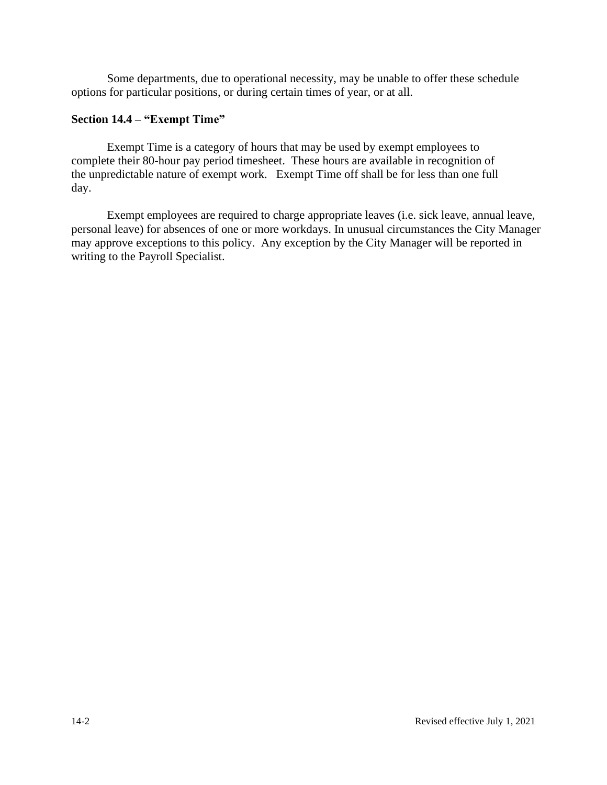Some departments, due to operational necessity, may be unable to offer these schedule options for particular positions, or during certain times of year, or at all.

# **Section 14.4 – "Exempt Time"**

Exempt Time is a category of hours that may be used by exempt employees to complete their 80-hour pay period timesheet. These hours are available in recognition of the unpredictable nature of exempt work. Exempt Time off shall be for less than one full day.

Exempt employees are required to charge appropriate leaves (i.e. sick leave, annual leave, personal leave) for absences of one or more workdays. In unusual circumstances the City Manager may approve exceptions to this policy. Any exception by the City Manager will be reported in writing to the Payroll Specialist.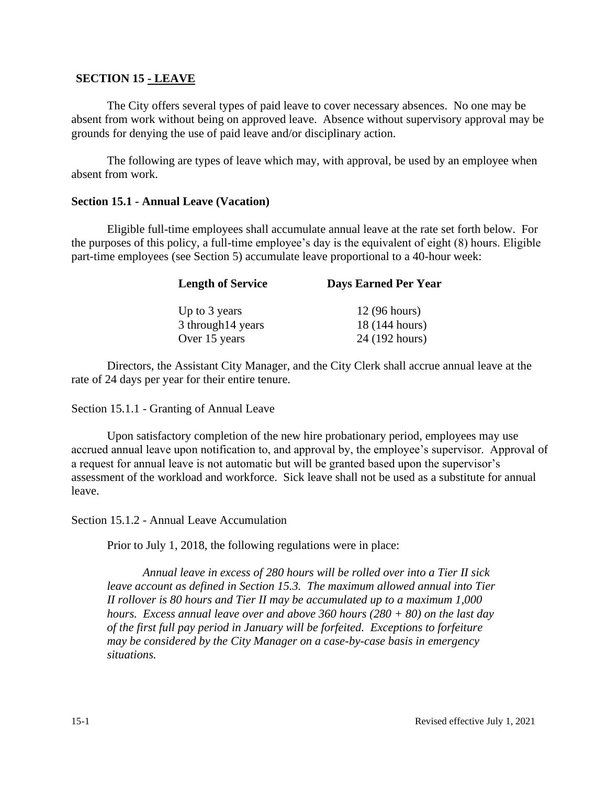# **SECTION 15 - LEAVE**

The City offers several types of paid leave to cover necessary absences. No one may be absent from work without being on approved leave. Absence without supervisory approval may be grounds for denying the use of paid leave and/or disciplinary action.

The following are types of leave which may, with approval, be used by an employee when absent from work.

## **Section 15.1 - Annual Leave (Vacation)**

Eligible full-time employees shall accumulate annual leave at the rate set forth below. For the purposes of this policy, a full-time employee's day is the equivalent of eight (8) hours. Eligible part-time employees (see Section 5) accumulate leave proportional to a 40-hour week:

| <b>Length of Service</b> | <b>Days Earned Per Year</b> |  |
|--------------------------|-----------------------------|--|
| Up to 3 years            | 12 (96 hours)               |  |
| 3 through 14 years       | 18 (144 hours)              |  |
| Over 15 years            | 24 (192 hours)              |  |

Directors, the Assistant City Manager, and the City Clerk shall accrue annual leave at the rate of 24 days per year for their entire tenure.

Section 15.1.1 - Granting of Annual Leave

Upon satisfactory completion of the new hire probationary period, employees may use accrued annual leave upon notification to, and approval by, the employee's supervisor. Approval of a request for annual leave is not automatic but will be granted based upon the supervisor's assessment of the workload and workforce. Sick leave shall not be used as a substitute for annual leave.

Section 15.1.2 - Annual Leave Accumulation

Prior to July 1, 2018, the following regulations were in place:

*Annual leave in excess of 280 hours will be rolled over into a Tier II sick leave account as defined in Section 15.3. The maximum allowed annual into Tier II rollover is 80 hours and Tier II may be accumulated up to a maximum 1,000 hours. Excess annual leave over and above 360 hours (280 + 80) on the last day of the first full pay period in January will be forfeited. Exceptions to forfeiture may be considered by the City Manager on a case-by-case basis in emergency situations.*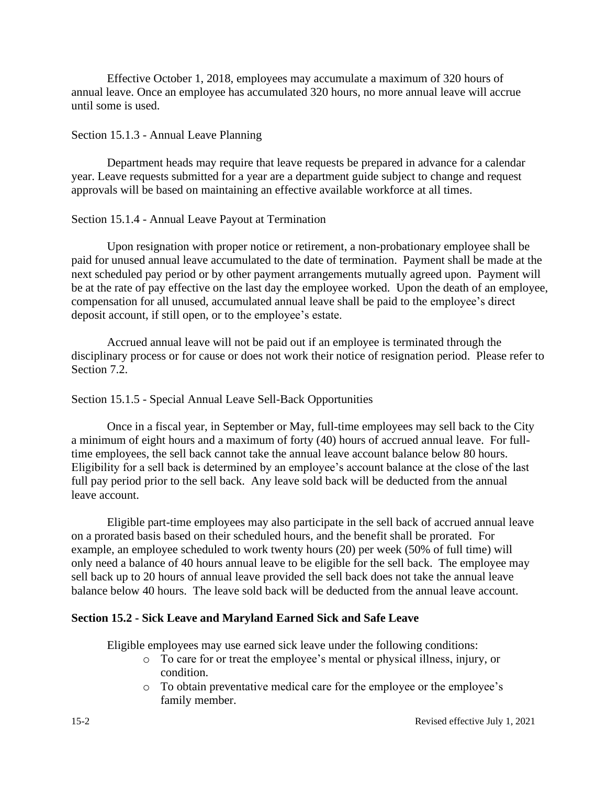Effective October 1, 2018, employees may accumulate a maximum of 320 hours of annual leave. Once an employee has accumulated 320 hours, no more annual leave will accrue until some is used.

#### Section 15.1.3 - Annual Leave Planning

Department heads may require that leave requests be prepared in advance for a calendar year. Leave requests submitted for a year are a department guide subject to change and request approvals will be based on maintaining an effective available workforce at all times.

#### Section 15.1.4 - Annual Leave Payout at Termination

Upon resignation with proper notice or retirement, a non-probationary employee shall be paid for unused annual leave accumulated to the date of termination. Payment shall be made at the next scheduled pay period or by other payment arrangements mutually agreed upon. Payment will be at the rate of pay effective on the last day the employee worked. Upon the death of an employee, compensation for all unused, accumulated annual leave shall be paid to the employee's direct deposit account, if still open, or to the employee's estate.

Accrued annual leave will not be paid out if an employee is terminated through the disciplinary process or for cause or does not work their notice of resignation period. Please refer to Section 7.2.

#### Section 15.1.5 - Special Annual Leave Sell-Back Opportunities

Once in a fiscal year, in September or May, full-time employees may sell back to the City a minimum of eight hours and a maximum of forty (40) hours of accrued annual leave. For fulltime employees, the sell back cannot take the annual leave account balance below 80 hours. Eligibility for a sell back is determined by an employee's account balance at the close of the last full pay period prior to the sell back. Any leave sold back will be deducted from the annual leave account.

Eligible part-time employees may also participate in the sell back of accrued annual leave on a prorated basis based on their scheduled hours, and the benefit shall be prorated. For example, an employee scheduled to work twenty hours (20) per week (50% of full time) will only need a balance of 40 hours annual leave to be eligible for the sell back. The employee may sell back up to 20 hours of annual leave provided the sell back does not take the annual leave balance below 40 hours. The leave sold back will be deducted from the annual leave account.

### **Section 15.2 - Sick Leave and Maryland Earned Sick and Safe Leave**

Eligible employees may use earned sick leave under the following conditions:

- o To care for or treat the employee's mental or physical illness, injury, or condition.
- o To obtain preventative medical care for the employee or the employee's family member.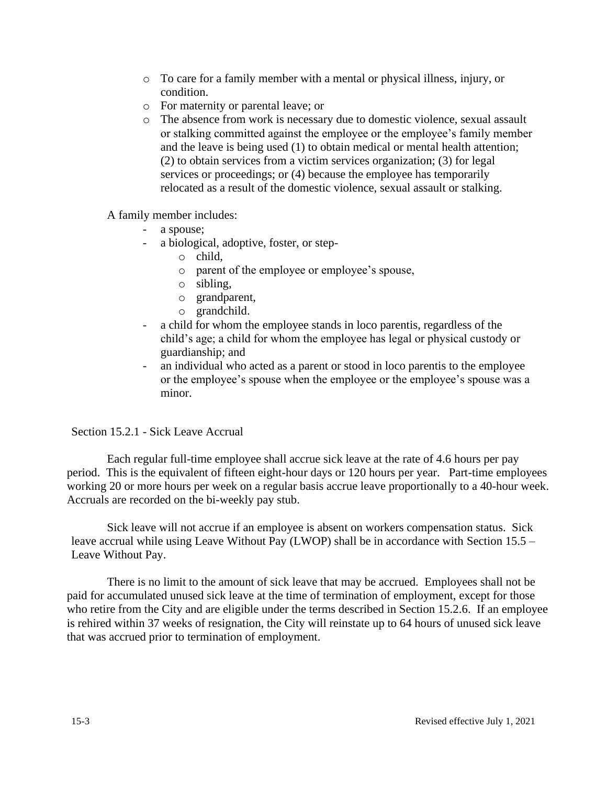- o To care for a family member with a mental or physical illness, injury, or condition.
- o For maternity or parental leave; or
- o The absence from work is necessary due to domestic violence, sexual assault or stalking committed against the employee or the employee's family member and the leave is being used (1) to obtain medical or mental health attention; (2) to obtain services from a victim services organization; (3) for legal services or proceedings; or  $(4)$  because the employee has temporarily relocated as a result of the domestic violence, sexual assault or stalking.

A family member includes:

- a spouse;
- a biological, adoptive, foster, or step
	- o child,
	- o parent of the employee or employee's spouse,
	- o sibling,
	- o grandparent,
	- o grandchild.
- a child for whom the employee stands in loco parentis, regardless of the child's age; a child for whom the employee has legal or physical custody or guardianship; and
- an individual who acted as a parent or stood in loco parentis to the employee or the employee's spouse when the employee or the employee's spouse was a minor.

Section 15.2.1 - Sick Leave Accrual

Each regular full-time employee shall accrue sick leave at the rate of 4.6 hours per pay period. This is the equivalent of fifteen eight-hour days or 120 hours per year. Part-time employees working 20 or more hours per week on a regular basis accrue leave proportionally to a 40-hour week. Accruals are recorded on the bi-weekly pay stub.

Sick leave will not accrue if an employee is absent on workers compensation status. Sick leave accrual while using Leave Without Pay (LWOP) shall be in accordance with Section 15.5 – Leave Without Pay.

There is no limit to the amount of sick leave that may be accrued. Employees shall not be paid for accumulated unused sick leave at the time of termination of employment, except for those who retire from the City and are eligible under the terms described in Section 15.2.6. If an employee is rehired within 37 weeks of resignation, the City will reinstate up to 64 hours of unused sick leave that was accrued prior to termination of employment.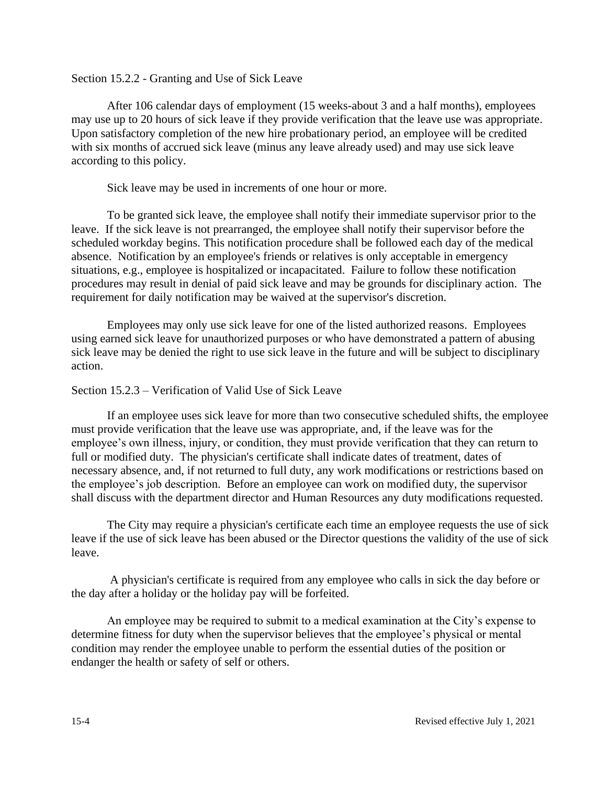Section 15.2.2 - Granting and Use of Sick Leave

After 106 calendar days of employment (15 weeks-about 3 and a half months), employees may use up to 20 hours of sick leave if they provide verification that the leave use was appropriate. Upon satisfactory completion of the new hire probationary period, an employee will be credited with six months of accrued sick leave (minus any leave already used) and may use sick leave according to this policy.

Sick leave may be used in increments of one hour or more.

To be granted sick leave, the employee shall notify their immediate supervisor prior to the leave. If the sick leave is not prearranged, the employee shall notify their supervisor before the scheduled workday begins. This notification procedure shall be followed each day of the medical absence. Notification by an employee's friends or relatives is only acceptable in emergency situations, e.g., employee is hospitalized or incapacitated. Failure to follow these notification procedures may result in denial of paid sick leave and may be grounds for disciplinary action. The requirement for daily notification may be waived at the supervisor's discretion.

Employees may only use sick leave for one of the listed authorized reasons. Employees using earned sick leave for unauthorized purposes or who have demonstrated a pattern of abusing sick leave may be denied the right to use sick leave in the future and will be subject to disciplinary action.

### Section 15.2.3 – Verification of Valid Use of Sick Leave

If an employee uses sick leave for more than two consecutive scheduled shifts, the employee must provide verification that the leave use was appropriate, and, if the leave was for the employee's own illness, injury, or condition, they must provide verification that they can return to full or modified duty. The physician's certificate shall indicate dates of treatment, dates of necessary absence, and, if not returned to full duty, any work modifications or restrictions based on the employee's job description. Before an employee can work on modified duty, the supervisor shall discuss with the department director and Human Resources any duty modifications requested.

The City may require a physician's certificate each time an employee requests the use of sick leave if the use of sick leave has been abused or the Director questions the validity of the use of sick leave.

A physician's certificate is required from any employee who calls in sick the day before or the day after a holiday or the holiday pay will be forfeited.

An employee may be required to submit to a medical examination at the City's expense to determine fitness for duty when the supervisor believes that the employee's physical or mental condition may render the employee unable to perform the essential duties of the position or endanger the health or safety of self or others.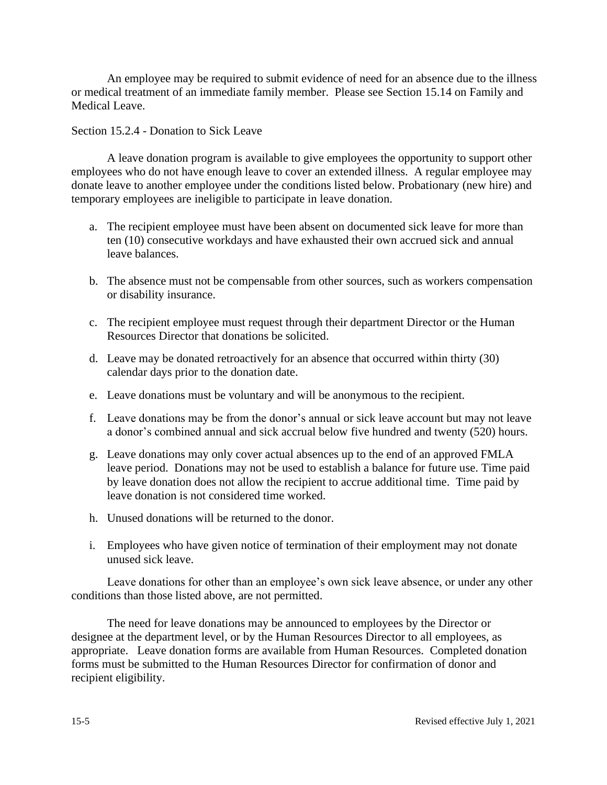An employee may be required to submit evidence of need for an absence due to the illness or medical treatment of an immediate family member. Please see Section 15.14 on Family and Medical Leave.

# Section 15.2.4 - Donation to Sick Leave

A leave donation program is available to give employees the opportunity to support other employees who do not have enough leave to cover an extended illness. A regular employee may donate leave to another employee under the conditions listed below. Probationary (new hire) and temporary employees are ineligible to participate in leave donation.

- a. The recipient employee must have been absent on documented sick leave for more than ten (10) consecutive workdays and have exhausted their own accrued sick and annual leave balances.
- b. The absence must not be compensable from other sources, such as workers compensation or disability insurance.
- c. The recipient employee must request through their department Director or the Human Resources Director that donations be solicited.
- d. Leave may be donated retroactively for an absence that occurred within thirty (30) calendar days prior to the donation date.
- e. Leave donations must be voluntary and will be anonymous to the recipient.
- f. Leave donations may be from the donor's annual or sick leave account but may not leave a donor's combined annual and sick accrual below five hundred and twenty (520) hours.
- g. Leave donations may only cover actual absences up to the end of an approved FMLA leave period. Donations may not be used to establish a balance for future use. Time paid by leave donation does not allow the recipient to accrue additional time. Time paid by leave donation is not considered time worked.
- h. Unused donations will be returned to the donor.
- i. Employees who have given notice of termination of their employment may not donate unused sick leave.

Leave donations for other than an employee's own sick leave absence, or under any other conditions than those listed above, are not permitted.

The need for leave donations may be announced to employees by the Director or designee at the department level, or by the Human Resources Director to all employees, as appropriate. Leave donation forms are available from Human Resources. Completed donation forms must be submitted to the Human Resources Director for confirmation of donor and recipient eligibility.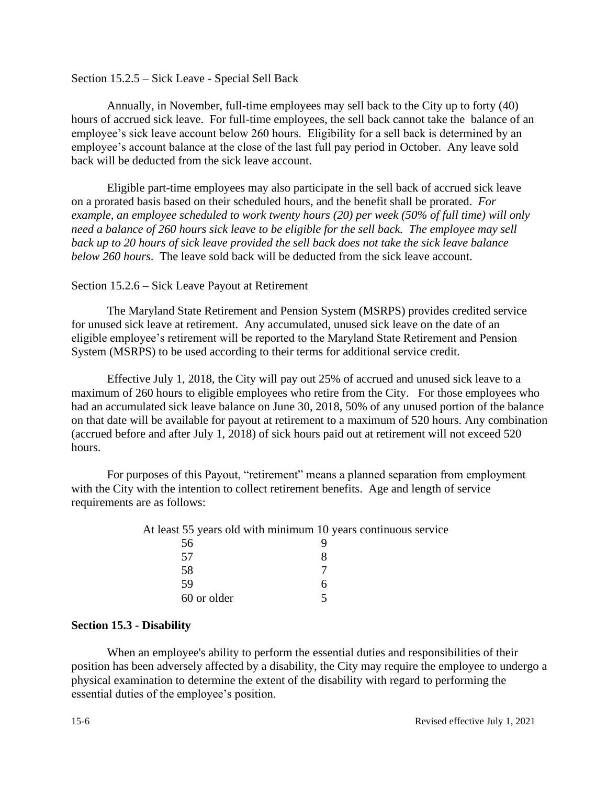#### Section 15.2.5 – Sick Leave - Special Sell Back

Annually, in November, full-time employees may sell back to the City up to forty (40) hours of accrued sick leave. For full-time employees, the sell back cannot take the balance of an employee's sick leave account below 260 hours. Eligibility for a sell back is determined by an employee's account balance at the close of the last full pay period in October. Any leave sold back will be deducted from the sick leave account.

Eligible part-time employees may also participate in the sell back of accrued sick leave on a prorated basis based on their scheduled hours, and the benefit shall be prorated. *For example, an employee scheduled to work twenty hours (20) per week (50% of full time) will only need a balance of 260 hours sick leave to be eligible for the sell back. The employee may sell back up to 20 hours of sick leave provided the sell back does not take the sick leave balance below 260 hours*. The leave sold back will be deducted from the sick leave account.

### Section 15.2.6 – Sick Leave Payout at Retirement

The Maryland State Retirement and Pension System (MSRPS) provides credited service for unused sick leave at retirement. Any accumulated, unused sick leave on the date of an eligible employee's retirement will be reported to the Maryland State Retirement and Pension System (MSRPS) to be used according to their terms for additional service credit.

Effective July 1, 2018, the City will pay out 25% of accrued and unused sick leave to a maximum of 260 hours to eligible employees who retire from the City. For those employees who had an accumulated sick leave balance on June 30, 2018, 50% of any unused portion of the balance on that date will be available for payout at retirement to a maximum of 520 hours. Any combination (accrued before and after July 1, 2018) of sick hours paid out at retirement will not exceed 520 hours.

For purposes of this Payout, "retirement" means a planned separation from employment with the City with the intention to collect retirement benefits. Age and length of service requirements are as follows:

|             | At least 55 years old with minimum 10 years continuous service |
|-------------|----------------------------------------------------------------|
| 56          |                                                                |
| 57          |                                                                |
| 58          |                                                                |
| 59          |                                                                |
| 60 or older |                                                                |

### **Section 15.3 - Disability**

When an employee's ability to perform the essential duties and responsibilities of their position has been adversely affected by a disability, the City may require the employee to undergo a physical examination to determine the extent of the disability with regard to performing the essential duties of the employee's position.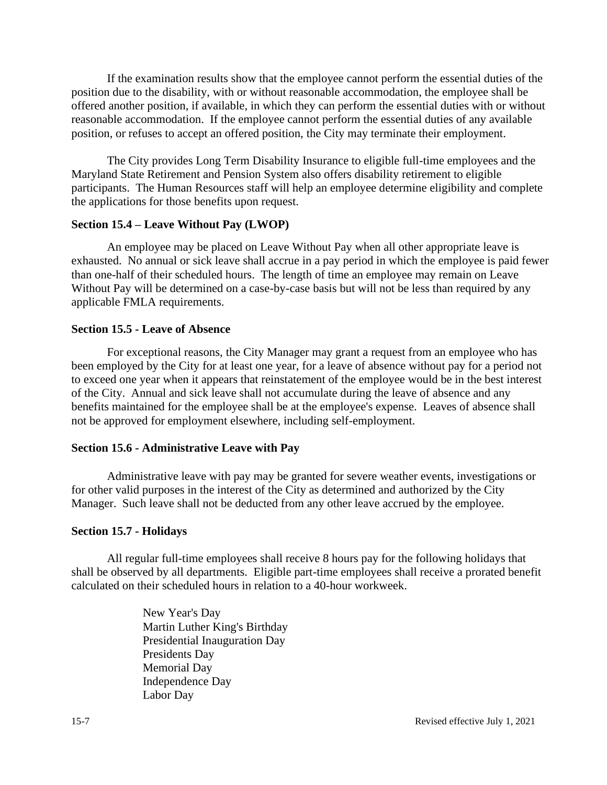If the examination results show that the employee cannot perform the essential duties of the position due to the disability, with or without reasonable accommodation, the employee shall be offered another position, if available, in which they can perform the essential duties with or without reasonable accommodation. If the employee cannot perform the essential duties of any available position, or refuses to accept an offered position, the City may terminate their employment.

The City provides Long Term Disability Insurance to eligible full-time employees and the Maryland State Retirement and Pension System also offers disability retirement to eligible participants. The Human Resources staff will help an employee determine eligibility and complete the applications for those benefits upon request.

#### **Section 15.4 – Leave Without Pay (LWOP)**

An employee may be placed on Leave Without Pay when all other appropriate leave is exhausted. No annual or sick leave shall accrue in a pay period in which the employee is paid fewer than one-half of their scheduled hours. The length of time an employee may remain on Leave Without Pay will be determined on a case-by-case basis but will not be less than required by any applicable FMLA requirements.

#### **Section 15.5 - Leave of Absence**

For exceptional reasons, the City Manager may grant a request from an employee who has been employed by the City for at least one year, for a leave of absence without pay for a period not to exceed one year when it appears that reinstatement of the employee would be in the best interest of the City. Annual and sick leave shall not accumulate during the leave of absence and any benefits maintained for the employee shall be at the employee's expense. Leaves of absence shall not be approved for employment elsewhere, including self-employment.

#### **Section 15.6 - Administrative Leave with Pay**

Administrative leave with pay may be granted for severe weather events, investigations or for other valid purposes in the interest of the City as determined and authorized by the City Manager. Such leave shall not be deducted from any other leave accrued by the employee.

#### **Section 15.7 - Holidays**

All regular full-time employees shall receive 8 hours pay for the following holidays that shall be observed by all departments. Eligible part-time employees shall receive a prorated benefit calculated on their scheduled hours in relation to a 40-hour workweek.

> New Year's Day Martin Luther King's Birthday Presidential Inauguration Day Presidents Day Memorial Day Independence Day Labor Day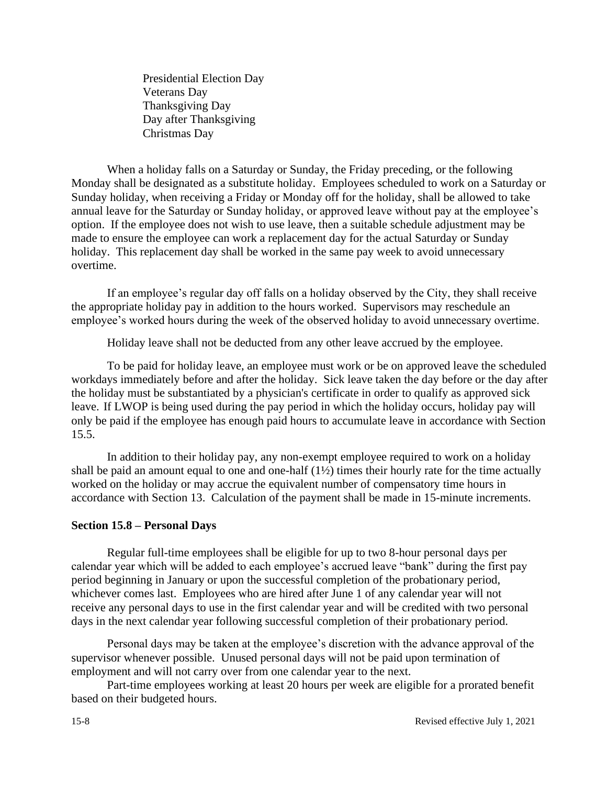Presidential Election Day Veterans Day Thanksgiving Day Day after Thanksgiving Christmas Day

When a holiday falls on a Saturday or Sunday, the Friday preceding, or the following Monday shall be designated as a substitute holiday. Employees scheduled to work on a Saturday or Sunday holiday, when receiving a Friday or Monday off for the holiday, shall be allowed to take annual leave for the Saturday or Sunday holiday, or approved leave without pay at the employee's option. If the employee does not wish to use leave, then a suitable schedule adjustment may be made to ensure the employee can work a replacement day for the actual Saturday or Sunday holiday. This replacement day shall be worked in the same pay week to avoid unnecessary overtime.

If an employee's regular day off falls on a holiday observed by the City, they shall receive the appropriate holiday pay in addition to the hours worked. Supervisors may reschedule an employee's worked hours during the week of the observed holiday to avoid unnecessary overtime.

Holiday leave shall not be deducted from any other leave accrued by the employee.

To be paid for holiday leave, an employee must work or be on approved leave the scheduled workdays immediately before and after the holiday. Sick leave taken the day before or the day after the holiday must be substantiated by a physician's certificate in order to qualify as approved sick leave.If LWOP is being used during the pay period in which the holiday occurs, holiday pay will only be paid if the employee has enough paid hours to accumulate leave in accordance with Section 15.5.

In addition to their holiday pay, any non-exempt employee required to work on a holiday shall be paid an amount equal to one and one-half  $(1\frac{1}{2})$  times their hourly rate for the time actually worked on the holiday or may accrue the equivalent number of compensatory time hours in accordance with Section 13. Calculation of the payment shall be made in 15-minute increments.

### **Section 15.8 – Personal Days**

Regular full-time employees shall be eligible for up to two 8-hour personal days per calendar year which will be added to each employee's accrued leave "bank" during the first pay period beginning in January or upon the successful completion of the probationary period, whichever comes last. Employees who are hired after June 1 of any calendar year will not receive any personal days to use in the first calendar year and will be credited with two personal days in the next calendar year following successful completion of their probationary period.

Personal days may be taken at the employee's discretion with the advance approval of the supervisor whenever possible. Unused personal days will not be paid upon termination of employment and will not carry over from one calendar year to the next.

Part-time employees working at least 20 hours per week are eligible for a prorated benefit based on their budgeted hours.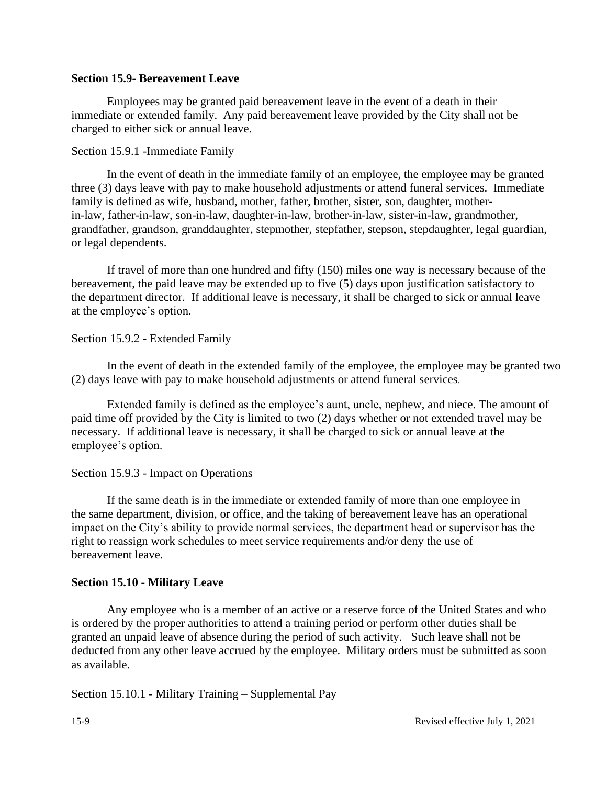#### **Section 15.9- Bereavement Leave**

Employees may be granted paid bereavement leave in the event of a death in their immediate or extended family. Any paid bereavement leave provided by the City shall not be charged to either sick or annual leave.

Section 15.9.1 -Immediate Family

In the event of death in the immediate family of an employee, the employee may be granted three (3) days leave with pay to make household adjustments or attend funeral services. Immediate family is defined as wife, husband, mother, father, brother, sister, son, daughter, motherin-law, father-in-law, son-in-law, daughter-in-law, brother-in-law, sister-in-law, grandmother, grandfather, grandson, granddaughter, stepmother, stepfather, stepson, stepdaughter, legal guardian, or legal dependents.

If travel of more than one hundred and fifty (150) miles one way is necessary because of the bereavement, the paid leave may be extended up to five (5) days upon justification satisfactory to the department director. If additional leave is necessary, it shall be charged to sick or annual leave at the employee's option.

### Section 15.9.2 - Extended Family

In the event of death in the extended family of the employee, the employee may be granted two (2) days leave with pay to make household adjustments or attend funeral services.

Extended family is defined as the employee's aunt, uncle, nephew, and niece. The amount of paid time off provided by the City is limited to two (2) days whether or not extended travel may be necessary. If additional leave is necessary, it shall be charged to sick or annual leave at the employee's option.

### Section 15.9.3 - Impact on Operations

If the same death is in the immediate or extended family of more than one employee in the same department, division, or office, and the taking of bereavement leave has an operational impact on the City's ability to provide normal services, the department head or supervisor has the right to reassign work schedules to meet service requirements and/or deny the use of bereavement leave.

### **Section 15.10 - Military Leave**

Any employee who is a member of an active or a reserve force of the United States and who is ordered by the proper authorities to attend a training period or perform other duties shall be granted an unpaid leave of absence during the period of such activity. Such leave shall not be deducted from any other leave accrued by the employee. Military orders must be submitted as soon as available.

Section 15.10.1 - Military Training – Supplemental Pay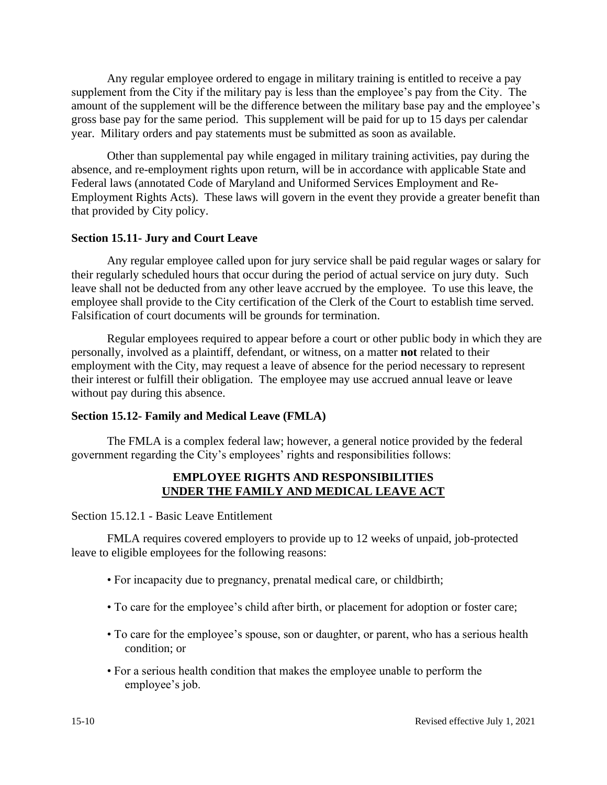Any regular employee ordered to engage in military training is entitled to receive a pay supplement from the City if the military pay is less than the employee's pay from the City. The amount of the supplement will be the difference between the military base pay and the employee's gross base pay for the same period. This supplement will be paid for up to 15 days per calendar year. Military orders and pay statements must be submitted as soon as available.

Other than supplemental pay while engaged in military training activities, pay during the absence, and re-employment rights upon return, will be in accordance with applicable State and Federal laws (annotated Code of Maryland and Uniformed Services Employment and Re-Employment Rights Acts). These laws will govern in the event they provide a greater benefit than that provided by City policy.

# **Section 15.11- Jury and Court Leave**

Any regular employee called upon for jury service shall be paid regular wages or salary for their regularly scheduled hours that occur during the period of actual service on jury duty. Such leave shall not be deducted from any other leave accrued by the employee. To use this leave, the employee shall provide to the City certification of the Clerk of the Court to establish time served. Falsification of court documents will be grounds for termination.

Regular employees required to appear before a court or other public body in which they are personally, involved as a plaintiff, defendant, or witness, on a matter **not** related to their employment with the City, may request a leave of absence for the period necessary to represent their interest or fulfill their obligation. The employee may use accrued annual leave or leave without pay during this absence.

# **Section 15.12- Family and Medical Leave (FMLA)**

The FMLA is a complex federal law; however, a general notice provided by the federal government regarding the City's employees' rights and responsibilities follows:

# **EMPLOYEE RIGHTS AND RESPONSIBILITIES UNDER THE FAMILY AND MEDICAL LEAVE ACT**

Section 15.12.1 - Basic Leave Entitlement

FMLA requires covered employers to provide up to 12 weeks of unpaid, job-protected leave to eligible employees for the following reasons:

- For incapacity due to pregnancy, prenatal medical care, or childbirth;
- To care for the employee's child after birth, or placement for adoption or foster care;
- To care for the employee's spouse, son or daughter, or parent, who has a serious health condition; or
- For a serious health condition that makes the employee unable to perform the employee's job.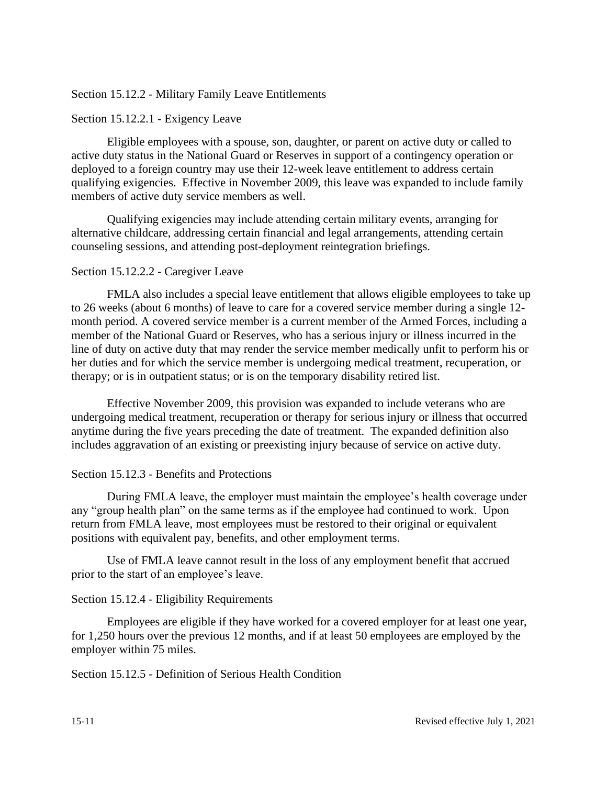#### Section 15.12.2 - Military Family Leave Entitlements

#### Section 15.12.2.1 - Exigency Leave

Eligible employees with a spouse, son, daughter, or parent on active duty or called to active duty status in the National Guard or Reserves in support of a contingency operation or deployed to a foreign country may use their 12-week leave entitlement to address certain qualifying exigencies. Effective in November 2009, this leave was expanded to include family members of active duty service members as well.

Qualifying exigencies may include attending certain military events, arranging for alternative childcare, addressing certain financial and legal arrangements, attending certain counseling sessions, and attending post-deployment reintegration briefings.

#### Section 15.12.2.2 - Caregiver Leave

FMLA also includes a special leave entitlement that allows eligible employees to take up to 26 weeks (about 6 months) of leave to care for a covered service member during a single 12 month period. A covered service member is a current member of the Armed Forces, including a member of the National Guard or Reserves, who has a serious injury or illness incurred in the line of duty on active duty that may render the service member medically unfit to perform his or her duties and for which the service member is undergoing medical treatment, recuperation, or therapy; or is in outpatient status; or is on the temporary disability retired list.

Effective November 2009, this provision was expanded to include veterans who are undergoing medical treatment, recuperation or therapy for serious injury or illness that occurred anytime during the five years preceding the date of treatment. The expanded definition also includes aggravation of an existing or preexisting injury because of service on active duty.

### Section 15.12.3 - Benefits and Protections

During FMLA leave, the employer must maintain the employee's health coverage under any "group health plan" on the same terms as if the employee had continued to work. Upon return from FMLA leave, most employees must be restored to their original or equivalent positions with equivalent pay, benefits, and other employment terms.

Use of FMLA leave cannot result in the loss of any employment benefit that accrued prior to the start of an employee's leave.

### Section 15.12.4 - Eligibility Requirements

Employees are eligible if they have worked for a covered employer for at least one year, for 1,250 hours over the previous 12 months, and if at least 50 employees are employed by the employer within 75 miles.

### Section 15.12.5 - Definition of Serious Health Condition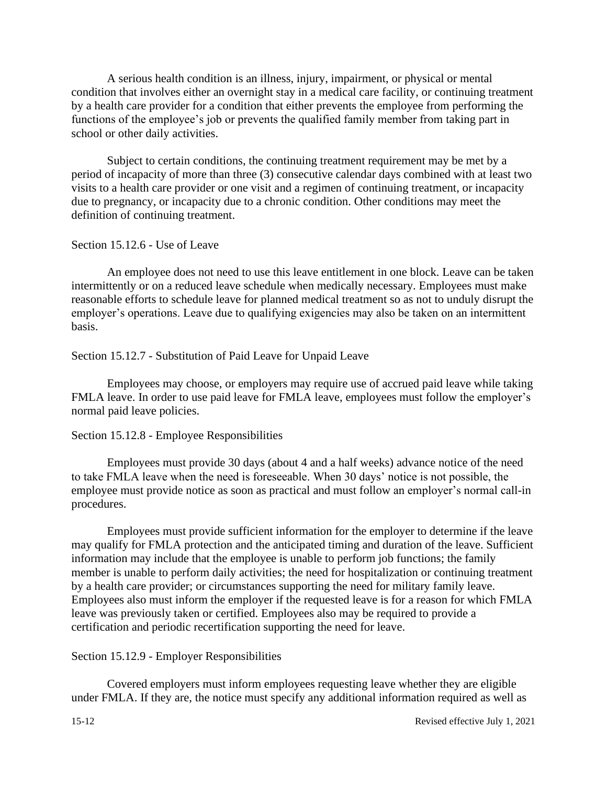A serious health condition is an illness, injury, impairment, or physical or mental condition that involves either an overnight stay in a medical care facility, or continuing treatment by a health care provider for a condition that either prevents the employee from performing the functions of the employee's job or prevents the qualified family member from taking part in school or other daily activities.

Subject to certain conditions, the continuing treatment requirement may be met by a period of incapacity of more than three (3) consecutive calendar days combined with at least two visits to a health care provider or one visit and a regimen of continuing treatment, or incapacity due to pregnancy, or incapacity due to a chronic condition. Other conditions may meet the definition of continuing treatment.

#### Section 15.12.6 - Use of Leave

An employee does not need to use this leave entitlement in one block. Leave can be taken intermittently or on a reduced leave schedule when medically necessary. Employees must make reasonable efforts to schedule leave for planned medical treatment so as not to unduly disrupt the employer's operations. Leave due to qualifying exigencies may also be taken on an intermittent basis.

#### Section 15.12.7 - Substitution of Paid Leave for Unpaid Leave

Employees may choose, or employers may require use of accrued paid leave while taking FMLA leave. In order to use paid leave for FMLA leave, employees must follow the employer's normal paid leave policies.

#### Section 15.12.8 - Employee Responsibilities

Employees must provide 30 days (about 4 and a half weeks) advance notice of the need to take FMLA leave when the need is foreseeable. When 30 days' notice is not possible, the employee must provide notice as soon as practical and must follow an employer's normal call-in procedures.

Employees must provide sufficient information for the employer to determine if the leave may qualify for FMLA protection and the anticipated timing and duration of the leave. Sufficient information may include that the employee is unable to perform job functions; the family member is unable to perform daily activities; the need for hospitalization or continuing treatment by a health care provider; or circumstances supporting the need for military family leave. Employees also must inform the employer if the requested leave is for a reason for which FMLA leave was previously taken or certified. Employees also may be required to provide a certification and periodic recertification supporting the need for leave.

#### Section 15.12.9 - Employer Responsibilities

Covered employers must inform employees requesting leave whether they are eligible under FMLA. If they are, the notice must specify any additional information required as well as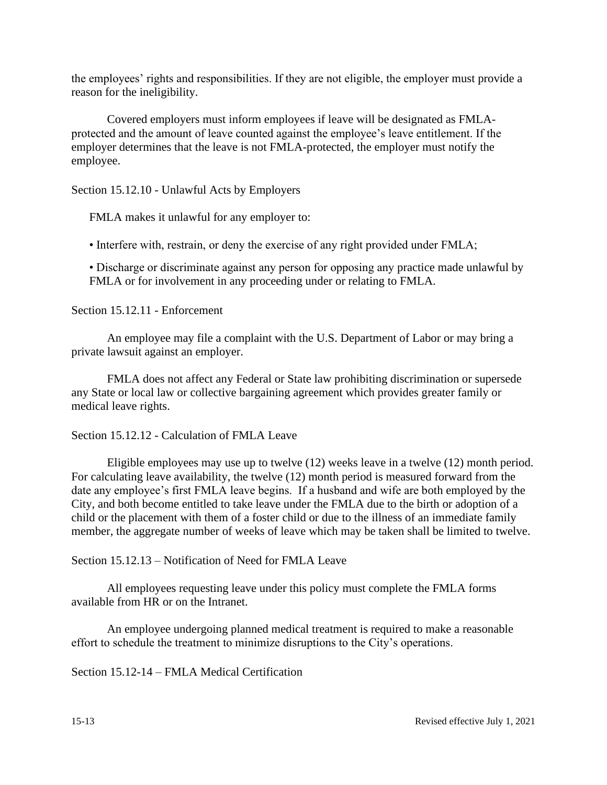the employees' rights and responsibilities. If they are not eligible, the employer must provide a reason for the ineligibility.

Covered employers must inform employees if leave will be designated as FMLAprotected and the amount of leave counted against the employee's leave entitlement. If the employer determines that the leave is not FMLA-protected, the employer must notify the employee.

Section 15.12.10 - Unlawful Acts by Employers

FMLA makes it unlawful for any employer to:

• Interfere with, restrain, or deny the exercise of any right provided under FMLA;

• Discharge or discriminate against any person for opposing any practice made unlawful by FMLA or for involvement in any proceeding under or relating to FMLA.

Section 15.12.11 - Enforcement

An employee may file a complaint with the U.S. Department of Labor or may bring a private lawsuit against an employer.

FMLA does not affect any Federal or State law prohibiting discrimination or supersede any State or local law or collective bargaining agreement which provides greater family or medical leave rights.

### Section 15.12.12 - Calculation of FMLA Leave

Eligible employees may use up to twelve (12) weeks leave in a twelve (12) month period. For calculating leave availability, the twelve (12) month period is measured forward from the date any employee's first FMLA leave begins. If a husband and wife are both employed by the City, and both become entitled to take leave under the FMLA due to the birth or adoption of a child or the placement with them of a foster child or due to the illness of an immediate family member, the aggregate number of weeks of leave which may be taken shall be limited to twelve.

Section 15.12.13 – Notification of Need for FMLA Leave

All employees requesting leave under this policy must complete the FMLA forms available from HR or on the Intranet.

An employee undergoing planned medical treatment is required to make a reasonable effort to schedule the treatment to minimize disruptions to the City's operations.

Section 15.12-14 – FMLA Medical Certification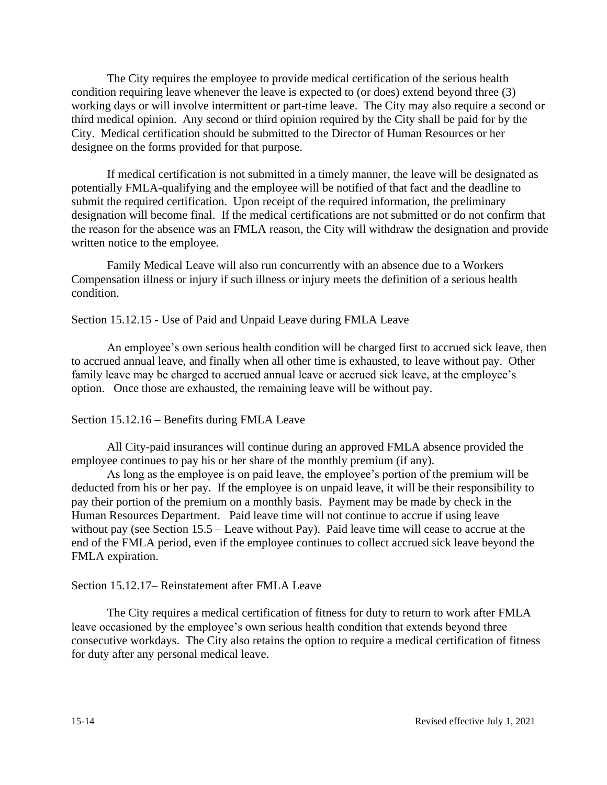The City requires the employee to provide medical certification of the serious health condition requiring leave whenever the leave is expected to (or does) extend beyond three (3) working days or will involve intermittent or part-time leave. The City may also require a second or third medical opinion. Any second or third opinion required by the City shall be paid for by the City. Medical certification should be submitted to the Director of Human Resources or her designee on the forms provided for that purpose.

If medical certification is not submitted in a timely manner, the leave will be designated as potentially FMLA-qualifying and the employee will be notified of that fact and the deadline to submit the required certification. Upon receipt of the required information, the preliminary designation will become final. If the medical certifications are not submitted or do not confirm that the reason for the absence was an FMLA reason, the City will withdraw the designation and provide written notice to the employee.

Family Medical Leave will also run concurrently with an absence due to a Workers Compensation illness or injury if such illness or injury meets the definition of a serious health condition.

Section 15.12.15 - Use of Paid and Unpaid Leave during FMLA Leave

An employee's own serious health condition will be charged first to accrued sick leave, then to accrued annual leave, and finally when all other time is exhausted, to leave without pay. Other family leave may be charged to accrued annual leave or accrued sick leave, at the employee's option. Once those are exhausted, the remaining leave will be without pay.

### Section 15.12.16 – Benefits during FMLA Leave

All City-paid insurances will continue during an approved FMLA absence provided the employee continues to pay his or her share of the monthly premium (if any).

As long as the employee is on paid leave, the employee's portion of the premium will be deducted from his or her pay. If the employee is on unpaid leave, it will be their responsibility to pay their portion of the premium on a monthly basis. Payment may be made by check in the Human Resources Department. Paid leave time will not continue to accrue if using leave without pay (see Section 15.5 – Leave without Pay). Paid leave time will cease to accrue at the end of the FMLA period, even if the employee continues to collect accrued sick leave beyond the FMLA expiration.

#### Section 15.12.17– Reinstatement after FMLA Leave

The City requires a medical certification of fitness for duty to return to work after FMLA leave occasioned by the employee's own serious health condition that extends beyond three consecutive workdays. The City also retains the option to require a medical certification of fitness for duty after any personal medical leave.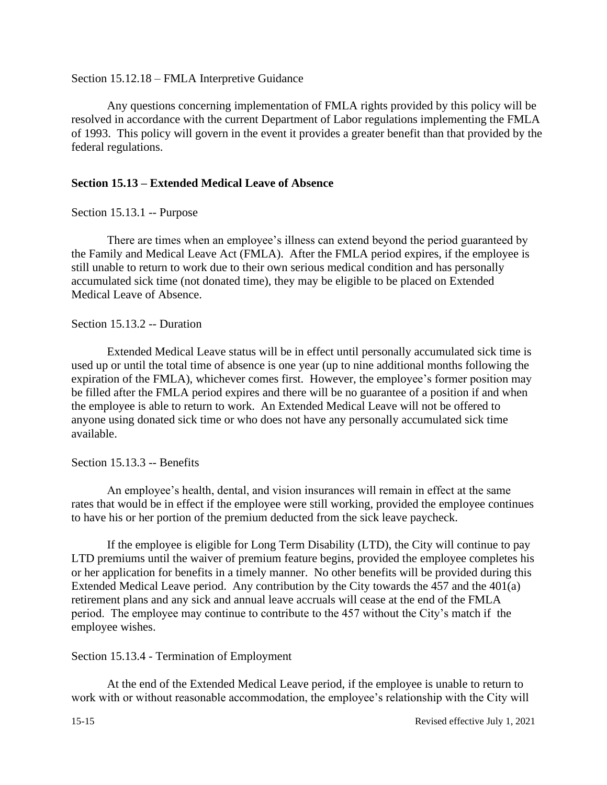#### Section 15.12.18 – FMLA Interpretive Guidance

Any questions concerning implementation of FMLA rights provided by this policy will be resolved in accordance with the current Department of Labor regulations implementing the FMLA of 1993. This policy will govern in the event it provides a greater benefit than that provided by the federal regulations.

# **Section 15.13 – Extended Medical Leave of Absence**

### Section 15.13.1 -- Purpose

There are times when an employee's illness can extend beyond the period guaranteed by the Family and Medical Leave Act (FMLA). After the FMLA period expires, if the employee is still unable to return to work due to their own serious medical condition and has personally accumulated sick time (not donated time), they may be eligible to be placed on Extended Medical Leave of Absence.

## Section 15.13.2 -- Duration

Extended Medical Leave status will be in effect until personally accumulated sick time is used up or until the total time of absence is one year (up to nine additional months following the expiration of the FMLA), whichever comes first. However, the employee's former position may be filled after the FMLA period expires and there will be no guarantee of a position if and when the employee is able to return to work. An Extended Medical Leave will not be offered to anyone using donated sick time or who does not have any personally accumulated sick time available.

### Section 15.13.3 -- Benefits

An employee's health, dental, and vision insurances will remain in effect at the same rates that would be in effect if the employee were still working, provided the employee continues to have his or her portion of the premium deducted from the sick leave paycheck.

If the employee is eligible for Long Term Disability (LTD), the City will continue to pay LTD premiums until the waiver of premium feature begins, provided the employee completes his or her application for benefits in a timely manner. No other benefits will be provided during this Extended Medical Leave period. Any contribution by the City towards the 457 and the 401(a) retirement plans and any sick and annual leave accruals will cease at the end of the FMLA period. The employee may continue to contribute to the 457 without the City's match if the employee wishes.

### Section 15.13.4 - Termination of Employment

At the end of the Extended Medical Leave period, if the employee is unable to return to work with or without reasonable accommodation, the employee's relationship with the City will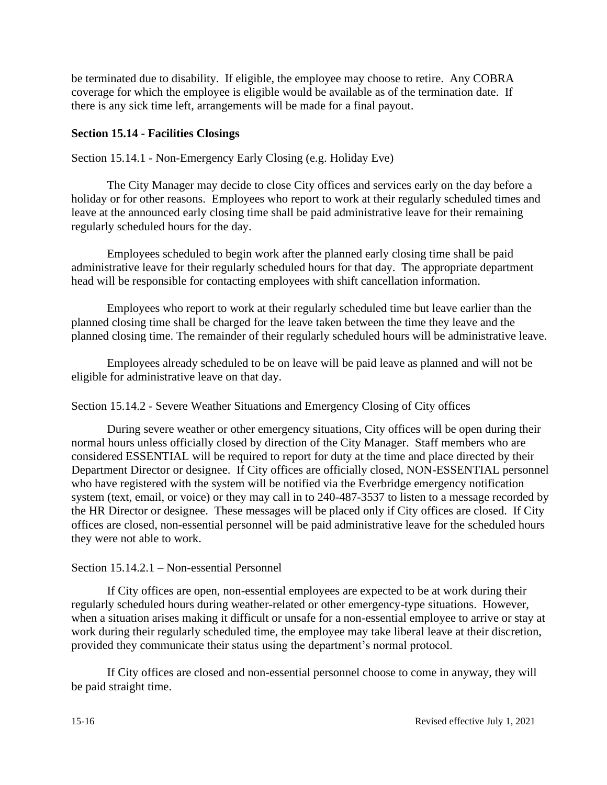be terminated due to disability. If eligible, the employee may choose to retire. Any COBRA coverage for which the employee is eligible would be available as of the termination date. If there is any sick time left, arrangements will be made for a final payout.

# **Section 15.14 - Facilities Closings**

Section 15.14.1 - Non-Emergency Early Closing (e.g. Holiday Eve)

The City Manager may decide to close City offices and services early on the day before a holiday or for other reasons. Employees who report to work at their regularly scheduled times and leave at the announced early closing time shall be paid administrative leave for their remaining regularly scheduled hours for the day.

Employees scheduled to begin work after the planned early closing time shall be paid administrative leave for their regularly scheduled hours for that day. The appropriate department head will be responsible for contacting employees with shift cancellation information.

Employees who report to work at their regularly scheduled time but leave earlier than the planned closing time shall be charged for the leave taken between the time they leave and the planned closing time. The remainder of their regularly scheduled hours will be administrative leave.

Employees already scheduled to be on leave will be paid leave as planned and will not be eligible for administrative leave on that day.

Section 15.14.2 - Severe Weather Situations and Emergency Closing of City offices

During severe weather or other emergency situations, City offices will be open during their normal hours unless officially closed by direction of the City Manager. Staff members who are considered ESSENTIAL will be required to report for duty at the time and place directed by their Department Director or designee. If City offices are officially closed, NON-ESSENTIAL personnel who have registered with the system will be notified via the Everbridge emergency notification system (text, email, or voice) or they may call in to 240-487-3537 to listen to a message recorded by the HR Director or designee. These messages will be placed only if City offices are closed. If City offices are closed, non-essential personnel will be paid administrative leave for the scheduled hours they were not able to work.

### Section 15.14.2.1 – Non-essential Personnel

If City offices are open, non-essential employees are expected to be at work during their regularly scheduled hours during weather-related or other emergency-type situations. However, when a situation arises making it difficult or unsafe for a non-essential employee to arrive or stay at work during their regularly scheduled time, the employee may take liberal leave at their discretion, provided they communicate their status using the department's normal protocol.

If City offices are closed and non-essential personnel choose to come in anyway, they will be paid straight time.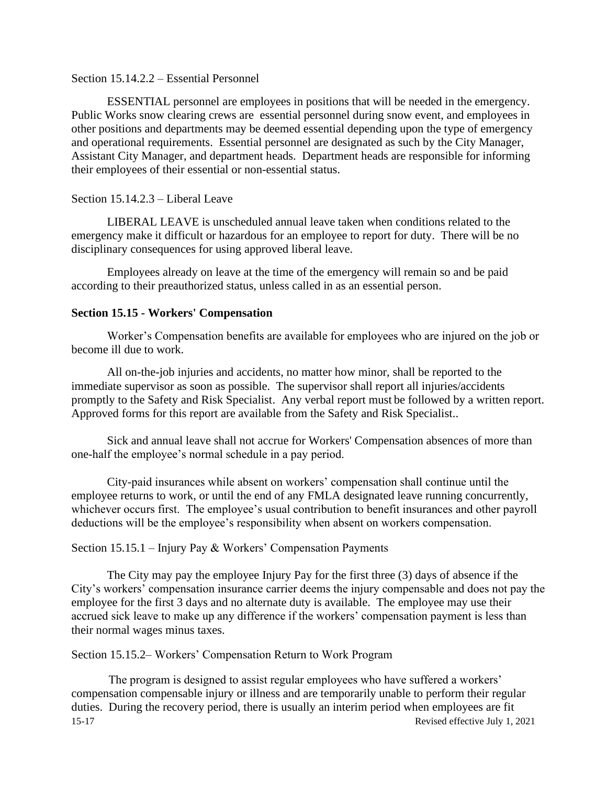Section 15.14.2.2 – Essential Personnel

ESSENTIAL personnel are employees in positions that will be needed in the emergency. Public Works snow clearing crews are essential personnel during snow event, and employees in other positions and departments may be deemed essential depending upon the type of emergency and operational requirements. Essential personnel are designated as such by the City Manager, Assistant City Manager, and department heads. Department heads are responsible for informing their employees of their essential or non-essential status.

#### Section 15.14.2.3 – Liberal Leave

LIBERAL LEAVE is unscheduled annual leave taken when conditions related to the emergency make it difficult or hazardous for an employee to report for duty. There will be no disciplinary consequences for using approved liberal leave.

Employees already on leave at the time of the emergency will remain so and be paid according to their preauthorized status, unless called in as an essential person.

#### **Section 15.15 - Workers' Compensation**

Worker's Compensation benefits are available for employees who are injured on the job or become ill due to work.

All on-the-job injuries and accidents, no matter how minor, shall be reported to the immediate supervisor as soon as possible. The supervisor shall report all injuries/accidents promptly to the Safety and Risk Specialist. Any verbal report must be followed by a written report. Approved forms for this report are available from the Safety and Risk Specialist..

Sick and annual leave shall not accrue for Workers' Compensation absences of more than one-half the employee's normal schedule in a pay period.

 City-paid insurances while absent on workers' compensation shall continue until the employee returns to work, or until the end of any FMLA designated leave running concurrently, whichever occurs first. The employee's usual contribution to benefit insurances and other payroll deductions will be the employee's responsibility when absent on workers compensation.

Section 15.15.1 – Injury Pay & Workers' Compensation Payments

The City may pay the employee Injury Pay for the first three (3) days of absence if the City's workers' compensation insurance carrier deems the injury compensable and does not pay the employee for the first 3 days and no alternate duty is available. The employee may use their accrued sick leave to make up any difference if the workers' compensation payment is less than their normal wages minus taxes.

Section 15.15.2– Workers' Compensation Return to Work Program

15-17 Revised effective July 1, 2021 The program is designed to assist regular employees who have suffered a workers' compensation compensable injury or illness and are temporarily unable to perform their regular duties. During the recovery period, there is usually an interim period when employees are fit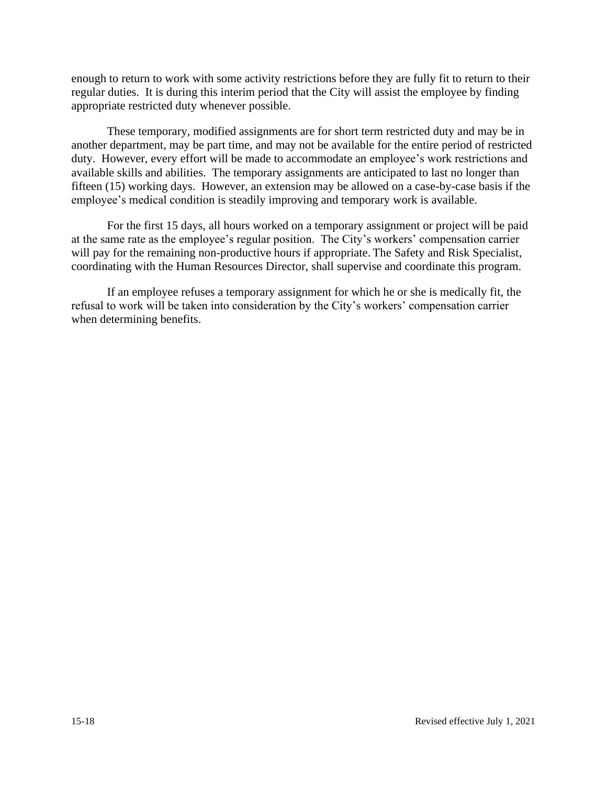enough to return to work with some activity restrictions before they are fully fit to return to their regular duties. It is during this interim period that the City will assist the employee by finding appropriate restricted duty whenever possible.

These temporary, modified assignments are for short term restricted duty and may be in another department, may be part time, and may not be available for the entire period of restricted duty. However, every effort will be made to accommodate an employee's work restrictions and available skills and abilities. The temporary assignments are anticipated to last no longer than fifteen (15) working days. However, an extension may be allowed on a case-by-case basis if the employee's medical condition is steadily improving and temporary work is available.

For the first 15 days, all hours worked on a temporary assignment or project will be paid at the same rate as the employee's regular position. The City's workers' compensation carrier will pay for the remaining non-productive hours if appropriate. The Safety and Risk Specialist, coordinating with the Human Resources Director, shall supervise and coordinate this program.

If an employee refuses a temporary assignment for which he or she is medically fit, the refusal to work will be taken into consideration by the City's workers' compensation carrier when determining benefits.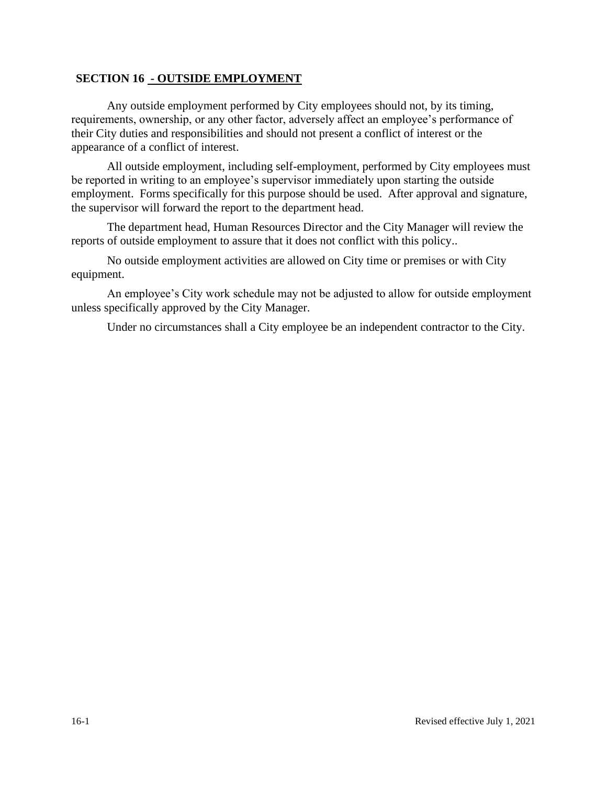# **SECTION 16 - OUTSIDE EMPLOYMENT**

Any outside employment performed by City employees should not, by its timing, requirements, ownership, or any other factor, adversely affect an employee's performance of their City duties and responsibilities and should not present a conflict of interest or the appearance of a conflict of interest.

All outside employment, including self-employment, performed by City employees must be reported in writing to an employee's supervisor immediately upon starting the outside employment. Forms specifically for this purpose should be used. After approval and signature, the supervisor will forward the report to the department head.

The department head, Human Resources Director and the City Manager will review the reports of outside employment to assure that it does not conflict with this policy..

No outside employment activities are allowed on City time or premises or with City equipment.

An employee's City work schedule may not be adjusted to allow for outside employment unless specifically approved by the City Manager.

Under no circumstances shall a City employee be an independent contractor to the City.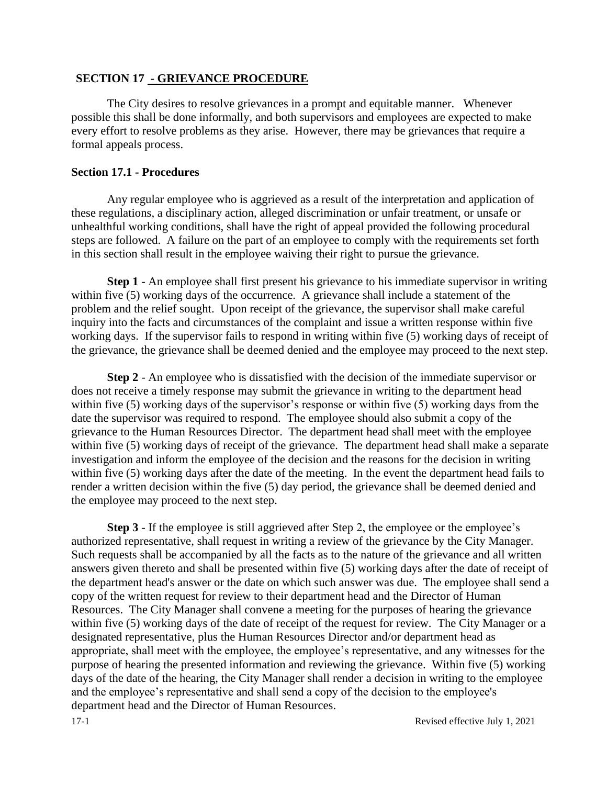### **SECTION 17 - GRIEVANCE PROCEDURE**

The City desires to resolve grievances in a prompt and equitable manner. Whenever possible this shall be done informally, and both supervisors and employees are expected to make every effort to resolve problems as they arise. However, there may be grievances that require a formal appeals process.

#### **Section 17.1 - Procedures**

Any regular employee who is aggrieved as a result of the interpretation and application of these regulations, a disciplinary action, alleged discrimination or unfair treatment, or unsafe or unhealthful working conditions, shall have the right of appeal provided the following procedural steps are followed. A failure on the part of an employee to comply with the requirements set forth in this section shall result in the employee waiving their right to pursue the grievance.

**Step 1** - An employee shall first present his grievance to his immediate supervisor in writing within five (5) working days of the occurrence. A grievance shall include a statement of the problem and the relief sought. Upon receipt of the grievance, the supervisor shall make careful inquiry into the facts and circumstances of the complaint and issue a written response within five working days. If the supervisor fails to respond in writing within five (5) working days of receipt of the grievance, the grievance shall be deemed denied and the employee may proceed to the next step.

**Step 2** - An employee who is dissatisfied with the decision of the immediate supervisor or does not receive a timely response may submit the grievance in writing to the department head within five (5) working days of the supervisor's response or within five (5) working days from the date the supervisor was required to respond. The employee should also submit a copy of the grievance to the Human Resources Director. The department head shall meet with the employee within five (5) working days of receipt of the grievance. The department head shall make a separate investigation and inform the employee of the decision and the reasons for the decision in writing within five (5) working days after the date of the meeting. In the event the department head fails to render a written decision within the five (5) day period, the grievance shall be deemed denied and the employee may proceed to the next step.

**Step 3** - If the employee is still aggrieved after Step 2, the employee or the employee's authorized representative, shall request in writing a review of the grievance by the City Manager. Such requests shall be accompanied by all the facts as to the nature of the grievance and all written answers given thereto and shall be presented within five (5) working days after the date of receipt of the department head's answer or the date on which such answer was due. The employee shall send a copy of the written request for review to their department head and the Director of Human Resources. The City Manager shall convene a meeting for the purposes of hearing the grievance within five (5) working days of the date of receipt of the request for review. The City Manager or a designated representative, plus the Human Resources Director and/or department head as appropriate, shall meet with the employee, the employee's representative, and any witnesses for the purpose of hearing the presented information and reviewing the grievance. Within five (5) working days of the date of the hearing, the City Manager shall render a decision in writing to the employee and the employee's representative and shall send a copy of the decision to the employee's department head and the Director of Human Resources.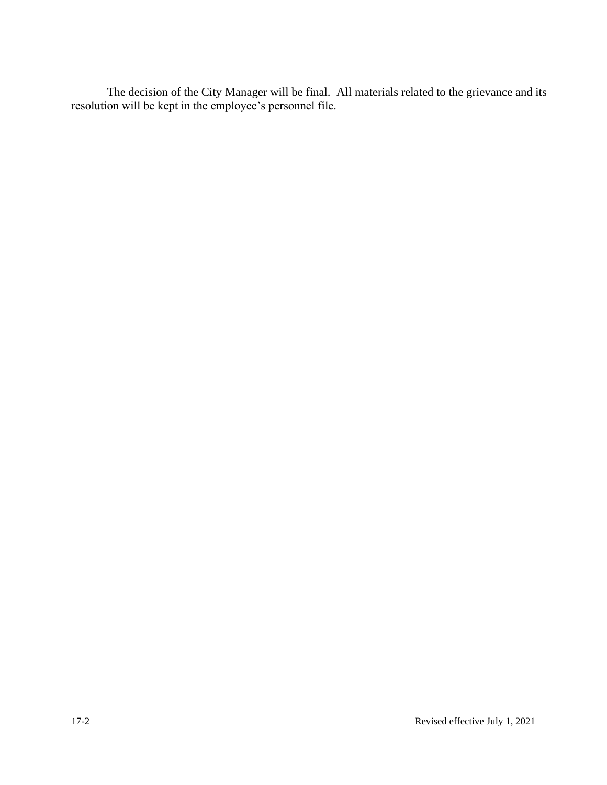The decision of the City Manager will be final. All materials related to the grievance and its resolution will be kept in the employee's personnel file.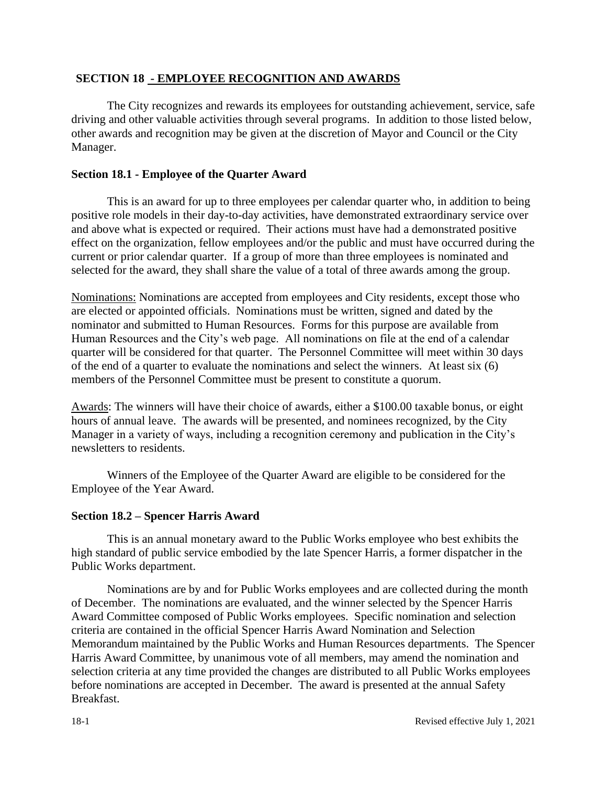# **SECTION 18 - EMPLOYEE RECOGNITION AND AWARDS**

The City recognizes and rewards its employees for outstanding achievement, service, safe driving and other valuable activities through several programs. In addition to those listed below, other awards and recognition may be given at the discretion of Mayor and Council or the City Manager.

# **Section 18.1 - Employee of the Quarter Award**

This is an award for up to three employees per calendar quarter who, in addition to being positive role models in their day-to-day activities, have demonstrated extraordinary service over and above what is expected or required. Their actions must have had a demonstrated positive effect on the organization, fellow employees and/or the public and must have occurred during the current or prior calendar quarter. If a group of more than three employees is nominated and selected for the award, they shall share the value of a total of three awards among the group.

Nominations: Nominations are accepted from employees and City residents, except those who are elected or appointed officials. Nominations must be written, signed and dated by the nominator and submitted to Human Resources. Forms for this purpose are available from Human Resources and the City's web page. All nominations on file at the end of a calendar quarter will be considered for that quarter. The Personnel Committee will meet within 30 days of the end of a quarter to evaluate the nominations and select the winners. At least six (6) members of the Personnel Committee must be present to constitute a quorum.

Awards: The winners will have their choice of awards, either a \$100.00 taxable bonus, or eight hours of annual leave. The awards will be presented, and nominees recognized, by the City Manager in a variety of ways, including a recognition ceremony and publication in the City's newsletters to residents.

Winners of the Employee of the Quarter Award are eligible to be considered for the Employee of the Year Award.

### **Section 18.2 – Spencer Harris Award**

This is an annual monetary award to the Public Works employee who best exhibits the high standard of public service embodied by the late Spencer Harris, a former dispatcher in the Public Works department.

Nominations are by and for Public Works employees and are collected during the month of December. The nominations are evaluated, and the winner selected by the Spencer Harris Award Committee composed of Public Works employees. Specific nomination and selection criteria are contained in the official Spencer Harris Award Nomination and Selection Memorandum maintained by the Public Works and Human Resources departments. The Spencer Harris Award Committee, by unanimous vote of all members, may amend the nomination and selection criteria at any time provided the changes are distributed to all Public Works employees before nominations are accepted in December. The award is presented at the annual Safety Breakfast.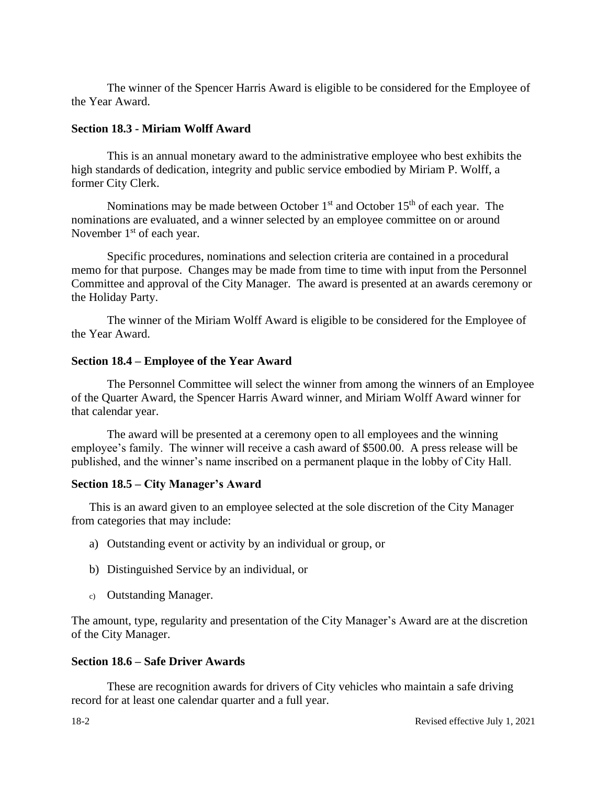The winner of the Spencer Harris Award is eligible to be considered for the Employee of the Year Award.

#### **Section 18.3 - Miriam Wolff Award**

This is an annual monetary award to the administrative employee who best exhibits the high standards of dedication, integrity and public service embodied by Miriam P. Wolff, a former City Clerk.

Nominations may be made between October  $1<sup>st</sup>$  and October  $15<sup>th</sup>$  of each year. The nominations are evaluated, and a winner selected by an employee committee on or around November  $1<sup>st</sup>$  of each year.

Specific procedures, nominations and selection criteria are contained in a procedural memo for that purpose. Changes may be made from time to time with input from the Personnel Committee and approval of the City Manager. The award is presented at an awards ceremony or the Holiday Party.

The winner of the Miriam Wolff Award is eligible to be considered for the Employee of the Year Award.

#### **Section 18.4 – Employee of the Year Award**

The Personnel Committee will select the winner from among the winners of an Employee of the Quarter Award, the Spencer Harris Award winner, and Miriam Wolff Award winner for that calendar year.

The award will be presented at a ceremony open to all employees and the winning employee's family. The winner will receive a cash award of \$500.00. A press release will be published, and the winner's name inscribed on a permanent plaque in the lobby of City Hall.

#### **Section 18.5 – City Manager's Award**

This is an award given to an employee selected at the sole discretion of the City Manager from categories that may include:

- a) Outstanding event or activity by an individual or group, or
- b) Distinguished Service by an individual, or
- c) Outstanding Manager.

The amount, type, regularity and presentation of the City Manager's Award are at the discretion of the City Manager.

## **Section 18.6 – Safe Driver Awards**

These are recognition awards for drivers of City vehicles who maintain a safe driving record for at least one calendar quarter and a full year.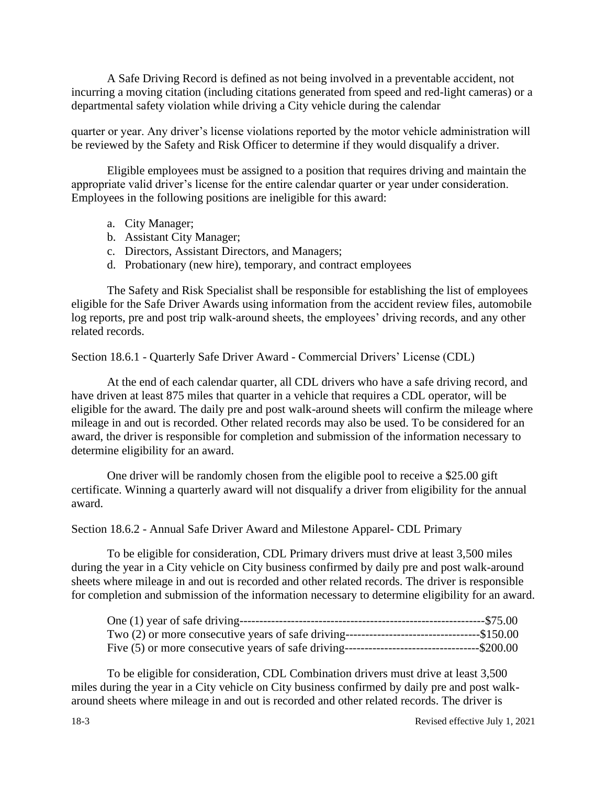A Safe Driving Record is defined as not being involved in a preventable accident, not incurring a moving citation (including citations generated from speed and red-light cameras) or a departmental safety violation while driving a City vehicle during the calendar

quarter or year. Any driver's license violations reported by the motor vehicle administration will be reviewed by the Safety and Risk Officer to determine if they would disqualify a driver.

Eligible employees must be assigned to a position that requires driving and maintain the appropriate valid driver's license for the entire calendar quarter or year under consideration. Employees in the following positions are ineligible for this award:

- a. City Manager;
- b. Assistant City Manager;
- c. Directors, Assistant Directors, and Managers;
- d. Probationary (new hire), temporary, and contract employees

The Safety and Risk Specialist shall be responsible for establishing the list of employees eligible for the Safe Driver Awards using information from the accident review files, automobile log reports, pre and post trip walk-around sheets, the employees' driving records, and any other related records.

Section 18.6.1 - Quarterly Safe Driver Award - Commercial Drivers' License (CDL)

At the end of each calendar quarter, all CDL drivers who have a safe driving record, and have driven at least 875 miles that quarter in a vehicle that requires a CDL operator, will be eligible for the award. The daily pre and post walk-around sheets will confirm the mileage where mileage in and out is recorded. Other related records may also be used. To be considered for an award, the driver is responsible for completion and submission of the information necessary to determine eligibility for an award.

One driver will be randomly chosen from the eligible pool to receive a \$25.00 gift certificate. Winning a quarterly award will not disqualify a driver from eligibility for the annual award.

Section 18.6.2 - Annual Safe Driver Award and Milestone Apparel- CDL Primary

To be eligible for consideration, CDL Primary drivers must drive at least 3,500 miles during the year in a City vehicle on City business confirmed by daily pre and post walk-around sheets where mileage in and out is recorded and other related records. The driver is responsible for completion and submission of the information necessary to determine eligibility for an award.

| $---\$75.00$ |
|--------------|
|              |
|              |

To be eligible for consideration, CDL Combination drivers must drive at least 3,500 miles during the year in a City vehicle on City business confirmed by daily pre and post walkaround sheets where mileage in and out is recorded and other related records. The driver is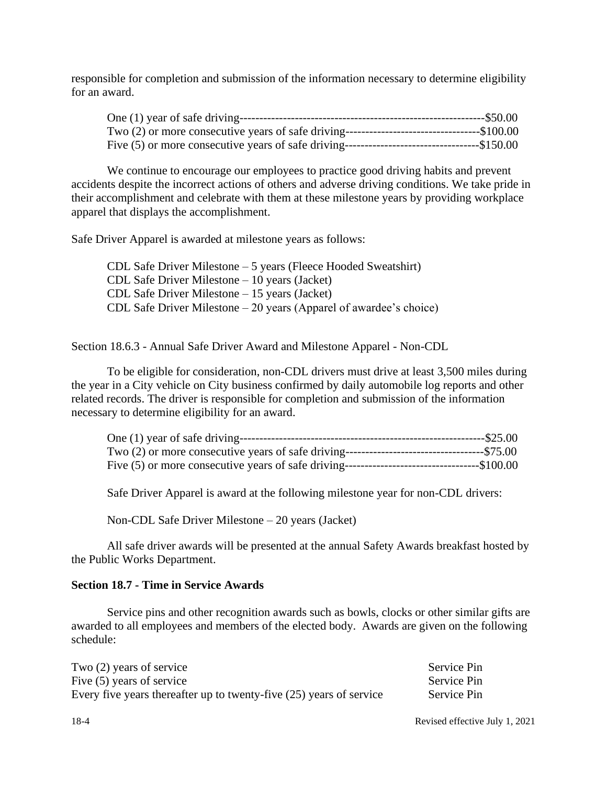responsible for completion and submission of the information necessary to determine eligibility for an award.

|                                                                                             | ---\$50.00    |
|---------------------------------------------------------------------------------------------|---------------|
| Two (2) or more consecutive years of safe driving----------------------------------\$100.00 |               |
| Five (5) or more consecutive years of safe driving------------------------------            | -----\$150.00 |

We continue to encourage our employees to practice good driving habits and prevent accidents despite the incorrect actions of others and adverse driving conditions. We take pride in their accomplishment and celebrate with them at these milestone years by providing workplace apparel that displays the accomplishment.

Safe Driver Apparel is awarded at milestone years as follows:

CDL Safe Driver Milestone – 5 years (Fleece Hooded Sweatshirt) CDL Safe Driver Milestone – 10 years (Jacket) CDL Safe Driver Milestone – 15 years (Jacket) CDL Safe Driver Milestone – 20 years (Apparel of awardee's choice)

Section 18.6.3 - Annual Safe Driver Award and Milestone Apparel - Non-CDL

To be eligible for consideration, non-CDL drivers must drive at least 3,500 miles during the year in a City vehicle on City business confirmed by daily automobile log reports and other related records. The driver is responsible for completion and submission of the information necessary to determine eligibility for an award.

|                                                                                              | ------\$25.00 |
|----------------------------------------------------------------------------------------------|---------------|
|                                                                                              |               |
| Five (5) or more consecutive years of safe driving----------------------------------\$100.00 |               |

Safe Driver Apparel is award at the following milestone year for non-CDL drivers:

Non-CDL Safe Driver Milestone – 20 years (Jacket)

All safe driver awards will be presented at the annual Safety Awards breakfast hosted by the Public Works Department.

#### **Section 18.7 - Time in Service Awards**

Service pins and other recognition awards such as bowls, clocks or other similar gifts are awarded to all employees and members of the elected body. Awards are given on the following schedule:

| Two $(2)$ years of service                                            | Service Pin |
|-----------------------------------------------------------------------|-------------|
| Five (5) years of service                                             | Service Pin |
| Every five years thereafter up to twenty-five $(25)$ years of service | Service Pin |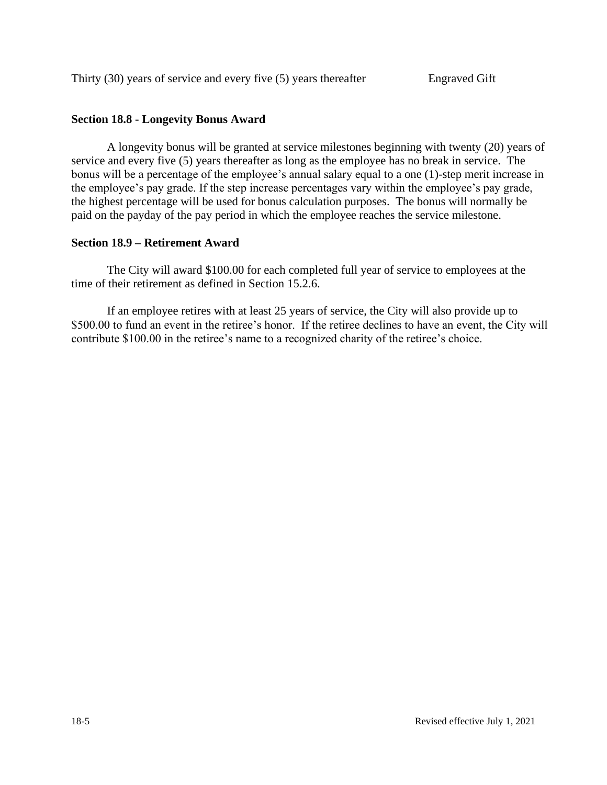### **Section 18.8 - Longevity Bonus Award**

A longevity bonus will be granted at service milestones beginning with twenty (20) years of service and every five (5) years thereafter as long as the employee has no break in service. The bonus will be a percentage of the employee's annual salary equal to a one (1)-step merit increase in the employee's pay grade. If the step increase percentages vary within the employee's pay grade, the highest percentage will be used for bonus calculation purposes. The bonus will normally be paid on the payday of the pay period in which the employee reaches the service milestone.

# **Section 18.9 – Retirement Award**

The City will award \$100.00 for each completed full year of service to employees at the time of their retirement as defined in Section 15.2.6.

If an employee retires with at least 25 years of service, the City will also provide up to \$500.00 to fund an event in the retiree's honor. If the retiree declines to have an event, the City will contribute \$100.00 in the retiree's name to a recognized charity of the retiree's choice.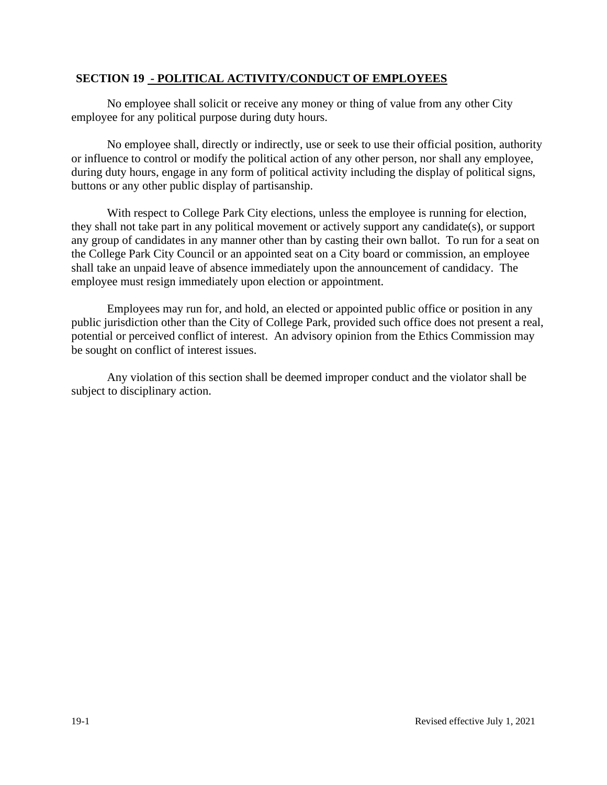# **SECTION 19 - POLITICAL ACTIVITY/CONDUCT OF EMPLOYEES**

No employee shall solicit or receive any money or thing of value from any other City employee for any political purpose during duty hours.

No employee shall, directly or indirectly, use or seek to use their official position, authority or influence to control or modify the political action of any other person, nor shall any employee, during duty hours, engage in any form of political activity including the display of political signs, buttons or any other public display of partisanship.

With respect to College Park City elections, unless the employee is running for election, they shall not take part in any political movement or actively support any candidate(s), or support any group of candidates in any manner other than by casting their own ballot. To run for a seat on the College Park City Council or an appointed seat on a City board or commission, an employee shall take an unpaid leave of absence immediately upon the announcement of candidacy. The employee must resign immediately upon election or appointment.

Employees may run for, and hold, an elected or appointed public office or position in any public jurisdiction other than the City of College Park, provided such office does not present a real, potential or perceived conflict of interest. An advisory opinion from the Ethics Commission may be sought on conflict of interest issues.

Any violation of this section shall be deemed improper conduct and the violator shall be subject to disciplinary action.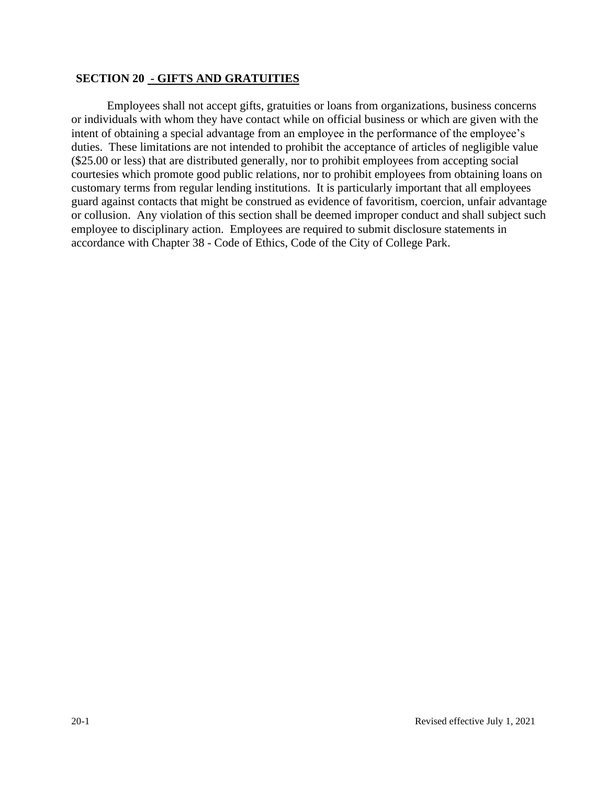## **SECTION 20 - GIFTS AND GRATUITIES**

Employees shall not accept gifts, gratuities or loans from organizations, business concerns or individuals with whom they have contact while on official business or which are given with the intent of obtaining a special advantage from an employee in the performance of the employee's duties. These limitations are not intended to prohibit the acceptance of articles of negligible value (\$25.00 or less) that are distributed generally, nor to prohibit employees from accepting social courtesies which promote good public relations, nor to prohibit employees from obtaining loans on customary terms from regular lending institutions. It is particularly important that all employees guard against contacts that might be construed as evidence of favoritism, coercion, unfair advantage or collusion. Any violation of this section shall be deemed improper conduct and shall subject such employee to disciplinary action. Employees are required to submit disclosure statements in accordance with Chapter 38 - Code of Ethics, Code of the City of College Park.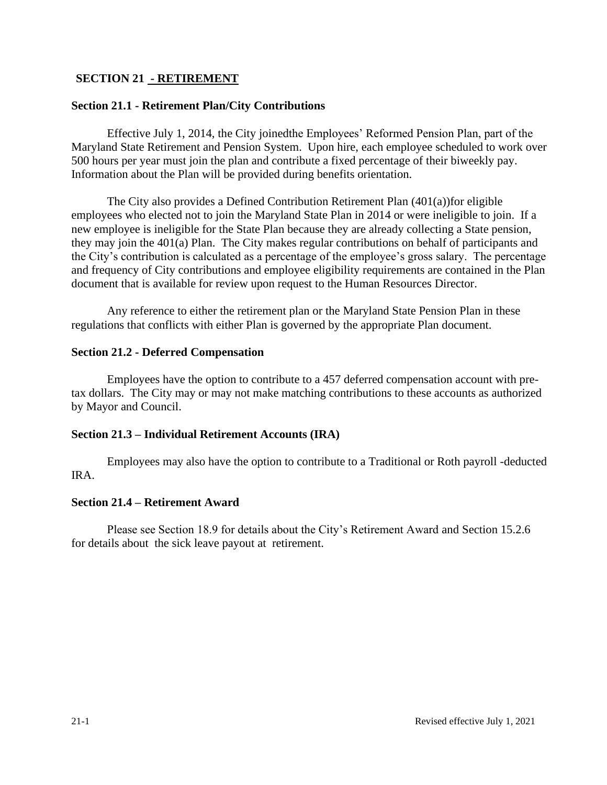# **SECTION 21 - RETIREMENT**

# **Section 21.1 - Retirement Plan/City Contributions**

Effective July 1, 2014, the City joinedthe Employees' Reformed Pension Plan, part of the Maryland State Retirement and Pension System. Upon hire, each employee scheduled to work over 500 hours per year must join the plan and contribute a fixed percentage of their biweekly pay. Information about the Plan will be provided during benefits orientation.

The City also provides a Defined Contribution Retirement Plan  $(401(a))$  for eligible employees who elected not to join the Maryland State Plan in 2014 or were ineligible to join. If a new employee is ineligible for the State Plan because they are already collecting a State pension, they may join the 401(a) Plan. The City makes regular contributions on behalf of participants and the City's contribution is calculated as a percentage of the employee's gross salary. The percentage and frequency of City contributions and employee eligibility requirements are contained in the Plan document that is available for review upon request to the Human Resources Director.

Any reference to either the retirement plan or the Maryland State Pension Plan in these regulations that conflicts with either Plan is governed by the appropriate Plan document.

### **Section 21.2 - Deferred Compensation**

Employees have the option to contribute to a 457 deferred compensation account with pretax dollars. The City may or may not make matching contributions to these accounts as authorized by Mayor and Council.

### **Section 21.3 – Individual Retirement Accounts (IRA)**

Employees may also have the option to contribute to a Traditional or Roth payroll -deducted IRA.

### **Section 21.4 – Retirement Award**

Please see Section 18.9 for details about the City's Retirement Award and Section 15.2.6 for details about the sick leave payout at retirement.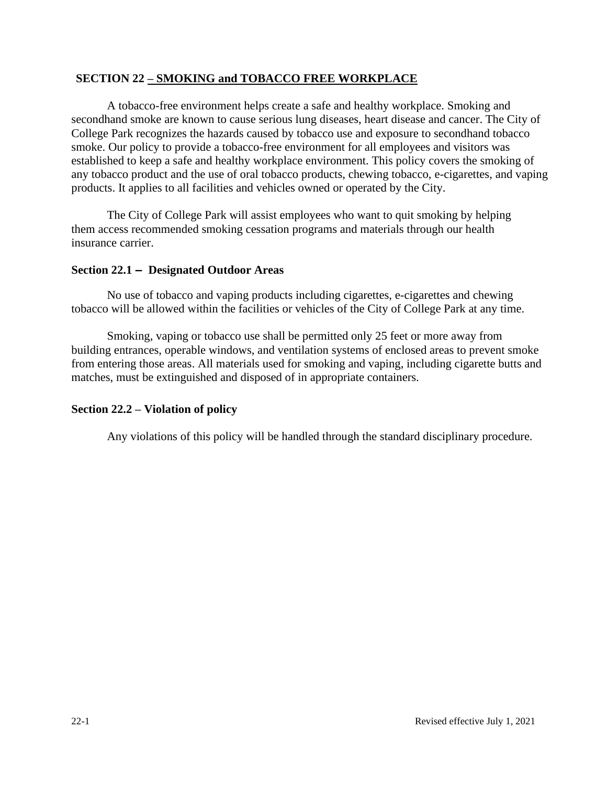# **SECTION 22 – SMOKING and TOBACCO FREE WORKPLACE**

A tobacco-free environment helps create a safe and healthy workplace. Smoking and secondhand smoke are known to cause serious lung diseases, heart disease and cancer. The City of College Park recognizes the hazards caused by tobacco use and exposure to secondhand tobacco smoke. Our policy to provide a tobacco-free environment for all employees and visitors was established to keep a safe and healthy workplace environment. This policy covers the smoking of any tobacco product and the use of oral tobacco products, chewing tobacco, e-cigarettes, and vaping products. It applies to all facilities and vehicles owned or operated by the City.

The City of College Park will assist employees who want to quit smoking by helping them access recommended smoking cessation programs and materials through our health insurance carrier.

# **Section 22.1 – Designated Outdoor Areas**

No use of tobacco and vaping products including cigarettes, e-cigarettes and chewing tobacco will be allowed within the facilities or vehicles of the City of College Park at any time.

Smoking, vaping or tobacco use shall be permitted only 25 feet or more away from building entrances, operable windows, and ventilation systems of enclosed areas to prevent smoke from entering those areas. All materials used for smoking and vaping, including cigarette butts and matches, must be extinguished and disposed of in appropriate containers.

### **Section 22.2 – Violation of policy**

Any violations of this policy will be handled through the standard disciplinary procedure.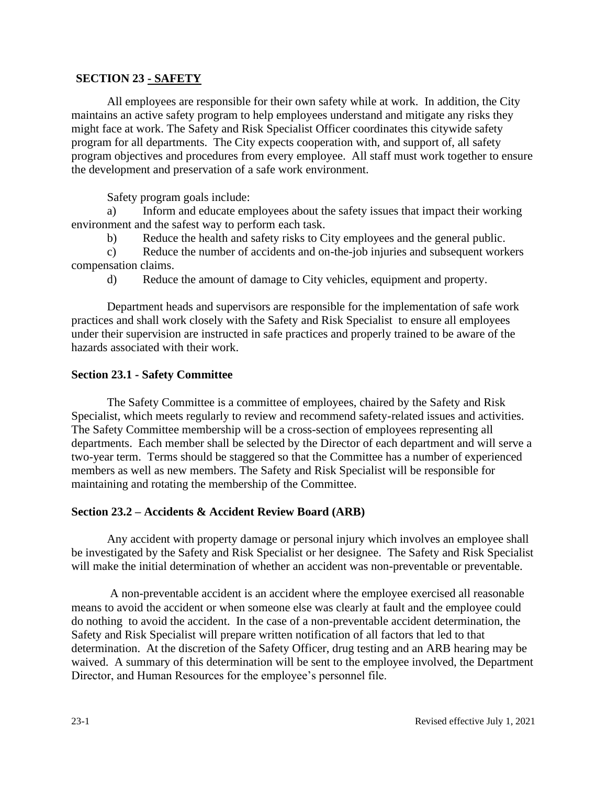# **SECTION 23 - SAFETY**

All employees are responsible for their own safety while at work. In addition, the City maintains an active safety program to help employees understand and mitigate any risks they might face at work. The Safety and Risk Specialist Officer coordinates this citywide safety program for all departments. The City expects cooperation with, and support of, all safety program objectives and procedures from every employee. All staff must work together to ensure the development and preservation of a safe work environment.

Safety program goals include:

a) Inform and educate employees about the safety issues that impact their working environment and the safest way to perform each task.

b) Reduce the health and safety risks to City employees and the general public.

c) Reduce the number of accidents and on-the-job injuries and subsequent workers compensation claims.

d) Reduce the amount of damage to City vehicles, equipment and property.

Department heads and supervisors are responsible for the implementation of safe work practices and shall work closely with the Safety and Risk Specialist to ensure all employees under their supervision are instructed in safe practices and properly trained to be aware of the hazards associated with their work.

# **Section 23.1 - Safety Committee**

The Safety Committee is a committee of employees, chaired by the Safety and Risk Specialist, which meets regularly to review and recommend safety-related issues and activities. The Safety Committee membership will be a cross-section of employees representing all departments. Each member shall be selected by the Director of each department and will serve a two-year term. Terms should be staggered so that the Committee has a number of experienced members as well as new members. The Safety and Risk Specialist will be responsible for maintaining and rotating the membership of the Committee.

# **Section 23.2 – Accidents & Accident Review Board (ARB)**

Any accident with property damage or personal injury which involves an employee shall be investigated by the Safety and Risk Specialist or her designee. The Safety and Risk Specialist will make the initial determination of whether an accident was non-preventable or preventable.

A non-preventable accident is an accident where the employee exercised all reasonable means to avoid the accident or when someone else was clearly at fault and the employee could do nothing to avoid the accident. In the case of a non-preventable accident determination, the Safety and Risk Specialist will prepare written notification of all factors that led to that determination. At the discretion of the Safety Officer, drug testing and an ARB hearing may be waived. A summary of this determination will be sent to the employee involved, the Department Director, and Human Resources for the employee's personnel file.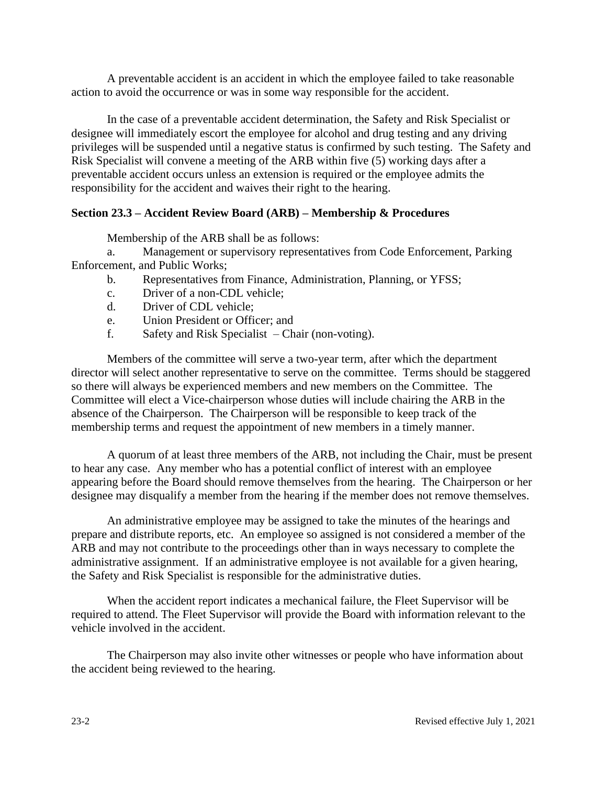A preventable accident is an accident in which the employee failed to take reasonable action to avoid the occurrence or was in some way responsible for the accident.

In the case of a preventable accident determination, the Safety and Risk Specialist or designee will immediately escort the employee for alcohol and drug testing and any driving privileges will be suspended until a negative status is confirmed by such testing. The Safety and Risk Specialist will convene a meeting of the ARB within five (5) working days after a preventable accident occurs unless an extension is required or the employee admits the responsibility for the accident and waives their right to the hearing.

# **Section 23.3 – Accident Review Board (ARB) – Membership & Procedures**

Membership of the ARB shall be as follows:

a. Management or supervisory representatives from Code Enforcement, Parking Enforcement, and Public Works;

- b. Representatives from Finance, Administration, Planning, or YFSS;
- c. Driver of a non-CDL vehicle;
- d. Driver of CDL vehicle;
- e. Union President or Officer; and
- f. Safety and Risk Specialist Chair (non-voting).

Members of the committee will serve a two-year term, after which the department director will select another representative to serve on the committee. Terms should be staggered so there will always be experienced members and new members on the Committee. The Committee will elect a Vice-chairperson whose duties will include chairing the ARB in the absence of the Chairperson. The Chairperson will be responsible to keep track of the membership terms and request the appointment of new members in a timely manner.

A quorum of at least three members of the ARB, not including the Chair, must be present to hear any case. Any member who has a potential conflict of interest with an employee appearing before the Board should remove themselves from the hearing. The Chairperson or her designee may disqualify a member from the hearing if the member does not remove themselves.

An administrative employee may be assigned to take the minutes of the hearings and prepare and distribute reports, etc. An employee so assigned is not considered a member of the ARB and may not contribute to the proceedings other than in ways necessary to complete the administrative assignment. If an administrative employee is not available for a given hearing, the Safety and Risk Specialist is responsible for the administrative duties.

When the accident report indicates a mechanical failure, the Fleet Supervisor will be required to attend. The Fleet Supervisor will provide the Board with information relevant to the vehicle involved in the accident.

The Chairperson may also invite other witnesses or people who have information about the accident being reviewed to the hearing.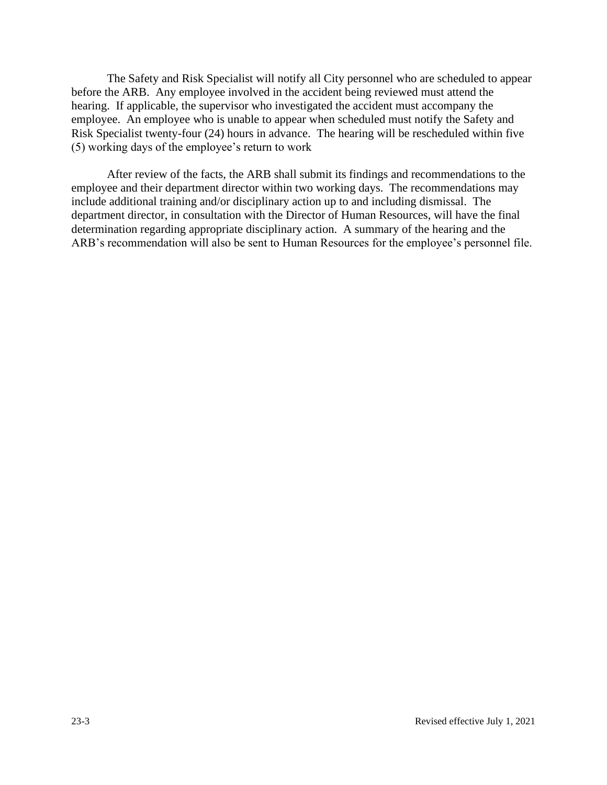The Safety and Risk Specialist will notify all City personnel who are scheduled to appear before the ARB. Any employee involved in the accident being reviewed must attend the hearing. If applicable, the supervisor who investigated the accident must accompany the employee. An employee who is unable to appear when scheduled must notify the Safety and Risk Specialist twenty-four (24) hours in advance. The hearing will be rescheduled within five (5) working days of the employee's return to work

After review of the facts, the ARB shall submit its findings and recommendations to the employee and their department director within two working days. The recommendations may include additional training and/or disciplinary action up to and including dismissal. The department director, in consultation with the Director of Human Resources, will have the final determination regarding appropriate disciplinary action. A summary of the hearing and the ARB's recommendation will also be sent to Human Resources for the employee's personnel file.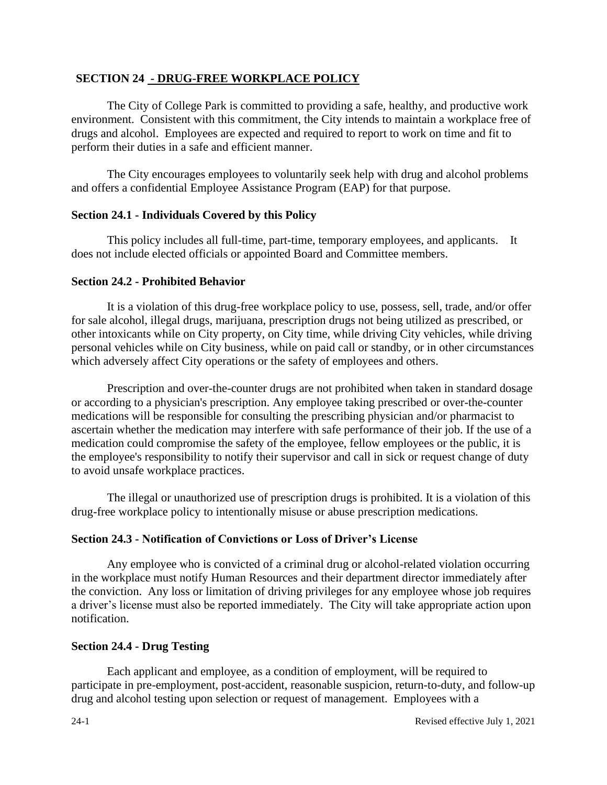### **SECTION 24 - DRUG-FREE WORKPLACE POLICY**

The City of College Park is committed to providing a safe, healthy, and productive work environment. Consistent with this commitment, the City intends to maintain a workplace free of drugs and alcohol. Employees are expected and required to report to work on time and fit to perform their duties in a safe and efficient manner.

The City encourages employees to voluntarily seek help with drug and alcohol problems and offers a confidential Employee Assistance Program (EAP) for that purpose.

## **Section 24.1 - Individuals Covered by this Policy**

This policy includes all full-time, part-time, temporary employees, and applicants. It does not include elected officials or appointed Board and Committee members.

### **Section 24.2 - Prohibited Behavior**

It is a violation of this drug-free workplace policy to use, possess, sell, trade, and/or offer for sale alcohol, illegal drugs, marijuana, prescription drugs not being utilized as prescribed, or other intoxicants while on City property, on City time, while driving City vehicles, while driving personal vehicles while on City business, while on paid call or standby, or in other circumstances which adversely affect City operations or the safety of employees and others.

Prescription and over-the-counter drugs are not prohibited when taken in standard dosage or according to a physician's prescription. Any employee taking prescribed or over-the-counter medications will be responsible for consulting the prescribing physician and/or pharmacist to ascertain whether the medication may interfere with safe performance of their job. If the use of a medication could compromise the safety of the employee, fellow employees or the public, it is the employee's responsibility to notify their supervisor and call in sick or request change of duty to avoid unsafe workplace practices.

The illegal or unauthorized use of prescription drugs is prohibited. It is a violation of this drug-free workplace policy to intentionally misuse or abuse prescription medications.

# **Section 24.3 - Notification of Convictions or Loss of Driver's License**

Any employee who is convicted of a criminal drug or alcohol-related violation occurring in the workplace must notify Human Resources and their department director immediately after the conviction. Any loss or limitation of driving privileges for any employee whose job requires a driver's license must also be reported immediately. The City will take appropriate action upon notification.

# **Section 24.4 - Drug Testing**

Each applicant and employee, as a condition of employment, will be required to participate in pre-employment, post-accident, reasonable suspicion, return-to-duty, and follow-up drug and alcohol testing upon selection or request of management. Employees with a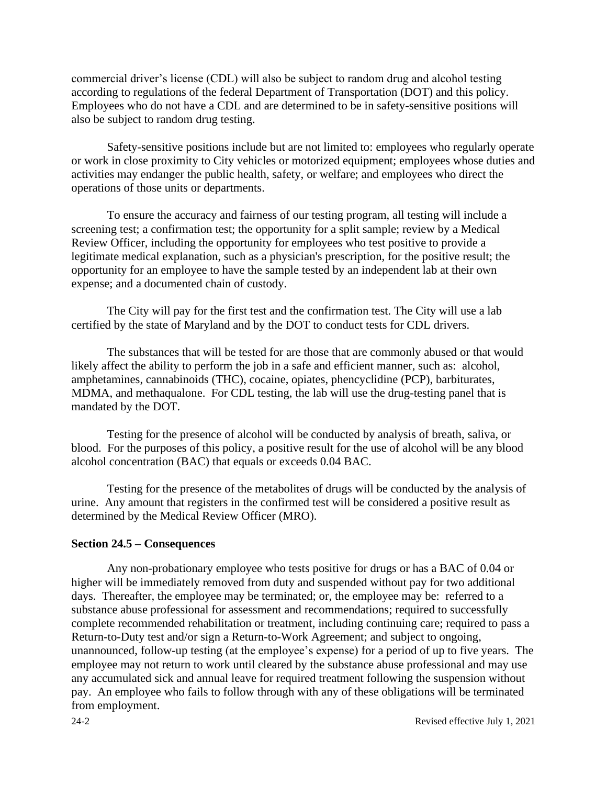commercial driver's license (CDL) will also be subject to random drug and alcohol testing according to regulations of the federal Department of Transportation (DOT) and this policy. Employees who do not have a CDL and are determined to be in safety-sensitive positions will also be subject to random drug testing.

Safety-sensitive positions include but are not limited to: employees who regularly operate or work in close proximity to City vehicles or motorized equipment; employees whose duties and activities may endanger the public health, safety, or welfare; and employees who direct the operations of those units or departments.

To ensure the accuracy and fairness of our testing program, all testing will include a screening test; a confirmation test; the opportunity for a split sample; review by a Medical Review Officer, including the opportunity for employees who test positive to provide a legitimate medical explanation, such as a physician's prescription, for the positive result; the opportunity for an employee to have the sample tested by an independent lab at their own expense; and a documented chain of custody.

The City will pay for the first test and the confirmation test. The City will use a lab certified by the state of Maryland and by the DOT to conduct tests for CDL drivers.

The substances that will be tested for are those that are commonly abused or that would likely affect the ability to perform the job in a safe and efficient manner, such as: alcohol, amphetamines, cannabinoids (THC), cocaine, opiates, phencyclidine (PCP), barbiturates, MDMA, and methaqualone. For CDL testing, the lab will use the drug-testing panel that is mandated by the DOT.

Testing for the presence of alcohol will be conducted by analysis of breath, saliva, or blood. For the purposes of this policy, a positive result for the use of alcohol will be any blood alcohol concentration (BAC) that equals or exceeds 0.04 BAC.

Testing for the presence of the metabolites of drugs will be conducted by the analysis of urine. Any amount that registers in the confirmed test will be considered a positive result as determined by the Medical Review Officer (MRO).

### **Section 24.5 – Consequences**

Any non-probationary employee who tests positive for drugs or has a BAC of 0.04 or higher will be immediately removed from duty and suspended without pay for two additional days. Thereafter, the employee may be terminated; or, the employee may be: referred to a substance abuse professional for assessment and recommendations; required to successfully complete recommended rehabilitation or treatment, including continuing care; required to pass a Return-to-Duty test and/or sign a Return-to-Work Agreement; and subject to ongoing, unannounced, follow-up testing (at the employee's expense) for a period of up to five years. The employee may not return to work until cleared by the substance abuse professional and may use any accumulated sick and annual leave for required treatment following the suspension without pay. An employee who fails to follow through with any of these obligations will be terminated from employment.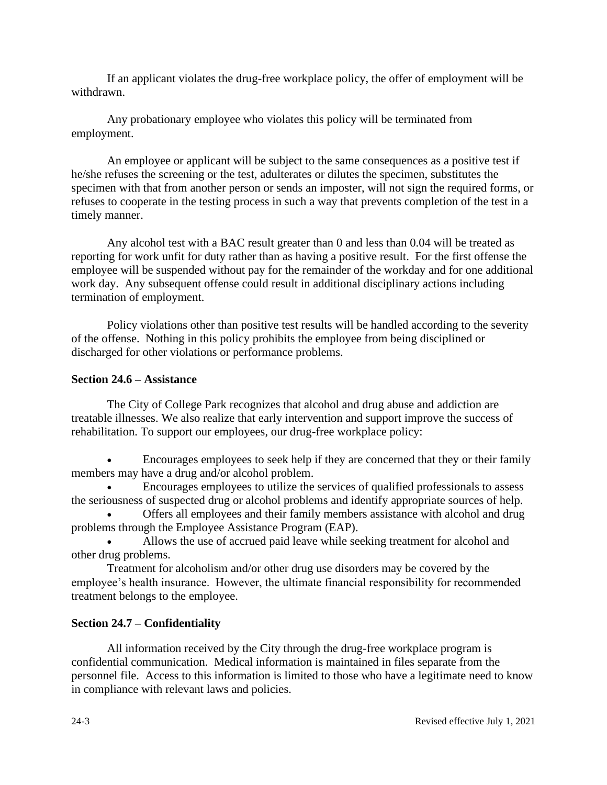If an applicant violates the drug-free workplace policy, the offer of employment will be withdrawn.

Any probationary employee who violates this policy will be terminated from employment.

An employee or applicant will be subject to the same consequences as a positive test if he/she refuses the screening or the test, adulterates or dilutes the specimen, substitutes the specimen with that from another person or sends an imposter, will not sign the required forms, or refuses to cooperate in the testing process in such a way that prevents completion of the test in a timely manner.

Any alcohol test with a BAC result greater than 0 and less than 0.04 will be treated as reporting for work unfit for duty rather than as having a positive result. For the first offense the employee will be suspended without pay for the remainder of the workday and for one additional work day. Any subsequent offense could result in additional disciplinary actions including termination of employment.

Policy violations other than positive test results will be handled according to the severity of the offense. Nothing in this policy prohibits the employee from being disciplined or discharged for other violations or performance problems.

## **Section 24.6 – Assistance**

The City of College Park recognizes that alcohol and drug abuse and addiction are treatable illnesses. We also realize that early intervention and support improve the success of rehabilitation. To support our employees, our drug-free workplace policy:

• Encourages employees to seek help if they are concerned that they or their family members may have a drug and/or alcohol problem.

• Encourages employees to utilize the services of qualified professionals to assess the seriousness of suspected drug or alcohol problems and identify appropriate sources of help.

• Offers all employees and their family members assistance with alcohol and drug problems through the Employee Assistance Program (EAP).

• Allows the use of accrued paid leave while seeking treatment for alcohol and other drug problems.

Treatment for alcoholism and/or other drug use disorders may be covered by the employee's health insurance. However, the ultimate financial responsibility for recommended treatment belongs to the employee.

# **Section 24.7 – Confidentiality**

All information received by the City through the drug-free workplace program is confidential communication. Medical information is maintained in files separate from the personnel file. Access to this information is limited to those who have a legitimate need to know in compliance with relevant laws and policies.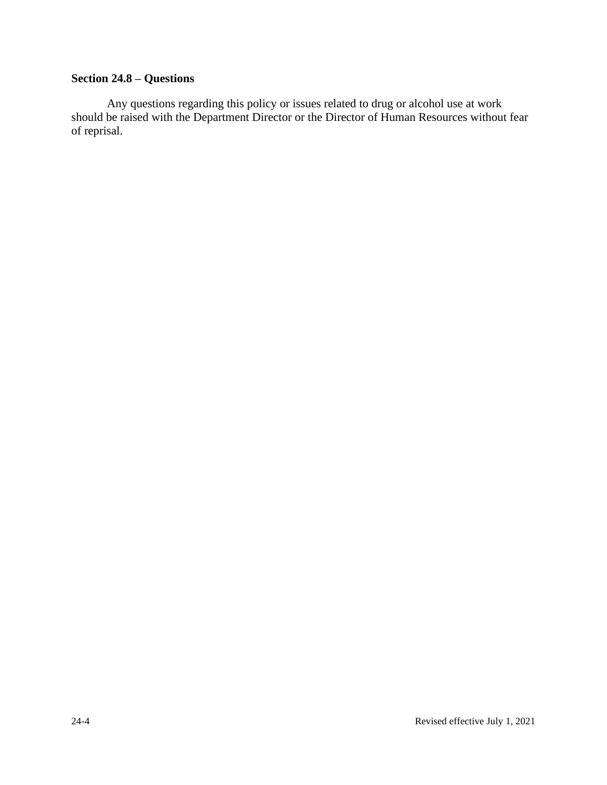# **Section 24.8 – Questions**

Any questions regarding this policy or issues related to drug or alcohol use at work should be raised with the Department Director or the Director of Human Resources without fear of reprisal.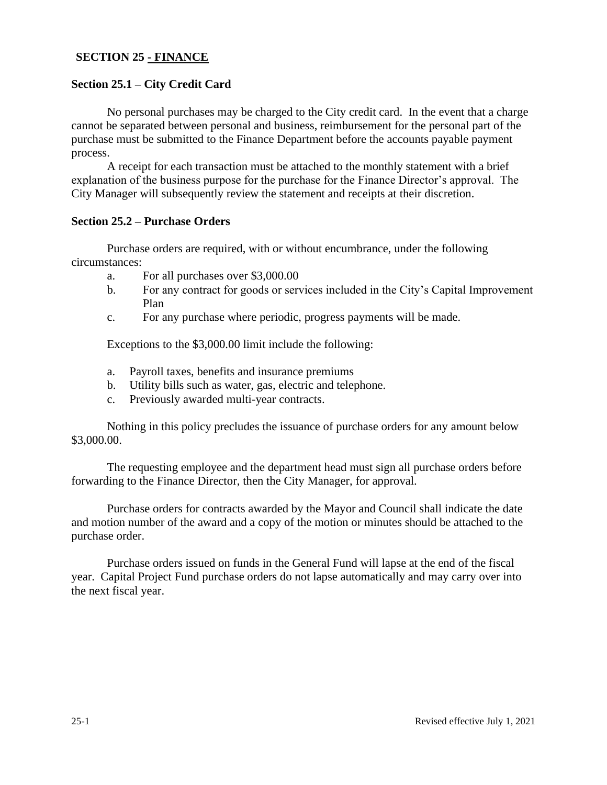## **SECTION 25 - FINANCE**

### **Section 25.1 – City Credit Card**

No personal purchases may be charged to the City credit card. In the event that a charge cannot be separated between personal and business, reimbursement for the personal part of the purchase must be submitted to the Finance Department before the accounts payable payment process.

A receipt for each transaction must be attached to the monthly statement with a brief explanation of the business purpose for the purchase for the Finance Director's approval. The City Manager will subsequently review the statement and receipts at their discretion.

#### **Section 25.2 – Purchase Orders**

Purchase orders are required, with or without encumbrance, under the following circumstances:

- a. For all purchases over \$3,000.00
- b. For any contract for goods or services included in the City's Capital Improvement Plan
- c. For any purchase where periodic, progress payments will be made.

Exceptions to the \$3,000.00 limit include the following:

- a. Payroll taxes, benefits and insurance premiums
- b. Utility bills such as water, gas, electric and telephone.
- c. Previously awarded multi-year contracts.

Nothing in this policy precludes the issuance of purchase orders for any amount below \$3,000.00.

The requesting employee and the department head must sign all purchase orders before forwarding to the Finance Director, then the City Manager, for approval.

Purchase orders for contracts awarded by the Mayor and Council shall indicate the date and motion number of the award and a copy of the motion or minutes should be attached to the purchase order.

Purchase orders issued on funds in the General Fund will lapse at the end of the fiscal year. Capital Project Fund purchase orders do not lapse automatically and may carry over into the next fiscal year.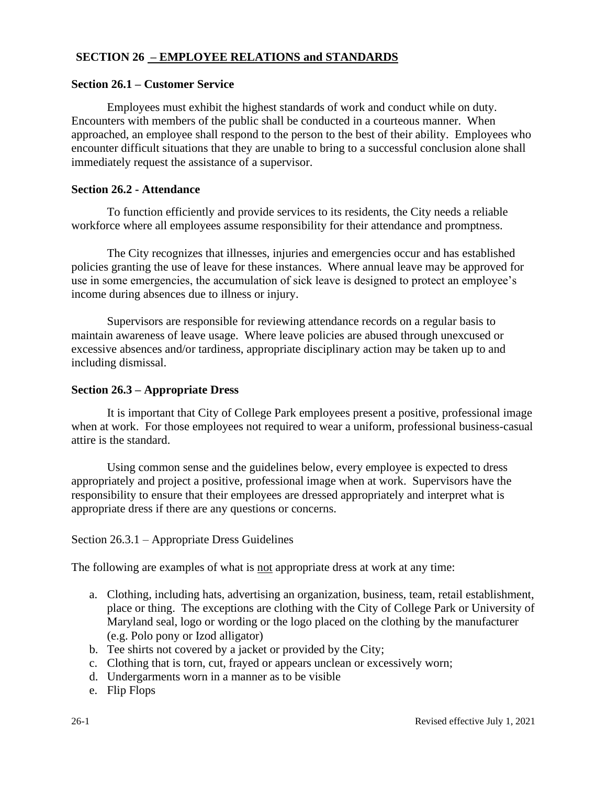# **SECTION 26 – EMPLOYEE RELATIONS and STANDARDS**

### **Section 26.1 – Customer Service**

Employees must exhibit the highest standards of work and conduct while on duty. Encounters with members of the public shall be conducted in a courteous manner. When approached, an employee shall respond to the person to the best of their ability. Employees who encounter difficult situations that they are unable to bring to a successful conclusion alone shall immediately request the assistance of a supervisor.

#### **Section 26.2 - Attendance**

To function efficiently and provide services to its residents, the City needs a reliable workforce where all employees assume responsibility for their attendance and promptness.

The City recognizes that illnesses, injuries and emergencies occur and has established policies granting the use of leave for these instances. Where annual leave may be approved for use in some emergencies, the accumulation of sick leave is designed to protect an employee's income during absences due to illness or injury.

Supervisors are responsible for reviewing attendance records on a regular basis to maintain awareness of leave usage. Where leave policies are abused through unexcused or excessive absences and/or tardiness, appropriate disciplinary action may be taken up to and including dismissal.

#### **Section 26.3 – Appropriate Dress**

It is important that City of College Park employees present a positive, professional image when at work. For those employees not required to wear a uniform, professional business-casual attire is the standard.

Using common sense and the guidelines below, every employee is expected to dress appropriately and project a positive, professional image when at work. Supervisors have the responsibility to ensure that their employees are dressed appropriately and interpret what is appropriate dress if there are any questions or concerns.

### Section 26.3.1 – Appropriate Dress Guidelines

The following are examples of what is not appropriate dress at work at any time:

- a. Clothing, including hats, advertising an organization, business, team, retail establishment, place or thing. The exceptions are clothing with the City of College Park or University of Maryland seal, logo or wording or the logo placed on the clothing by the manufacturer (e.g. Polo pony or Izod alligator)
- b. Tee shirts not covered by a jacket or provided by the City;
- c. Clothing that is torn, cut, frayed or appears unclean or excessively worn;
- d. Undergarments worn in a manner as to be visible
- e. Flip Flops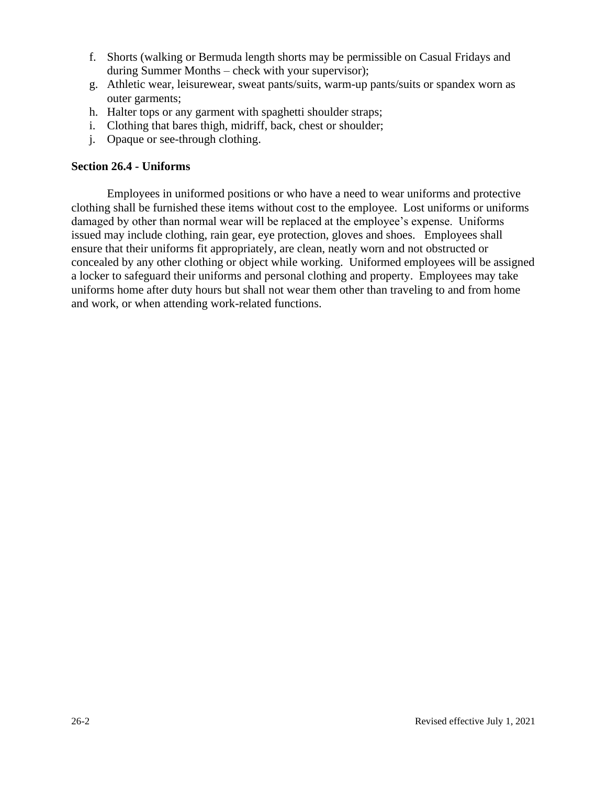- f. Shorts (walking or Bermuda length shorts may be permissible on Casual Fridays and during Summer Months – check with your supervisor);
- g. Athletic wear, leisurewear, sweat pants/suits, warm-up pants/suits or spandex worn as outer garments;
- h. Halter tops or any garment with spaghetti shoulder straps;
- i. Clothing that bares thigh, midriff, back, chest or shoulder;
- j. Opaque or see-through clothing.

### **Section 26.4 - Uniforms**

Employees in uniformed positions or who have a need to wear uniforms and protective clothing shall be furnished these items without cost to the employee. Lost uniforms or uniforms damaged by other than normal wear will be replaced at the employee's expense. Uniforms issued may include clothing, rain gear, eye protection, gloves and shoes. Employees shall ensure that their uniforms fit appropriately, are clean, neatly worn and not obstructed or concealed by any other clothing or object while working. Uniformed employees will be assigned a locker to safeguard their uniforms and personal clothing and property. Employees may take uniforms home after duty hours but shall not wear them other than traveling to and from home and work, or when attending work-related functions.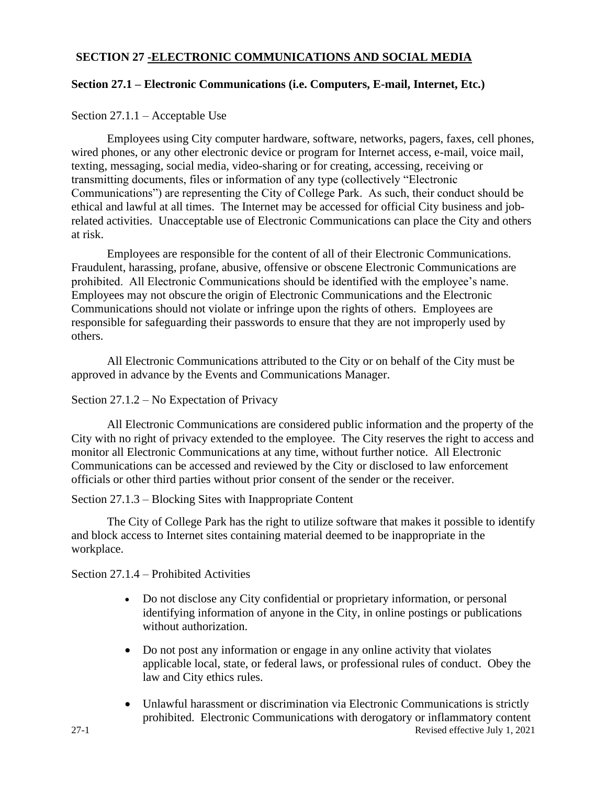# **SECTION 27 -ELECTRONIC COMMUNICATIONS AND SOCIAL MEDIA**

## **Section 27.1 – Electronic Communications (i.e. Computers, E-mail, Internet, Etc.)**

### Section 27.1.1 – Acceptable Use

Employees using City computer hardware, software, networks, pagers, faxes, cell phones, wired phones, or any other electronic device or program for Internet access, e-mail, voice mail, texting, messaging, social media, video-sharing or for creating, accessing, receiving or transmitting documents, files or information of any type (collectively "Electronic Communications") are representing the City of College Park. As such, their conduct should be ethical and lawful at all times. The Internet may be accessed for official City business and jobrelated activities. Unacceptable use of Electronic Communications can place the City and others at risk.

Employees are responsible for the content of all of their Electronic Communications. Fraudulent, harassing, profane, abusive, offensive or obscene Electronic Communications are prohibited. All Electronic Communications should be identified with the employee's name. Employees may not obscure the origin of Electronic Communications and the Electronic Communications should not violate or infringe upon the rights of others. Employees are responsible for safeguarding their passwords to ensure that they are not improperly used by others.

All Electronic Communications attributed to the City or on behalf of the City must be approved in advance by the Events and Communications Manager.

### Section 27.1.2 – No Expectation of Privacy

All Electronic Communications are considered public information and the property of the City with no right of privacy extended to the employee. The City reserves the right to access and monitor all Electronic Communications at any time, without further notice. All Electronic Communications can be accessed and reviewed by the City or disclosed to law enforcement officials or other third parties without prior consent of the sender or the receiver.

### Section 27.1.3 – Blocking Sites with Inappropriate Content

The City of College Park has the right to utilize software that makes it possible to identify and block access to Internet sites containing material deemed to be inappropriate in the workplace.

Section 27.1.4 – Prohibited Activities

- Do not disclose any City confidential or proprietary information, or personal identifying information of anyone in the City, in online postings or publications without authorization.
- Do not post any information or engage in any online activity that violates applicable local, state, or federal laws, or professional rules of conduct. Obey the law and City ethics rules.
- 27-1 Revised effective July 1, 2021 • Unlawful harassment or discrimination via Electronic Communications is strictly prohibited. Electronic Communications with derogatory or inflammatory content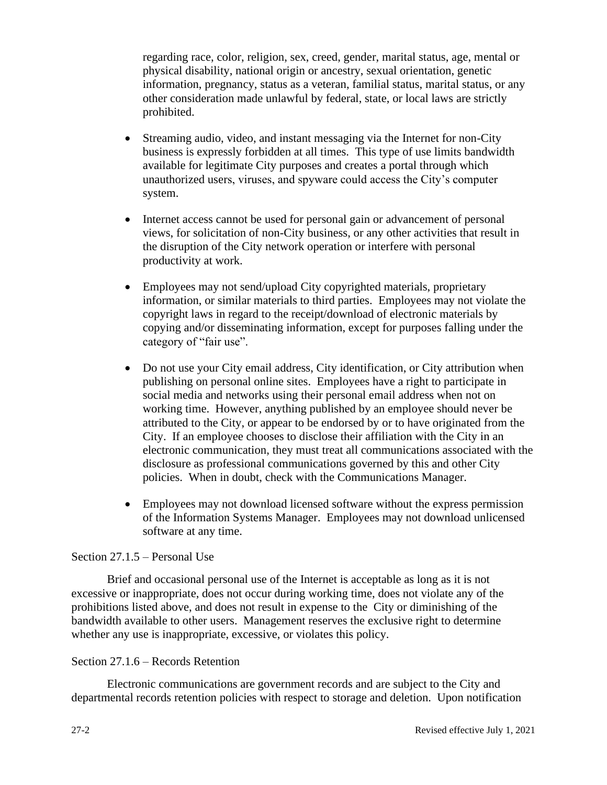regarding race, color, religion, sex, creed, gender, marital status, age, mental or physical disability, national origin or ancestry, sexual orientation, genetic information, pregnancy, status as a veteran, familial status, marital status, or any other consideration made unlawful by federal, state, or local laws are strictly prohibited.

- Streaming audio, video, and instant messaging via the Internet for non-City business is expressly forbidden at all times. This type of use limits bandwidth available for legitimate City purposes and creates a portal through which unauthorized users, viruses, and spyware could access the City's computer system.
- Internet access cannot be used for personal gain or advancement of personal views, for solicitation of non-City business, or any other activities that result in the disruption of the City network operation or interfere with personal productivity at work.
- Employees may not send/upload City copyrighted materials, proprietary information, or similar materials to third parties. Employees may not violate the copyright laws in regard to the receipt/download of electronic materials by copying and/or disseminating information, except for purposes falling under the category of "fair use".
- Do not use your City email address, City identification, or City attribution when publishing on personal online sites. Employees have a right to participate in social media and networks using their personal email address when not on working time. However, anything published by an employee should never be attributed to the City, or appear to be endorsed by or to have originated from the City. If an employee chooses to disclose their affiliation with the City in an electronic communication, they must treat all communications associated with the disclosure as professional communications governed by this and other City policies. When in doubt, check with the Communications Manager.
- Employees may not download licensed software without the express permission of the Information Systems Manager. Employees may not download unlicensed software at any time.

### Section 27.1.5 – Personal Use

Brief and occasional personal use of the Internet is acceptable as long as it is not excessive or inappropriate, does not occur during working time, does not violate any of the prohibitions listed above, and does not result in expense to the City or diminishing of the bandwidth available to other users. Management reserves the exclusive right to determine whether any use is inappropriate, excessive, or violates this policy.

### Section 27.1.6 – Records Retention

Electronic communications are government records and are subject to the City and departmental records retention policies with respect to storage and deletion. Upon notification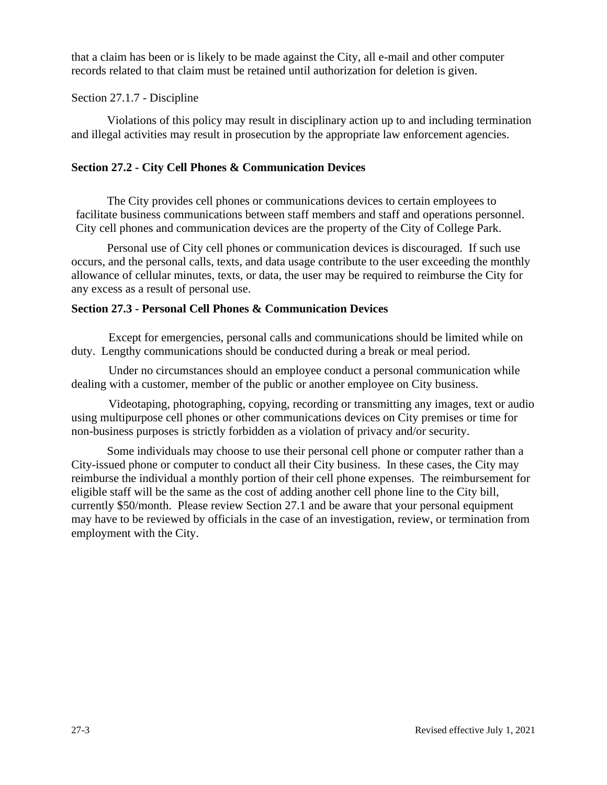that a claim has been or is likely to be made against the City, all e-mail and other computer records related to that claim must be retained until authorization for deletion is given.

# Section 27.1.7 - Discipline

Violations of this policy may result in disciplinary action up to and including termination and illegal activities may result in prosecution by the appropriate law enforcement agencies.

## **Section 27.2 - City Cell Phones & Communication Devices**

The City provides cell phones or communications devices to certain employees to facilitate business communications between staff members and staff and operations personnel. City cell phones and communication devices are the property of the City of College Park.

Personal use of City cell phones or communication devices is discouraged. If such use occurs, and the personal calls, texts, and data usage contribute to the user exceeding the monthly allowance of cellular minutes, texts, or data, the user may be required to reimburse the City for any excess as a result of personal use.

## **Section 27.3 - Personal Cell Phones & Communication Devices**

Except for emergencies, personal calls and communications should be limited while on duty. Lengthy communications should be conducted during a break or meal period.

Under no circumstances should an employee conduct a personal communication while dealing with a customer, member of the public or another employee on City business.

Videotaping, photographing, copying, recording or transmitting any images, text or audio using multipurpose cell phones or other communications devices on City premises or time for non-business purposes is strictly forbidden as a violation of privacy and/or security.

Some individuals may choose to use their personal cell phone or computer rather than a City-issued phone or computer to conduct all their City business. In these cases, the City may reimburse the individual a monthly portion of their cell phone expenses. The reimbursement for eligible staff will be the same as the cost of adding another cell phone line to the City bill, currently \$50/month. Please review Section 27.1 and be aware that your personal equipment may have to be reviewed by officials in the case of an investigation, review, or termination from employment with the City.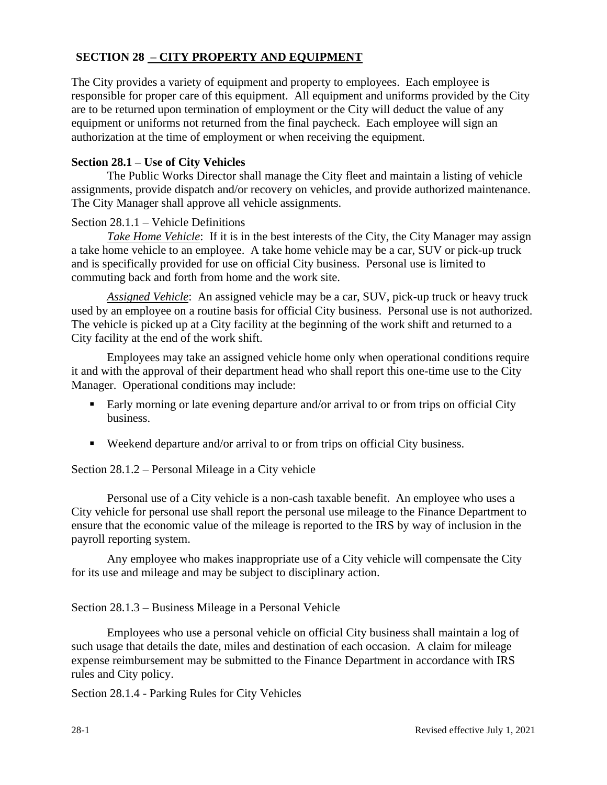# **SECTION 28 – CITY PROPERTY AND EQUIPMENT**

The City provides a variety of equipment and property to employees. Each employee is responsible for proper care of this equipment. All equipment and uniforms provided by the City are to be returned upon termination of employment or the City will deduct the value of any equipment or uniforms not returned from the final paycheck. Each employee will sign an authorization at the time of employment or when receiving the equipment.

## **Section 28.1 – Use of City Vehicles**

The Public Works Director shall manage the City fleet and maintain a listing of vehicle assignments, provide dispatch and/or recovery on vehicles, and provide authorized maintenance. The City Manager shall approve all vehicle assignments.

## Section 28.1.1 – Vehicle Definitions

*Take Home Vehicle*: If it is in the best interests of the City, the City Manager may assign a take home vehicle to an employee. A take home vehicle may be a car, SUV or pick-up truck and is specifically provided for use on official City business. Personal use is limited to commuting back and forth from home and the work site.

*Assigned Vehicle*: An assigned vehicle may be a car, SUV, pick-up truck or heavy truck used by an employee on a routine basis for official City business. Personal use is not authorized. The vehicle is picked up at a City facility at the beginning of the work shift and returned to a City facility at the end of the work shift.

Employees may take an assigned vehicle home only when operational conditions require it and with the approval of their department head who shall report this one-time use to the City Manager. Operational conditions may include:

- Early morning or late evening departure and/or arrival to or from trips on official City business.
- Weekend departure and/or arrival to or from trips on official City business.

Section 28.1.2 – Personal Mileage in a City vehicle

Personal use of a City vehicle is a non-cash taxable benefit. An employee who uses a City vehicle for personal use shall report the personal use mileage to the Finance Department to ensure that the economic value of the mileage is reported to the IRS by way of inclusion in the payroll reporting system.

Any employee who makes inappropriate use of a City vehicle will compensate the City for its use and mileage and may be subject to disciplinary action.

Section 28.1.3 – Business Mileage in a Personal Vehicle

Employees who use a personal vehicle on official City business shall maintain a log of such usage that details the date, miles and destination of each occasion. A claim for mileage expense reimbursement may be submitted to the Finance Department in accordance with IRS rules and City policy.

Section 28.1.4 - Parking Rules for City Vehicles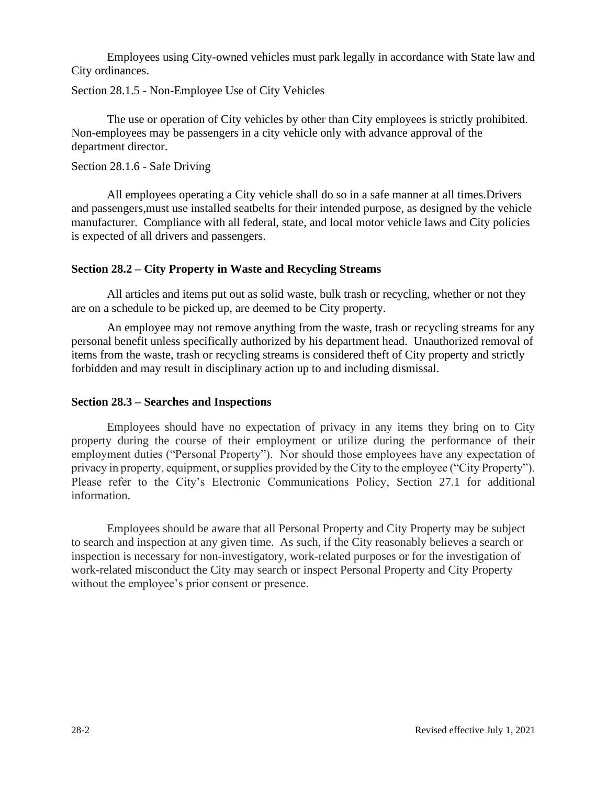Employees using City-owned vehicles must park legally in accordance with State law and City ordinances.

Section 28.1.5 - Non-Employee Use of City Vehicles

The use or operation of City vehicles by other than City employees is strictly prohibited. Non-employees may be passengers in a city vehicle only with advance approval of the department director.

### Section 28.1.6 - Safe Driving

All employees operating a City vehicle shall do so in a safe manner at all times.Drivers and passengers,must use installed seatbelts for their intended purpose, as designed by the vehicle manufacturer. Compliance with all federal, state, and local motor vehicle laws and City policies is expected of all drivers and passengers.

# **Section 28.2 – City Property in Waste and Recycling Streams**

All articles and items put out as solid waste, bulk trash or recycling, whether or not they are on a schedule to be picked up, are deemed to be City property.

An employee may not remove anything from the waste, trash or recycling streams for any personal benefit unless specifically authorized by his department head. Unauthorized removal of items from the waste, trash or recycling streams is considered theft of City property and strictly forbidden and may result in disciplinary action up to and including dismissal.

### **Section 28.3 – Searches and Inspections**

Employees should have no expectation of privacy in any items they bring on to City property during the course of their employment or utilize during the performance of their employment duties ("Personal Property"). Nor should those employees have any expectation of privacy in property, equipment, or supplies provided by the City to the employee ("City Property"). Please refer to the City's Electronic Communications Policy, Section 27.1 for additional information.

Employees should be aware that all Personal Property and City Property may be subject to search and inspection at any given time. As such, if the City reasonably believes a search or inspection is necessary for non-investigatory, work-related purposes or for the investigation of work-related misconduct the City may search or inspect Personal Property and City Property without the employee's prior consent or presence.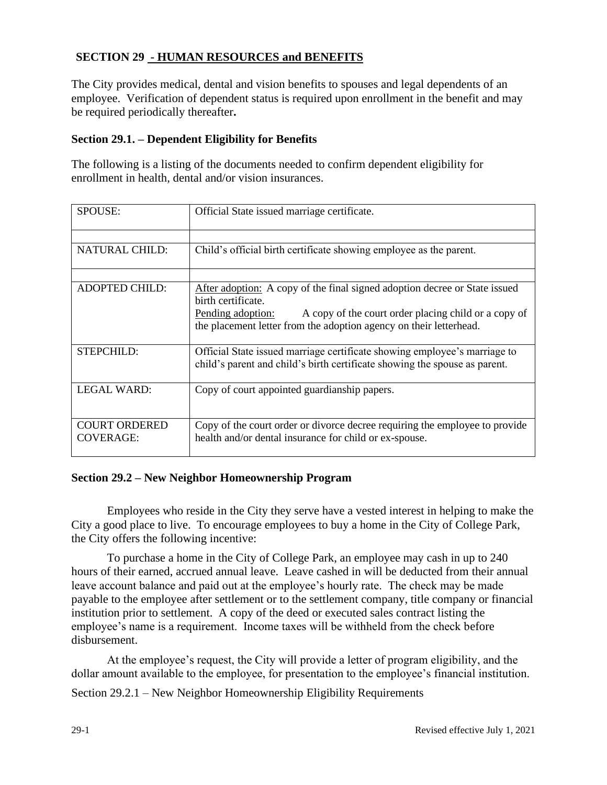# **SECTION 29 - HUMAN RESOURCES and BENEFITS**

The City provides medical, dental and vision benefits to spouses and legal dependents of an employee. Verification of dependent status is required upon enrollment in the benefit and may be required periodically thereafter**.**

# **Section 29.1. – Dependent Eligibility for Benefits**

The following is a listing of the documents needed to confirm dependent eligibility for enrollment in health, dental and/or vision insurances.

| SPOUSE:                                  | Official State issued marriage certificate.                                                                                                             |
|------------------------------------------|---------------------------------------------------------------------------------------------------------------------------------------------------------|
|                                          |                                                                                                                                                         |
| NATURAL CHILD:                           | Child's official birth certificate showing employee as the parent.                                                                                      |
|                                          |                                                                                                                                                         |
| <b>ADOPTED CHILD:</b>                    | After adoption: A copy of the final signed adoption decree or State issued<br>birth certificate.                                                        |
|                                          | A copy of the court order placing child or a copy of<br>Pending adoption:<br>the placement letter from the adoption agency on their letterhead.         |
| <b>STEPCHILD:</b>                        | Official State issued marriage certificate showing employee's marriage to<br>child's parent and child's birth certificate showing the spouse as parent. |
| <b>LEGAL WARD:</b>                       | Copy of court appointed guardianship papers.                                                                                                            |
| <b>COURT ORDERED</b><br><b>COVERAGE:</b> | Copy of the court order or divorce decree requiring the employee to provide<br>health and/or dental insurance for child or ex-spouse.                   |

# **Section 29.2 – New Neighbor Homeownership Program**

Employees who reside in the City they serve have a vested interest in helping to make the City a good place to live. To encourage employees to buy a home in the City of College Park, the City offers the following incentive:

To purchase a home in the City of College Park, an employee may cash in up to 240 hours of their earned, accrued annual leave. Leave cashed in will be deducted from their annual leave account balance and paid out at the employee's hourly rate. The check may be made payable to the employee after settlement or to the settlement company, title company or financial institution prior to settlement. A copy of the deed or executed sales contract listing the employee's name is a requirement. Income taxes will be withheld from the check before disbursement.

At the employee's request, the City will provide a letter of program eligibility, and the dollar amount available to the employee, for presentation to the employee's financial institution.

Section 29.2.1 – New Neighbor Homeownership Eligibility Requirements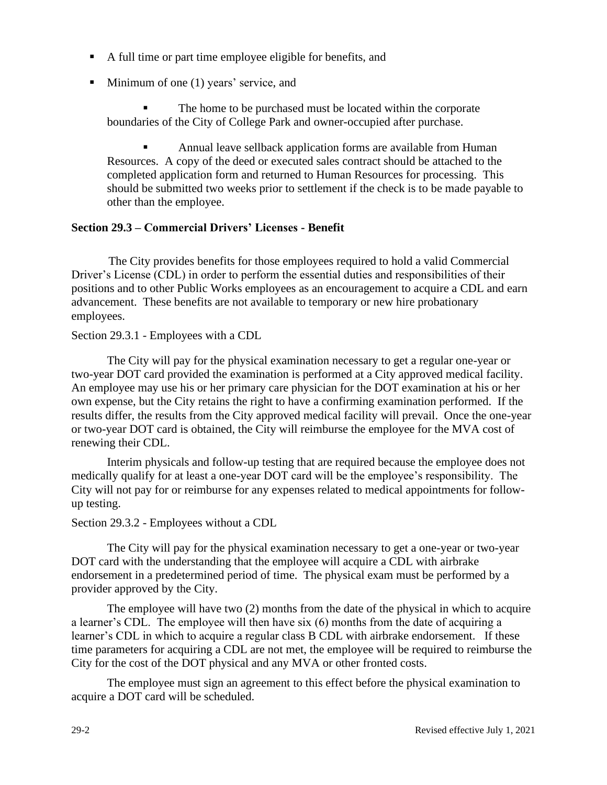- A full time or part time employee eligible for benefits, and
- **I** Minimum of one (1) years' service, and

The home to be purchased must be located within the corporate boundaries of the City of College Park and owner-occupied after purchase.

Annual leave sellback application forms are available from Human Resources. A copy of the deed or executed sales contract should be attached to the completed application form and returned to Human Resources for processing. This should be submitted two weeks prior to settlement if the check is to be made payable to other than the employee.

### **Section 29.3 – Commercial Drivers' Licenses - Benefit**

The City provides benefits for those employees required to hold a valid Commercial Driver's License (CDL) in order to perform the essential duties and responsibilities of their positions and to other Public Works employees as an encouragement to acquire a CDL and earn advancement. These benefits are not available to temporary or new hire probationary employees.

Section 29.3.1 - Employees with a CDL

The City will pay for the physical examination necessary to get a regular one-year or two-year DOT card provided the examination is performed at a City approved medical facility. An employee may use his or her primary care physician for the DOT examination at his or her own expense, but the City retains the right to have a confirming examination performed. If the results differ, the results from the City approved medical facility will prevail. Once the one-year or two-year DOT card is obtained, the City will reimburse the employee for the MVA cost of renewing their CDL.

Interim physicals and follow-up testing that are required because the employee does not medically qualify for at least a one-year DOT card will be the employee's responsibility. The City will not pay for or reimburse for any expenses related to medical appointments for followup testing.

Section 29.3.2 - Employees without a CDL

The City will pay for the physical examination necessary to get a one-year or two-year DOT card with the understanding that the employee will acquire a CDL with airbrake endorsement in a predetermined period of time. The physical exam must be performed by a provider approved by the City.

The employee will have two (2) months from the date of the physical in which to acquire a learner's CDL. The employee will then have six (6) months from the date of acquiring a learner's CDL in which to acquire a regular class B CDL with airbrake endorsement. If these time parameters for acquiring a CDL are not met, the employee will be required to reimburse the City for the cost of the DOT physical and any MVA or other fronted costs.

The employee must sign an agreement to this effect before the physical examination to acquire a DOT card will be scheduled.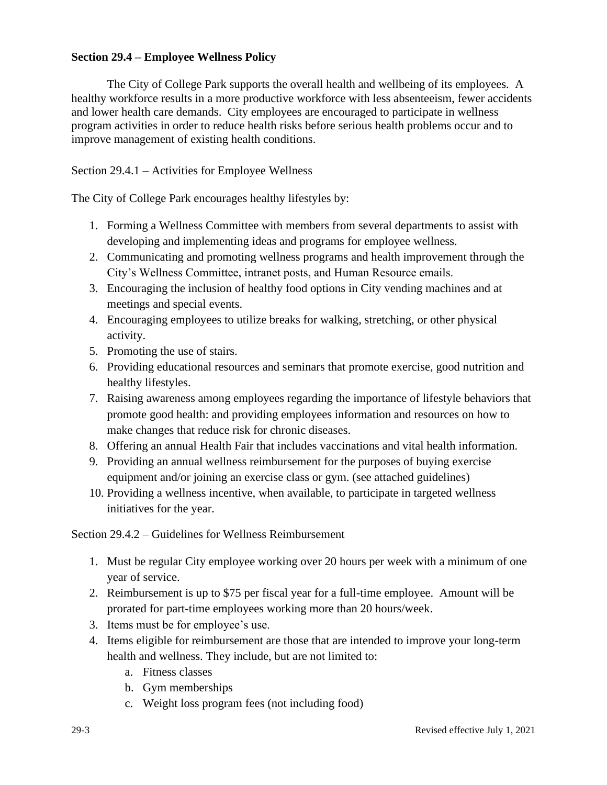# **Section 29.4 – Employee Wellness Policy**

The City of College Park supports the overall health and wellbeing of its employees. A healthy workforce results in a more productive workforce with less absenteeism, fewer accidents and lower health care demands. City employees are encouraged to participate in wellness program activities in order to reduce health risks before serious health problems occur and to improve management of existing health conditions.

### Section 29.4.1 – Activities for Employee Wellness

The City of College Park encourages healthy lifestyles by:

- 1. Forming a Wellness Committee with members from several departments to assist with developing and implementing ideas and programs for employee wellness.
- 2. Communicating and promoting wellness programs and health improvement through the City's Wellness Committee, intranet posts, and Human Resource emails.
- 3. Encouraging the inclusion of healthy food options in City vending machines and at meetings and special events.
- 4. Encouraging employees to utilize breaks for walking, stretching, or other physical activity.
- 5. Promoting the use of stairs.
- 6. Providing educational resources and seminars that promote exercise, good nutrition and healthy lifestyles.
- 7. Raising awareness among employees regarding the importance of lifestyle behaviors that promote good health: and providing employees information and resources on how to make changes that reduce risk for chronic diseases.
- 8. Offering an annual Health Fair that includes vaccinations and vital health information.
- 9. Providing an annual wellness reimbursement for the purposes of buying exercise equipment and/or joining an exercise class or gym. (see attached guidelines)
- 10. Providing a wellness incentive, when available, to participate in targeted wellness initiatives for the year.

Section 29.4.2 – Guidelines for Wellness Reimbursement

- 1. Must be regular City employee working over 20 hours per week with a minimum of one year of service.
- 2. Reimbursement is up to \$75 per fiscal year for a full-time employee. Amount will be prorated for part-time employees working more than 20 hours/week.
- 3. Items must be for employee's use.
- 4. Items eligible for reimbursement are those that are intended to improve your long-term health and wellness. They include, but are not limited to:
	- a. Fitness classes
	- b. Gym memberships
	- c. Weight loss program fees (not including food)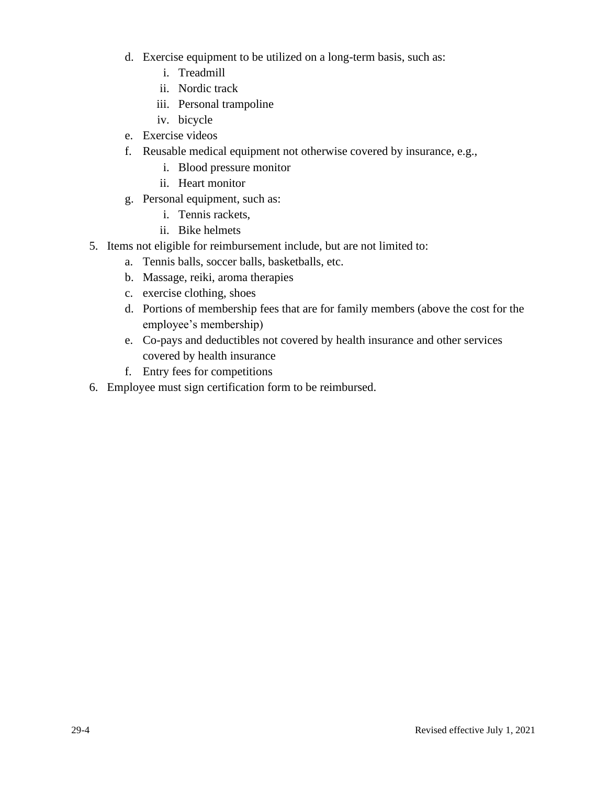- d. Exercise equipment to be utilized on a long-term basis, such as:
	- i. Treadmill
	- ii. Nordic track
	- iii. Personal trampoline
	- iv. bicycle
- e. Exercise videos
- f. Reusable medical equipment not otherwise covered by insurance, e.g.,
	- i. Blood pressure monitor
	- ii. Heart monitor
- g. Personal equipment, such as:
	- i. Tennis rackets,
	- ii. Bike helmets
- 5. Items not eligible for reimbursement include, but are not limited to:
	- a. Tennis balls, soccer balls, basketballs, etc.
	- b. Massage, reiki, aroma therapies
	- c. exercise clothing, shoes
	- d. Portions of membership fees that are for family members (above the cost for the employee's membership)
	- e. Co-pays and deductibles not covered by health insurance and other services covered by health insurance
	- f. Entry fees for competitions
- 6. Employee must sign certification form to be reimbursed.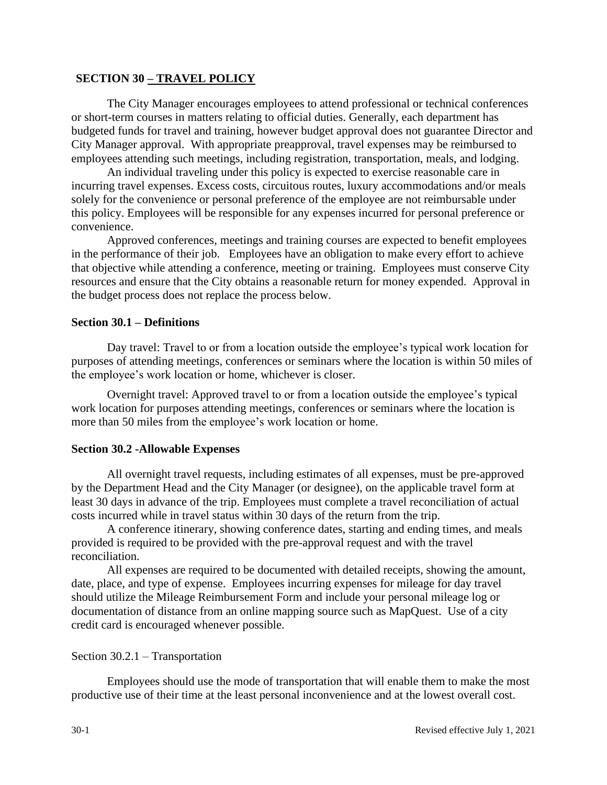### **SECTION 30 – TRAVEL POLICY**

The City Manager encourages employees to attend professional or technical conferences or short-term courses in matters relating to official duties. Generally, each department has budgeted funds for travel and training, however budget approval does not guarantee Director and City Manager approval. With appropriate preapproval, travel expenses may be reimbursed to employees attending such meetings, including registration, transportation, meals, and lodging.

An individual traveling under this policy is expected to exercise reasonable care in incurring travel expenses. Excess costs, circuitous routes, luxury accommodations and/or meals solely for the convenience or personal preference of the employee are not reimbursable under this policy. Employees will be responsible for any expenses incurred for personal preference or convenience.

Approved conferences, meetings and training courses are expected to benefit employees in the performance of their job. Employees have an obligation to make every effort to achieve that objective while attending a conference, meeting or training. Employees must conserve City resources and ensure that the City obtains a reasonable return for money expended. Approval in the budget process does not replace the process below.

#### **Section 30.1 – Definitions**

Day travel: Travel to or from a location outside the employee's typical work location for purposes of attending meetings, conferences or seminars where the location is within 50 miles of the employee's work location or home, whichever is closer.

Overnight travel: Approved travel to or from a location outside the employee's typical work location for purposes attending meetings, conferences or seminars where the location is more than 50 miles from the employee's work location or home.

#### **Section 30.2 -Allowable Expenses**

All overnight travel requests, including estimates of all expenses, must be pre-approved by the Department Head and the City Manager (or designee), on the applicable travel form at least 30 days in advance of the trip. Employees must complete a travel reconciliation of actual costs incurred while in travel status within 30 days of the return from the trip.

A conference itinerary, showing conference dates, starting and ending times, and meals provided is required to be provided with the pre-approval request and with the travel reconciliation.

All expenses are required to be documented with detailed receipts, showing the amount, date, place, and type of expense. Employees incurring expenses for mileage for day travel should utilize the Mileage Reimbursement Form and include your personal mileage log or documentation of distance from an online mapping source such as MapQuest. Use of a city credit card is encouraged whenever possible.

#### Section 30.2.1 – Transportation

Employees should use the mode of transportation that will enable them to make the most productive use of their time at the least personal inconvenience and at the lowest overall cost.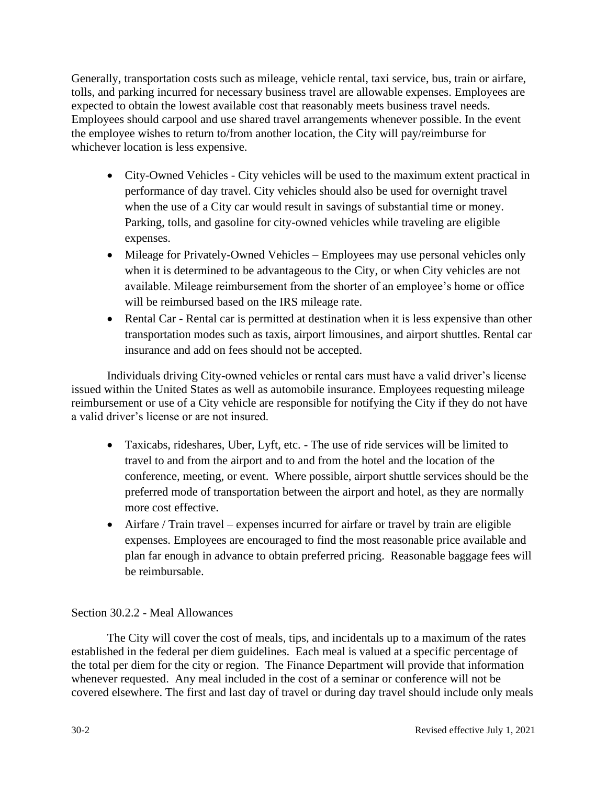Generally, transportation costs such as mileage, vehicle rental, taxi service, bus, train or airfare, tolls, and parking incurred for necessary business travel are allowable expenses. Employees are expected to obtain the lowest available cost that reasonably meets business travel needs. Employees should carpool and use shared travel arrangements whenever possible. In the event the employee wishes to return to/from another location, the City will pay/reimburse for whichever location is less expensive.

- City-Owned Vehicles City vehicles will be used to the maximum extent practical in performance of day travel. City vehicles should also be used for overnight travel when the use of a City car would result in savings of substantial time or money. Parking, tolls, and gasoline for city-owned vehicles while traveling are eligible expenses.
- Mileage for Privately-Owned Vehicles Employees may use personal vehicles only when it is determined to be advantageous to the City, or when City vehicles are not available. Mileage reimbursement from the shorter of an employee's home or office will be reimbursed based on the IRS mileage rate.
- Rental Car Rental car is permitted at destination when it is less expensive than other transportation modes such as taxis, airport limousines, and airport shuttles. Rental car insurance and add on fees should not be accepted.

Individuals driving City-owned vehicles or rental cars must have a valid driver's license issued within the United States as well as automobile insurance. Employees requesting mileage reimbursement or use of a City vehicle are responsible for notifying the City if they do not have a valid driver's license or are not insured.

- Taxicabs, rideshares, Uber, Lyft, etc. The use of ride services will be limited to travel to and from the airport and to and from the hotel and the location of the conference, meeting, or event. Where possible, airport shuttle services should be the preferred mode of transportation between the airport and hotel, as they are normally more cost effective.
- Airfare / Train travel expenses incurred for airfare or travel by train are eligible expenses. Employees are encouraged to find the most reasonable price available and plan far enough in advance to obtain preferred pricing. Reasonable baggage fees will be reimbursable.

# Section 30.2.2 - Meal Allowances

The City will cover the cost of meals, tips, and incidentals up to a maximum of the rates established in the federal per diem guidelines. Each meal is valued at a specific percentage of the total per diem for the city or region. The Finance Department will provide that information whenever requested. Any meal included in the cost of a seminar or conference will not be covered elsewhere. The first and last day of travel or during day travel should include only meals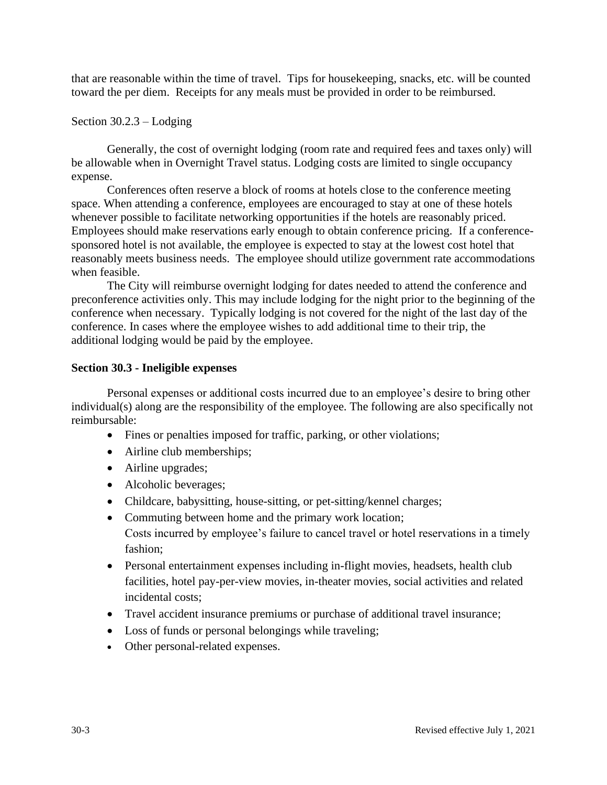that are reasonable within the time of travel. Tips for housekeeping, snacks, etc. will be counted toward the per diem. Receipts for any meals must be provided in order to be reimbursed.

### Section 30.2.3 – Lodging

Generally, the cost of overnight lodging (room rate and required fees and taxes only) will be allowable when in Overnight Travel status. Lodging costs are limited to single occupancy expense.

Conferences often reserve a block of rooms at hotels close to the conference meeting space. When attending a conference, employees are encouraged to stay at one of these hotels whenever possible to facilitate networking opportunities if the hotels are reasonably priced. Employees should make reservations early enough to obtain conference pricing. If a conferencesponsored hotel is not available, the employee is expected to stay at the lowest cost hotel that reasonably meets business needs. The employee should utilize government rate accommodations when feasible.

The City will reimburse overnight lodging for dates needed to attend the conference and preconference activities only. This may include lodging for the night prior to the beginning of the conference when necessary. Typically lodging is not covered for the night of the last day of the conference. In cases where the employee wishes to add additional time to their trip, the additional lodging would be paid by the employee.

## **Section 30.3 - Ineligible expenses**

Personal expenses or additional costs incurred due to an employee's desire to bring other individual(s) along are the responsibility of the employee. The following are also specifically not reimbursable:

- Fines or penalties imposed for traffic, parking, or other violations;
- Airline club memberships;
- Airline upgrades;
- Alcoholic beverages;
- Childcare, babysitting, house-sitting, or pet-sitting/kennel charges;
- Commuting between home and the primary work location; Costs incurred by employee's failure to cancel travel or hotel reservations in a timely fashion;
- Personal entertainment expenses including in-flight movies, headsets, health club facilities, hotel pay-per-view movies, in-theater movies, social activities and related incidental costs;
- Travel accident insurance premiums or purchase of additional travel insurance;
- Loss of funds or personal belongings while traveling;
- Other personal-related expenses.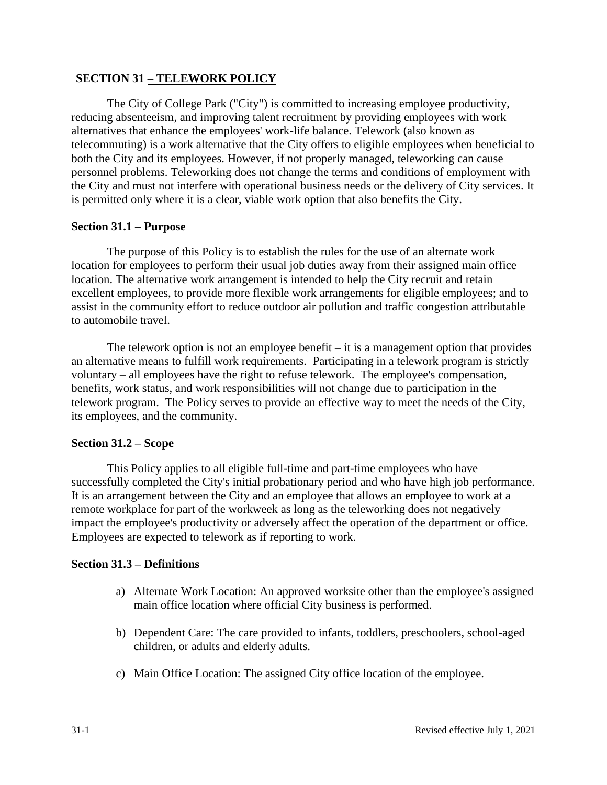# **SECTION 31 – TELEWORK POLICY**

The City of College Park ("City") is committed to increasing employee productivity, reducing absenteeism, and improving talent recruitment by providing employees with work alternatives that enhance the employees' work-life balance. Telework (also known as telecommuting) is a work alternative that the City offers to eligible employees when beneficial to both the City and its employees. However, if not properly managed, teleworking can cause personnel problems. Teleworking does not change the terms and conditions of employment with the City and must not interfere with operational business needs or the delivery of City services. It is permitted only where it is a clear, viable work option that also benefits the City.

### **Section 31.1 – Purpose**

The purpose of this Policy is to establish the rules for the use of an alternate work location for employees to perform their usual job duties away from their assigned main office location. The alternative work arrangement is intended to help the City recruit and retain excellent employees, to provide more flexible work arrangements for eligible employees; and to assist in the community effort to reduce outdoor air pollution and traffic congestion attributable to automobile travel.

The telework option is not an employee benefit – it is a management option that provides an alternative means to fulfill work requirements. Participating in a telework program is strictly voluntary – all employees have the right to refuse telework. The employee's compensation, benefits, work status, and work responsibilities will not change due to participation in the telework program. The Policy serves to provide an effective way to meet the needs of the City, its employees, and the community.

### **Section 31.2 – Scope**

This Policy applies to all eligible full-time and part-time employees who have successfully completed the City's initial probationary period and who have high job performance. It is an arrangement between the City and an employee that allows an employee to work at a remote workplace for part of the workweek as long as the teleworking does not negatively impact the employee's productivity or adversely affect the operation of the department or office. Employees are expected to telework as if reporting to work.

### **Section 31.3 – Definitions**

- a) Alternate Work Location: An approved worksite other than the employee's assigned main office location where official City business is performed.
- b) Dependent Care: The care provided to infants, toddlers, preschoolers, school-aged children, or adults and elderly adults.
- c) Main Office Location: The assigned City office location of the employee.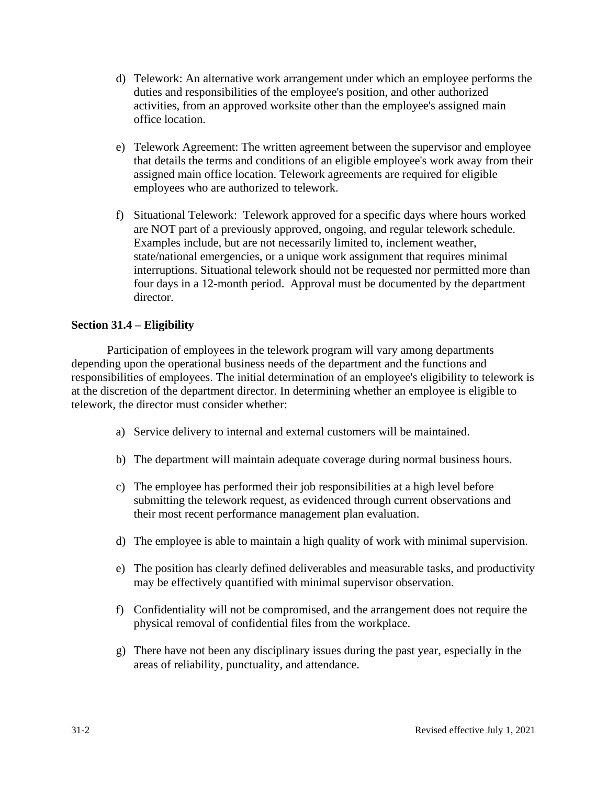- d) Telework: An alternative work arrangement under which an employee performs the duties and responsibilities of the employee's position, and other authorized activities, from an approved worksite other than the employee's assigned main office location.
- e) Telework Agreement: The written agreement between the supervisor and employee that details the terms and conditions of an eligible employee's work away from their assigned main office location. Telework agreements are required for eligible employees who are authorized to telework.
- f) Situational Telework: Telework approved for a specific days where hours worked are NOT part of a previously approved, ongoing, and regular telework schedule. Examples include, but are not necessarily limited to, inclement weather, state/national emergencies, or a unique work assignment that requires minimal interruptions. Situational telework should not be requested nor permitted more than four days in a 12-month period. Approval must be documented by the department director.

## **Section 31.4 – Eligibility**

Participation of employees in the telework program will vary among departments depending upon the operational business needs of the department and the functions and responsibilities of employees. The initial determination of an employee's eligibility to telework is at the discretion of the department director. In determining whether an employee is eligible to telework, the director must consider whether:

- a) Service delivery to internal and external customers will be maintained.
- b) The department will maintain adequate coverage during normal business hours.
- c) The employee has performed their job responsibilities at a high level before submitting the telework request, as evidenced through current observations and their most recent performance management plan evaluation.
- d) The employee is able to maintain a high quality of work with minimal supervision.
- e) The position has clearly defined deliverables and measurable tasks, and productivity may be effectively quantified with minimal supervisor observation.
- f) Confidentiality will not be compromised, and the arrangement does not require the physical removal of confidential files from the workplace.
- g) There have not been any disciplinary issues during the past year, especially in the areas of reliability, punctuality, and attendance.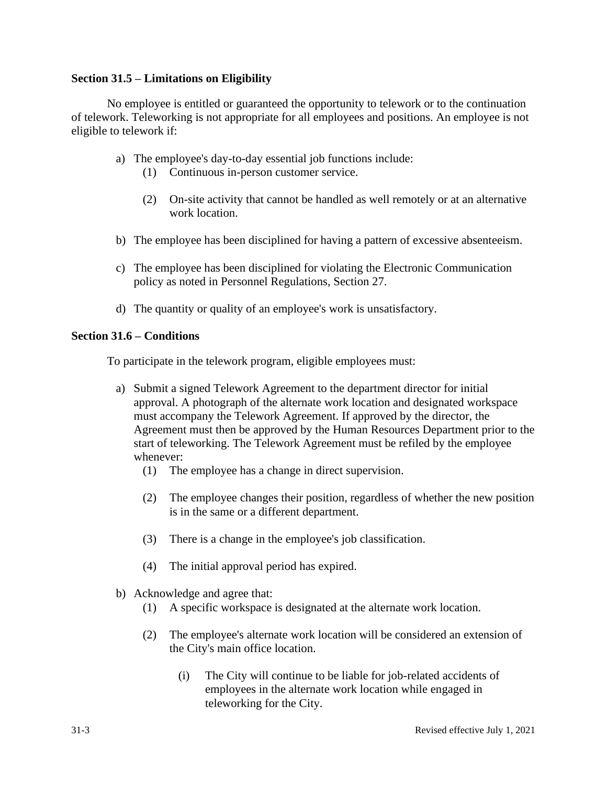### **Section 31.5 – Limitations on Eligibility**

No employee is entitled or guaranteed the opportunity to telework or to the continuation of telework. Teleworking is not appropriate for all employees and positions. An employee is not eligible to telework if:

- a) The employee's day-to-day essential job functions include:
	- (1) Continuous in-person customer service.
	- (2) On-site activity that cannot be handled as well remotely or at an alternative work location.
- b) The employee has been disciplined for having a pattern of excessive absenteeism.
- c) The employee has been disciplined for violating the Electronic Communication policy as noted in Personnel Regulations, Section 27.
- d) The quantity or quality of an employee's work is unsatisfactory.

### **Section 31.6 – Conditions**

To participate in the telework program, eligible employees must:

- a) Submit a signed Telework Agreement to the department director for initial approval. A photograph of the alternate work location and designated workspace must accompany the Telework Agreement. If approved by the director, the Agreement must then be approved by the Human Resources Department prior to the start of teleworking. The Telework Agreement must be refiled by the employee whenever:
	- (1) The employee has a change in direct supervision.
	- (2) The employee changes their position, regardless of whether the new position is in the same or a different department.
	- (3) There is a change in the employee's job classification.
	- (4) The initial approval period has expired.
- b) Acknowledge and agree that:
	- (1) A specific workspace is designated at the alternate work location.
	- (2) The employee's alternate work location will be considered an extension of the City's main office location.
		- (i) The City will continue to be liable for job-related accidents of employees in the alternate work location while engaged in teleworking for the City.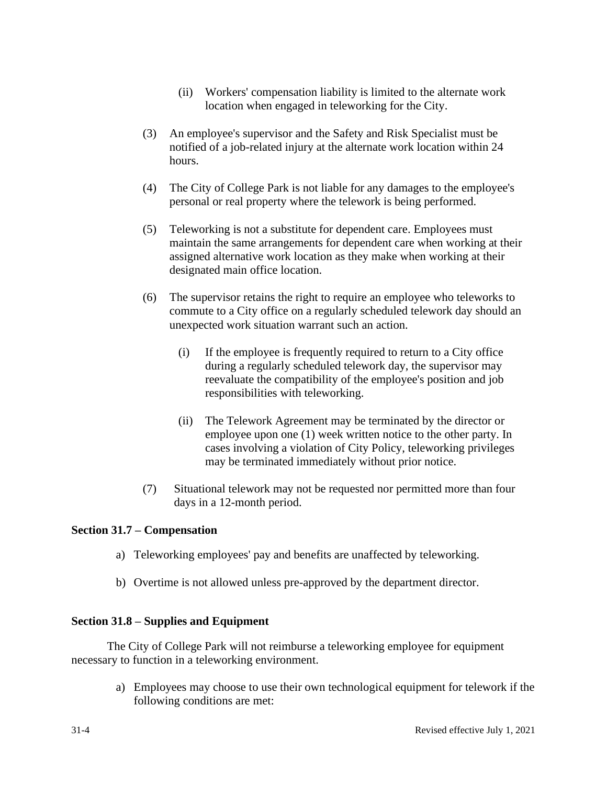- (ii) Workers' compensation liability is limited to the alternate work location when engaged in teleworking for the City.
- (3) An employee's supervisor and the Safety and Risk Specialist must be notified of a job-related injury at the alternate work location within 24 hours.
- (4) The City of College Park is not liable for any damages to the employee's personal or real property where the telework is being performed.
- (5) Teleworking is not a substitute for dependent care. Employees must maintain the same arrangements for dependent care when working at their assigned alternative work location as they make when working at their designated main office location.
- (6) The supervisor retains the right to require an employee who teleworks to commute to a City office on a regularly scheduled telework day should an unexpected work situation warrant such an action.
	- (i) If the employee is frequently required to return to a City office during a regularly scheduled telework day, the supervisor may reevaluate the compatibility of the employee's position and job responsibilities with teleworking.
	- (ii) The Telework Agreement may be terminated by the director or employee upon one (1) week written notice to the other party. In cases involving a violation of City Policy, teleworking privileges may be terminated immediately without prior notice.
- (7) Situational telework may not be requested nor permitted more than four days in a 12-month period.

# **Section 31.7 – Compensation**

- a) Teleworking employees' pay and benefits are unaffected by teleworking.
- b) Overtime is not allowed unless pre-approved by the department director.

### **Section 31.8 – Supplies and Equipment**

The City of College Park will not reimburse a teleworking employee for equipment necessary to function in a teleworking environment.

> a) Employees may choose to use their own technological equipment for telework if the following conditions are met: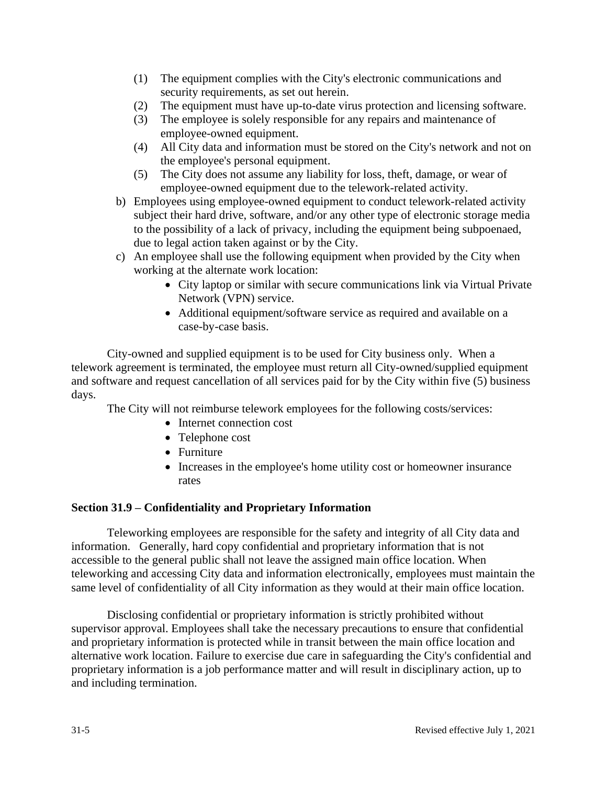- (1) The equipment complies with the City's electronic communications and security requirements, as set out herein.
- (2) The equipment must have up-to-date virus protection and licensing software.
- (3) The employee is solely responsible for any repairs and maintenance of employee-owned equipment.
- (4) All City data and information must be stored on the City's network and not on the employee's personal equipment.
- (5) The City does not assume any liability for loss, theft, damage, or wear of employee-owned equipment due to the telework-related activity.
- b) Employees using employee-owned equipment to conduct telework-related activity subject their hard drive, software, and/or any other type of electronic storage media to the possibility of a lack of privacy, including the equipment being subpoenaed, due to legal action taken against or by the City.
- c) An employee shall use the following equipment when provided by the City when working at the alternate work location:
	- City laptop or similar with secure communications link via Virtual Private Network (VPN) service.
	- Additional equipment/software service as required and available on a case-by-case basis.

City-owned and supplied equipment is to be used for City business only. When a telework agreement is terminated, the employee must return all City-owned/supplied equipment and software and request cancellation of all services paid for by the City within five (5) business days.

The City will not reimburse telework employees for the following costs/services:

- Internet connection cost
- Telephone cost
- Furniture
- Increases in the employee's home utility cost or homeowner insurance rates

### **Section 31.9 – Confidentiality and Proprietary Information**

Teleworking employees are responsible for the safety and integrity of all City data and information. Generally, hard copy confidential and proprietary information that is not accessible to the general public shall not leave the assigned main office location. When teleworking and accessing City data and information electronically, employees must maintain the same level of confidentiality of all City information as they would at their main office location.

Disclosing confidential or proprietary information is strictly prohibited without supervisor approval. Employees shall take the necessary precautions to ensure that confidential and proprietary information is protected while in transit between the main office location and alternative work location. Failure to exercise due care in safeguarding the City's confidential and proprietary information is a job performance matter and will result in disciplinary action, up to and including termination.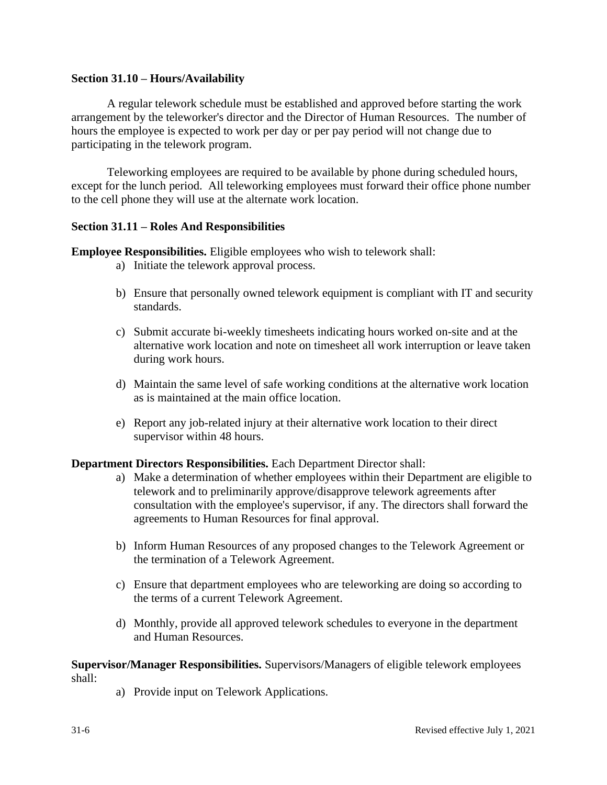### **Section 31.10 – Hours/Availability**

A regular telework schedule must be established and approved before starting the work arrangement by the teleworker's director and the Director of Human Resources. The number of hours the employee is expected to work per day or per pay period will not change due to participating in the telework program.

Teleworking employees are required to be available by phone during scheduled hours, except for the lunch period. All teleworking employees must forward their office phone number to the cell phone they will use at the alternate work location.

#### **Section 31.11 – Roles And Responsibilities**

**Employee Responsibilities.** Eligible employees who wish to telework shall:

- a) Initiate the telework approval process.
- b) Ensure that personally owned telework equipment is compliant with IT and security standards.
- c) Submit accurate bi-weekly timesheets indicating hours worked on-site and at the alternative work location and note on timesheet all work interruption or leave taken during work hours.
- d) Maintain the same level of safe working conditions at the alternative work location as is maintained at the main office location.
- e) Report any job-related injury at their alternative work location to their direct supervisor within 48 hours.

#### **Department Directors Responsibilities.** Each Department Director shall:

- a) Make a determination of whether employees within their Department are eligible to telework and to preliminarily approve/disapprove telework agreements after consultation with the employee's supervisor, if any. The directors shall forward the agreements to Human Resources for final approval.
- b) Inform Human Resources of any proposed changes to the Telework Agreement or the termination of a Telework Agreement.
- c) Ensure that department employees who are teleworking are doing so according to the terms of a current Telework Agreement.
- d) Monthly, provide all approved telework schedules to everyone in the department and Human Resources.

**Supervisor/Manager Responsibilities.** Supervisors/Managers of eligible telework employees shall:

a) Provide input on Telework Applications.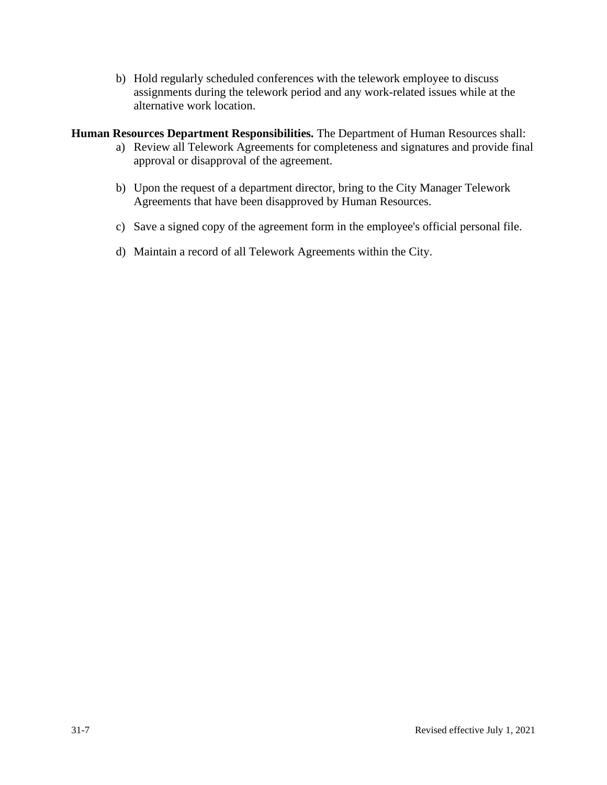b) Hold regularly scheduled conferences with the telework employee to discuss assignments during the telework period and any work-related issues while at the alternative work location.

**Human Resources Department Responsibilities.** The Department of Human Resources shall:

- a) Review all Telework Agreements for completeness and signatures and provide final approval or disapproval of the agreement.
- b) Upon the request of a department director, bring to the City Manager Telework Agreements that have been disapproved by Human Resources.
- c) Save a signed copy of the agreement form in the employee's official personal file.
- d) Maintain a record of all Telework Agreements within the City.